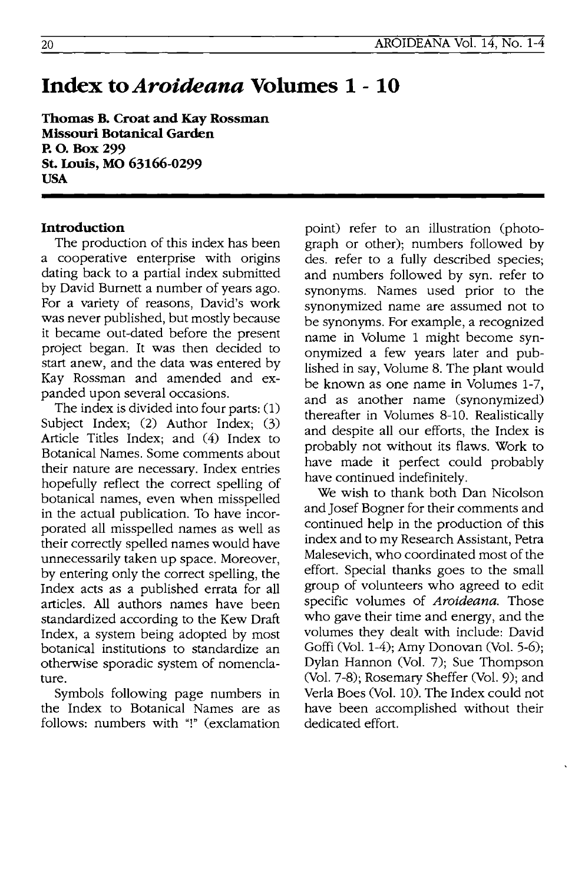# **Index** to *Aroideana* **Volumes 1- 10**

**Thomas B. Croat and Kay Rossman Missouri Botanical Garden RO.Box299 St. Louis, MO 63166-0299 USA** 

#### **Introduction**

The production of this index has been a cooperative enterprise with origins dating back to a partial index submitted by David Burnett a number of years ago. For a variety of reasons, David's work was never published, but mostly because it became out-dated before the present project began. It was then decided to start anew, and the data was entered by Kay Rossman and amended and expanded upon several occasions.

The index is divided into four parts: (1) Subject Index; (2) Author Index; (3) Article Titles Index; and (4) Index to Botanical Names. Some comments about their nature are necessary. Index entries hopefully reflect the correct spelling of botanical names, even when misspelled in the actual publication. To have incorporated all misspelled names as well as their correctly spelled names would have unnecessarily taken up space. Moreover, by entering only the correct spelling, the Index acts as a published errata for all articles. All authors names have been standardized according to the Kew Draft Index, a system being adopted by most botanical institutions to standardize an otherwise sporadic system of nomenclature.

Symbols folloWing page numbers in the Index to Botanical Names are as follows: numbers with "!" (exclamation point) refer to an illustration (photograph or other); numbers followed by des. refer to a fully described species; and numbers followed by syn. refer to synonyms. Names used prior to the synonymized name are assumed not to be synonyms. For example, a recognized name in Volume 1 might become synonymized a few years later and published in say, Volume 8. The plant would be known as one name in Volumes 1-7, and as another name (synonymized) thereafter in Volumes 8-10. Realistically and despite all our efforts, the Index is probably not without its flaws. Work to have made it perfect could probably have continued indefinitely.

We wish to thank both Dan Nicolson and Josef Bogner for their comments and continued help in the production of this index and to my Research Assistant, Petra Malesevich, who coordinated most of the effort. Special thanks goes to the small group of volunteers who agreed to edit specific volumes of Aroideana. Those who gave their time and energy, and the volumes they dealt with include: David Goffi (Vol. 1-4); Amy Donovan (Vol. 5-6); Dylan Hannon (Vol. 7); Sue Thompson (Vol. 7-8); Rosemary Sheffer (Vol. 9); and Verla Boes (Vol. 10). The Index could not have been accomplished without their dedicated effort.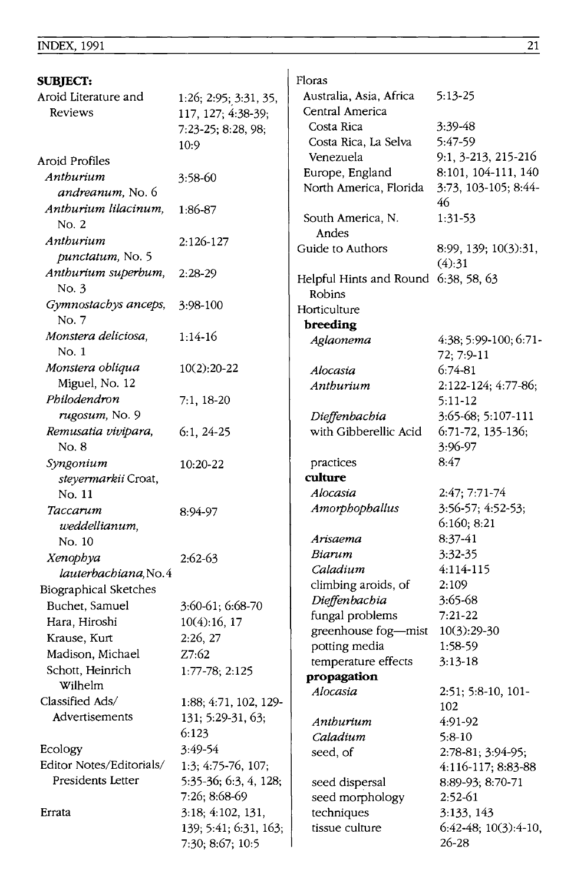| SUBJECT:                   |                       | Floras                               |                       |
|----------------------------|-----------------------|--------------------------------------|-----------------------|
| Aroid Literature and       | 1:26; 2:95; 3:31, 35, | Australia, Asia, Africa              | $5:13-25$             |
| Reviews                    | 117, 127; 4:38-39;    | Central America                      |                       |
|                            | 7:23-25; 8:28, 98;    | Costa Rica                           | $3:39-48$             |
|                            | 10:9                  | Costa Rica, La Selva                 | 5:47-59               |
| Aroid Profiles             |                       | Venezuela                            | 9:1, 3-213, 215-216   |
| Anthurium                  | 3:58-60               | Europe, England                      | 8:101, 104-111, 140   |
| <i>andreanum</i> , No. 6   |                       | North America, Florida               | 3:73, 103-105; 8:44-  |
| Anthurium lilacinum,       | 1:86-87               |                                      | 46                    |
| No. 2                      |                       | South America, N.                    | 1:31-53               |
| Anthurium                  | 2:126-127             | Andes                                |                       |
| punctatum, No. 5           |                       | Guide to Authors                     | 8:99, 139; 10(3):31,  |
| Anthurium superbum,        | $2:28-29$             |                                      | (4):31                |
| No. 3                      |                       | Helpful Hints and Round 6:38, 58, 63 |                       |
| Gymnostachys anceps,       | 3:98-100              | Robins                               |                       |
| No. 7                      |                       | Horticulture                         |                       |
| Monstera deliciosa,        | $1:14-16$             | breeding<br>Aglaonema                | 4:38; 5:99-100; 6:71- |
| No. 1                      |                       |                                      | 72; 7:9-11            |
| Monstera obliqua           | $10(2):20-22$         | Alocasia                             | $6:74-81$             |
| Miguel, No. 12             |                       | Anthurium                            | 2:122-124; 4:77-86;   |
| Philodendron               | $7:1, 18-20$          |                                      | 5:11-12               |
| rugosum, No. 9             |                       | Dieffenbachia                        | 3:65-68; 5:107-111    |
| Remusatia vivipara,        | $6:1, 24-25$          | with Gibberellic Acid                | 6:71-72, 135-136;     |
| No. 8                      |                       |                                      | 3:96-97               |
| Syngonium                  | 10:20-22              | practices                            | 8:47                  |
| <i>steyermarkii</i> Croat, |                       | culture                              |                       |
| No. 11                     |                       | Alocasia                             | 2:47; 7:71-74         |
| Taccarum                   | 8:94-97               | Amorphophallus                       | 3:56-57; 4:52-53;     |
| weddellianum,              |                       |                                      | 6:160; 8:21           |
| No. 10                     |                       | Arisaema                             | 8:37-41               |
| Xenophya                   | 2:62-63               | Biarum                               | 3:32-35               |
| lauterbachiana, No. 4      |                       | Caladium                             | 4:114-115             |
| Biographical Sketches      |                       | climbing aroids, of                  | 2:109                 |
| Buchet, Samuel             | 3:60-61; 6:68-70      | Dieffenbachia                        | 3:65-68               |
| Hara, Hiroshi              | 10(4):16, 17          | fungal problems                      | $7:21-22$             |
| Krause, Kurt               | 2:26, 27              | greenhouse fog-mist                  | 10(3):29-30           |
| Madison, Michael           | Z7:62                 | potting media                        | 1:58-59               |
| Schott, Heinrich           | 1:77-78; 2:125        | temperature effects                  | $3:13-18$             |
| Wilhelm                    |                       | propagation                          |                       |
| Classified Ads/            | 1:88, 4:71, 102, 129- | Alocasia                             | 2:51; 5:8-10, 101-    |
| Advertisements             | 131; 5:29-31, 63;     | Anthurium                            | 102<br>4:91-92        |
|                            | 6:123                 | Caladium                             | $5:8-10$              |
| Ecology                    | 3:49-54               | seed, of                             | 2:78-81; 3:94-95;     |
| Editor Notes/Editorials/   | 1:3; 4:75-76, 107;    |                                      | 4:116-117; 8:83-88    |
| Presidents Letter          | 5:35-36; 6:3, 4, 128; | seed dispersal                       | 8:89-93; 8:70-71      |
|                            | 7:26; 8:68-69         | seed morphology                      | $2:52-61$             |
| Errata                     | 3:18; 4:102, 131,     | techniques                           | 3:133, 143            |
|                            | 139; 5:41; 6:31, 163; | tissue culture                       | 6:42-48; 10(3):4-10,  |
|                            | 7:30; 8:67; 10:5      |                                      | $26 - 28$             |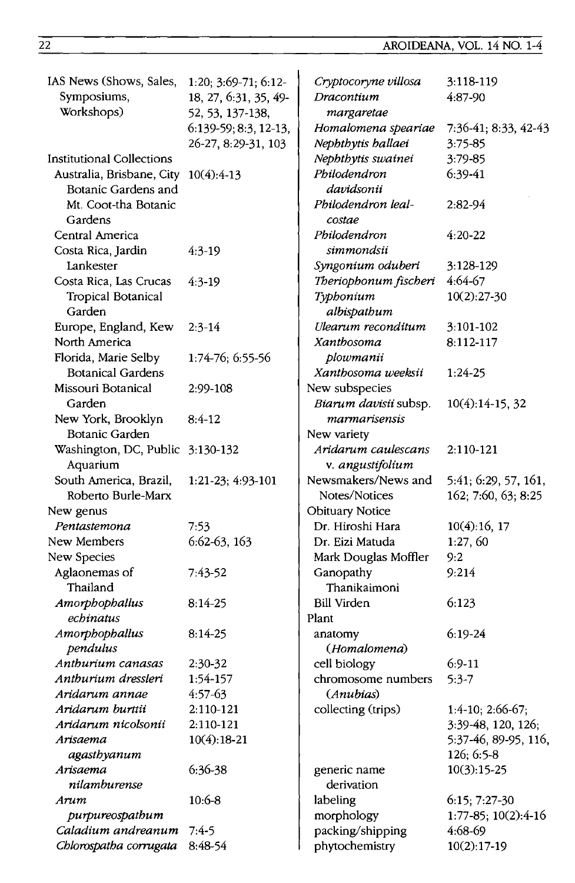| IAS News (Shows, Sales,              | 1:20; 3:69-71; 6:12-    | Cryptocoryne villosa   | 3:118-119            |
|--------------------------------------|-------------------------|------------------------|----------------------|
| Symposiums,                          | 18, 27, 6:31, 35, 49-   | Dracontium             | 4:87-90              |
| Workshops)                           | 52, 53, 137-138,        | margaretae             |                      |
|                                      | $6:139-59; 8:3, 12-13,$ | Homalomena speariae    | 7:36-41; 8:33, 42-43 |
|                                      | 26-27, 8:29-31, 103     | Nephthytis hallaei     | 3:75-85              |
| <b>Institutional Collections</b>     |                         | Nephthytis swainei     | 3:79-85              |
| Australia, Brisbane, City 10(4):4-13 |                         | Philodendron           | $6:39-41$            |
| Botanic Gardens and                  |                         | davidsonii             |                      |
| Mt. Coot-tha Botanic                 |                         | Philodendron leal-     | 2:82-94              |
| Gardens                              |                         | costae                 |                      |
| Central America                      |                         | Philodendron           | $4:20 - 22$          |
| Costa Rica, Jardin                   | $4:3-19$                | simmondsii             |                      |
| Lankester                            |                         | Syngonium oduberi      | 3:128-129            |
| Costa Rica, Las Crucas               | $4:3-19$                | Theriophonum fischeri  | 4:64-67              |
| Tropical Botanical                   |                         | Typhonium              | $10(2):27-30$        |
| Garden                               |                         | albispathum            |                      |
| Europe, England, Kew                 | $2:3-14$                | Ulearum reconditum     | 3:101-102            |
| North America                        |                         | Xanthosoma             | 8:112-117            |
| Florida, Marie Selby                 | 1:74-76; 6:55-56        | plowmanii              |                      |
| <b>Botanical Gardens</b>             |                         | Xanthosoma weeksii     | $1:24-25$            |
| Missouri Botanical                   | 2:99-108                | New subspecies         |                      |
| Garden                               |                         | Biarum davisii subsp.  | $10(4):14-15, 32$    |
| New York, Brooklyn                   | $8:4-12$                | marmarisensis          |                      |
| Botanic Garden                       |                         | New variety            |                      |
| Washington, DC, Public 3:130-132     |                         | Aridarum caulescans    | 2:110-121            |
| Aquarium                             |                         | v. angustifolium       |                      |
| South America, Brazil,               | 1:21-23; 4:93-101       | Newsmakers/News and    | 5:41; 6:29, 57, 161, |
| Roberto Burle-Marx                   |                         | Notes/Notices          | 162; 7:60, 63; 8:25  |
| New genus                            |                         | <b>Obituary Notice</b> |                      |
| Pentastemona                         | 7:53                    | Dr. Hiroshi Hara       | 10(4):16, 17         |
| New Members                          | 6:62-63, 163            | Dr. Eizi Matuda        | 1:27, 60             |
| New Species                          |                         | Mark Douglas Moffler   | 9:2                  |
| Aglaonemas of                        | 7:43-52                 | Ganopathy              | 9:214                |
| Thailand                             |                         | Thanikaimoni           |                      |
| Amorphophallus                       | $8:14-25$               | <b>Bill Virden</b>     | 6:123                |
| echinatus                            |                         | Plant                  |                      |
| Amorphophallus                       | 8:14-25                 | anatomy                | $6:19-24$            |
| pendulus                             |                         | (Homalomena)           |                      |
| Anthurium canasas                    | 2:30-32                 | cell biology           | $6:9-11$             |
| Anthurium dressleri                  | 1:54-157                | chromosome numbers     | $5:3-7$              |
| Aridarum annae                       | 4:57-63                 | (Anubias)              |                      |
| Aridarum burttii                     | 2:110-121               | collecting (trips)     | $1:4-10$ ; 2:66-67;  |
| Aridarum nicolsonii                  | 2:110-121               |                        | 3:39-48, 120, 126;   |
| Arisaema                             | $10(4):18-21$           |                        | 5:37-46, 89-95, 116, |
| agasthyanum                          |                         |                        | $126; 6:5-8$         |
| Arisaema                             | 6:36-38                 | generic name           | $10(3):15-25$        |
| nilamburense                         |                         | derivation             |                      |
| Arum                                 | $10:6-8$                | labeling               | 6:15; 7:27-30        |
| purpureospathum                      |                         | morphology             | 1:77-85; 10(2):4-16  |
| Caladium andreanum                   | $7:4-5$                 | packing/shipping       | 4:68-69              |
| Chlorospatha corrugata               | 8:48-54                 | phytochemistry         | $10(2):17-19$        |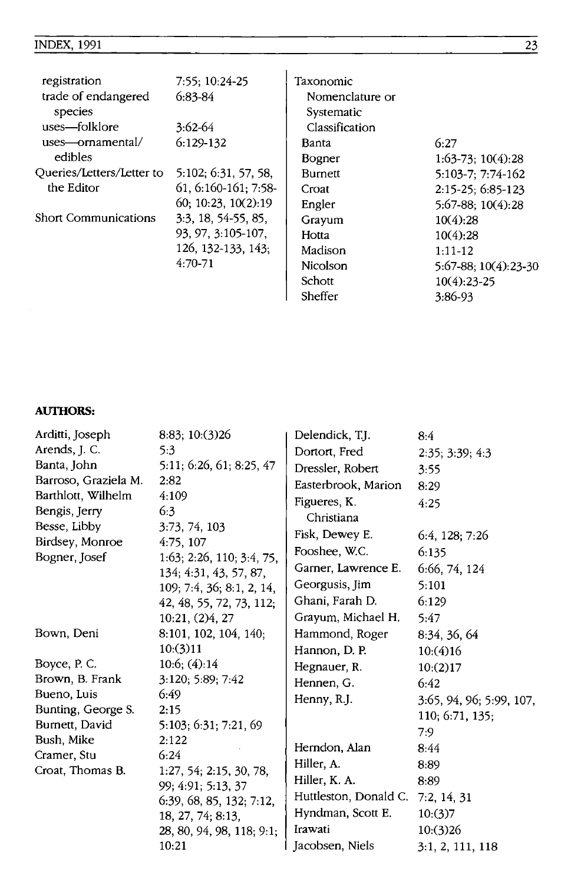#### INDEX, 1991

| registration              | 7:55: 10:24-25        | Taxonomic       |                           |
|---------------------------|-----------------------|-----------------|---------------------------|
| trade of endangered       | $6:83-84$             | Nomenclature or |                           |
| species                   |                       | Systematic      |                           |
| uses-folklore             | 3:62-64               | Classification  |                           |
| uses—ornamental/          | $6:129-132$           | Banta           | 6:27                      |
| edibles                   |                       | Bogner          | $1:63-73$ ; $10(4):28$    |
| Queries/Letters/Letter to | 5:102: 6:31, 57, 58,  | <b>Burnett</b>  | 5:103-7: 7:74-162         |
| the Editor                | 61, 6:160-161; 7:58-  | Croat           | $2:15-25:6:85-123$        |
|                           | 60; 10:23, 10(2):19   | Engler          | 5:67-88: 10(4):28         |
| Short Communications      | $3:3, 18, 54-55, 85,$ | Grayum          | 10(4):28                  |
|                           | 93, 97, 3:105-107,    | Hotta           | 10(4):28                  |
|                           | 126, 132-133, 143;    | Madison         | $1:11-12$                 |
|                           | $4:70-71$             | Nicolson        | $5:67-88$ ; $10(4):23-30$ |
|                           |                       | Schott          | $10(4):23-25$             |
|                           |                       | Sheffer         | 3:86-93                   |

#### **AUTIIORS:**

| Arditti, Joseph           | 8:83; 10:(3)26                                                  | Delendick, T.J.       | 8:4                      |
|---------------------------|-----------------------------------------------------------------|-----------------------|--------------------------|
| Arends, J. C.             | 5:3                                                             | Dortort, Fred         | 2:35; 3:39; 4:3          |
| Banta, John               | 5:11; 6:26, 61; 8:25, 47                                        | Dressler, Robert      | 3:55                     |
| Barroso, Graziela M.      | 2:82                                                            | Easterbrook, Marion   | 8:29                     |
| Barthlott, Wilhelm        | 4:109                                                           | Figueres, K.          | 4:25                     |
| Bengis, Jerry             | 6:3                                                             | Christiana            |                          |
| Besse, Libby              | 3:73, 74, 103                                                   | Fisk, Dewey E.        | 6:4, 128:7:26            |
| Birdsey, Monroe           | 4:75, 107                                                       | Fooshee, W.C.         | 6:135                    |
| Bogner, Josef             | $1:63$ ; $2:26$ , $110$ ; $3:4$ , 75,<br>134; 4:31, 43, 57, 87, | Garner, Lawrence E.   | 6:66, 74, 124            |
|                           | 109; 7:4, 36; 8:1, 2, 14,                                       | Georgusis, Jim        | 5:101                    |
|                           | 42, 48, 55, 72, 73, 112;                                        | Ghani, Farah D.       | 6:129                    |
|                           | 10:21, (2)4, 27                                                 | Grayum, Michael H.    | 5:47                     |
| Bown, Deni                | 8:101, 102, 104, 140;                                           | Hammond, Roger        | 8:34, 36, 64             |
|                           | 10:(3)11                                                        | Hannon, D. P.         | 10:(4)16                 |
| Boyce, P. C.              | 10:6; (4):14                                                    | Hegnauer, R.          | 10:(2)17                 |
| Brown, B. Frank           | 3:120; 5:89; 7:42                                               | Hennen, G.            | 6:42                     |
| Bueno, Luis               | 6:49                                                            | Henny, R.J.           | 3:65, 94, 96; 5:99, 107, |
| Bunting, George S.        | 2:15                                                            |                       | 110; 6:71, 135;          |
| Burnett, David            | 5:103; 6:31; 7:21, 69                                           |                       | 7:9                      |
| Bush, Mike<br>Cramer, Stu | 2:122<br>6:24                                                   | Herndon, Alan         | 8.44                     |
| Croat, Thomas B.          | 1:27, 54; 2:15, 30, 78,                                         | Hiller, A.            | 8:89                     |
|                           | 99; 4:91; 5:13, 37                                              | Hiller, K. A.         | 8:89                     |
|                           | 6:39, 68, 85, 132; 7:12.                                        | Huttleston, Donald C. | 7:2, 14, 31              |
|                           | 18, 27, 74; 8:13,                                               | Hyndman, Scott E.     | 10:(3)7                  |
|                           | 28, 80, 94, 98, 118; 9:1;                                       | Irawati               | 10:(3)26                 |
|                           | 10:21                                                           | Jacobsen, Niels       | 3:1, 2, 111, 118         |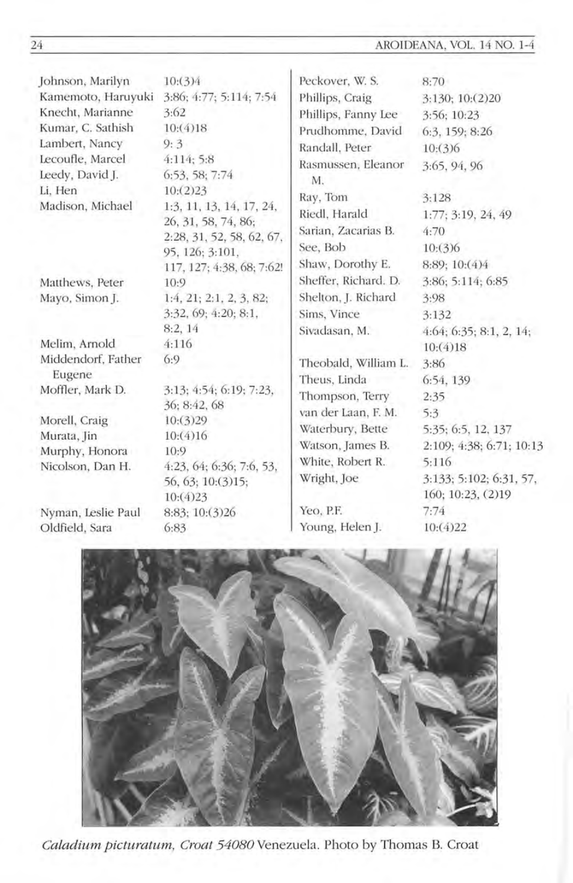AROIDEANA, VOL. 14 NO. 1-4

| Johnson, Marilyn                    | 10:(3)4                              | Peckover, W. S.          | 8:70                                         |
|-------------------------------------|--------------------------------------|--------------------------|----------------------------------------------|
| Kamemoto, Haruyuki                  | 3:86; 4:77; 5:114; 7:54              | Phillips, Craig          | 3:130; 10:(2)20                              |
| Knecht, Marianne                    | 3:62                                 | Phillips, Fanny Lee      | 3:56; 10:23                                  |
| Kumar, C. Sathish                   | 10:(4)18                             | Prudhomme, David         | 6:3, 159; 8:26                               |
| Lambert, Nancy                      | 9:3                                  | Randall, Peter           | 10:(3)6                                      |
| Lecoufle, Marcel<br>Leedy, David J. | 4:114:5:8<br>6:53, 58; 7:74          | Rasmussen, Eleanor<br>M. | 3:65, 94, 96                                 |
| Li, Hen<br>Madison, Michael         | 10:(2)23<br>1:3, 11, 13, 14, 17, 24, | Ray, Tom                 | 3:128                                        |
|                                     | 26, 31, 58, 74, 86;                  | Riedl, Harald            | 1:77; 3:19, 24, 49                           |
|                                     | 2:28, 31, 52, 58, 62, 67,            | Sarian, Zacarias B.      | 4:70                                         |
|                                     | 95, 126; 3:101,                      | See, Bob                 | 10:(3)6                                      |
|                                     | 117, 127; 4:38, 68; 7:62!            | Shaw, Dorothy E.         | 8:89; 10:(4)4                                |
| Matthews, Peter                     | 10:9                                 | Sheffer, Richard. D.     | 3:86; 5:114; 6:85                            |
| Mayo, Simon J.                      | 1:4, 21; 2:1, 2, 3, 82;              | Shelton, J. Richard      | 3:98                                         |
|                                     | 3:32, 69; 4:20; 8:1,                 | Sims, Vince              | 3:132                                        |
|                                     | 8:2, 14                              | Sivadasan, M.            | 4:64; 6:35; 8:1, 2, 14;                      |
| Melim, Arnold                       | 4:116                                |                          | 10:(4)18                                     |
| Middendorf, Father                  | 6:9                                  | Theobald, William L.     | 3:86                                         |
| Eugene                              |                                      | Theus, Linda             | 6:54, 139                                    |
| Moffler, Mark D.                    | 3:13: 4:54: 6:19: 7:23.              | Thompson, Terry          | 2:35                                         |
|                                     | 36: 8:42, 68                         | van der Laan, F. M.      | 5:3                                          |
| Morell, Craig                       | 10:(3)29                             | Waterbury, Bette         | 5:35; 6:5, 12, 137                           |
| Murata, Jin                         | 10:(4)16                             | Watson, James B.         | 2:109; 4:38; 6:71; 10:13                     |
| Murphy, Honora<br>Nicolson, Dan H.  | 10:9<br>4:23, 64; 6:36; 7:6, 53,     | White, Robert R.         | 5:116                                        |
|                                     | 56, 63; 10:(3)15;<br>10:(4)23        | Wright, Joe              | 3:133: 5:102; 6:31, 57,<br>160; 10:23, (2)19 |
| Nyman, Leslie Paul                  | 8:83; 10:(3)26                       | Yeo, P.F.                | 7:74                                         |
| Oldfield, Sara                      | 6:83                                 | Young, Helen J.          | 10:(4)22                                     |



Caladium picturatum, Croat 54080 Venezuela. Photo by Thomas B. Croat

 $\overline{24}$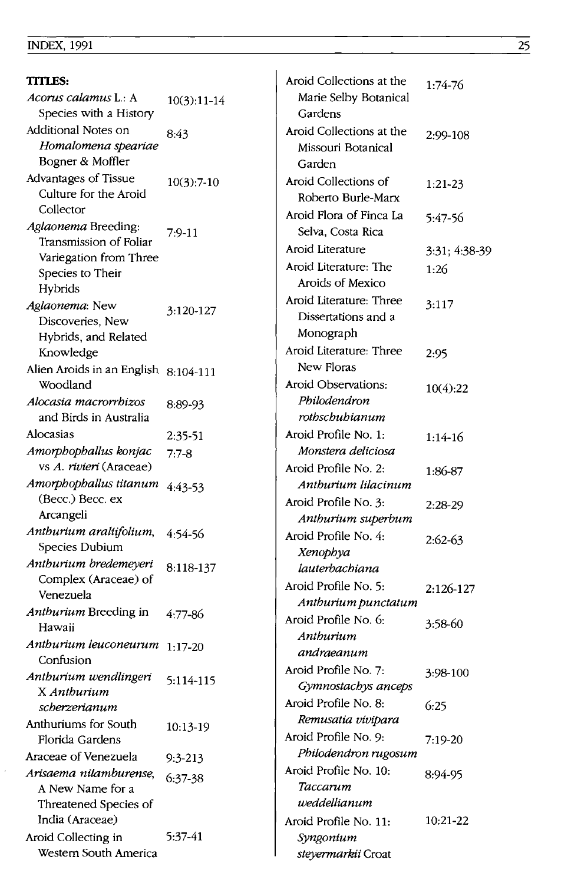Ŷ,

| <b>TITLES:</b>                       |               | Aroid Collections at the | $1:74-76$     |
|--------------------------------------|---------------|--------------------------|---------------|
| Acorus calamus L.: A                 | $10(3):11-14$ | Marie Selby Botanical    |               |
| Species with a History               |               | Gardens                  |               |
| Additional Notes on                  | 8:43          | Aroid Collections at the | 2:99-108      |
| Homalomena speariae                  |               | Missouri Botanical       |               |
| Bogner & Moffler                     |               | Garden                   |               |
| Advantages of Tissue                 | $10(3):7-10$  | Aroid Collections of     | $1:21 - 23$   |
| Culture for the Aroid                |               | Roberto Burle-Marx       |               |
| Collector                            |               | Aroid Flora of Finca La  |               |
| Aglaonema Breeding:                  | $7:9-11$      | Selva, Costa Rica        | 5:47-56       |
| Transmission of Foliar               |               | Aroid Literature         |               |
| Variegation from Three               |               |                          | 3:31; 4:38-39 |
| Species to Their                     |               | Aroid Literature: The    | 1:26          |
| Hybrids                              |               | Aroids of Mexico         |               |
| Aglaonema: New                       | 3:120-127     | Aroid Literature: Three  | 3:117         |
| Discoveries, New                     |               | Dissertations and a      |               |
| Hybrids, and Related                 |               | Monograph                |               |
| Knowledge                            |               | Aroid Literature: Three  | 2:95          |
| Alien Aroids in an English 8:104-111 |               | New Floras               |               |
| Woodland                             |               | Aroid Observations:      | 10(4):22      |
| Alocasia macrorrhizos                | 8:89-93       | Philodendron             |               |
| and Birds in Australia               |               | rothschuhianum           |               |
| Alocasias                            | 2:35-51       | Aroid Profile No. 1:     | $1:14-16$     |
| Amorphophallus konjac                | $7:7-8$       | Monstera deliciosa       |               |
| vs A. rivieri (Araceae)              |               | Aroid Profile No. 2:     | 1:86-87       |
| Amorphophallus titanum               | 4:43-53       | Anthurium lilacinum      |               |
| (Becc.) Becc. ex                     |               | Aroid Profile No. 3:     | $2:28-29$     |
| Arcangeli                            |               | Anthurium superbum       |               |
| Anthurium araliifolium,              | 4:54-56       | Aroid Profile No. 4:     | $2:62-63$     |
| Species Dubium                       |               | Xenophya                 |               |
| Anthurium bredemeyeri                | 8:118-137     | lauterbachiana           |               |
| Complex (Araceae) of                 |               | Aroid Profile No. 5:     | 2:126-127     |
| Venezuela                            |               | Anthurium punctatum      |               |
| Anthurium Breeding in                | $4:77-86$     | Aroid Profile No. 6:     | 3:58-60       |
| Hawaii                               |               | Anthurium                |               |
| Anthurium leuconeurum                | $1:17-20$     | andraeanum               |               |
| Confusion                            |               | Aroid Profile No. 7:     | 3:98-100      |
| Anthurium wendlingeri                | 5:114-115     | Gymnostachys anceps      |               |
| X Anthurium<br>scherzerianum         |               | Aroid Profile No. 8:     | 6:25          |
| Anthuriums for South                 |               | Remusatia vivipara       |               |
| Florida Gardens                      | 10:13-19      | Aroid Profile No. 9:     | $7:19-20$     |
| Araceae of Venezuela                 |               | Philodendron rugosum     |               |
| Arisaema nilamburense,               | $9:3-213$     | Aroid Profile No. 10:    |               |
| A New Name for a                     | $6:37-38$     | Taccarum                 | 8:94-95       |
| Threatened Species of                |               | weddellianum             |               |
| India (Araceae)                      |               | Aroid Profile No. 11:    | 10:21-22      |
| Aroid Collecting in                  | $5:37-41$     | Syngonium                |               |
| Western South America                |               | steyermarkii Croat       |               |
|                                      |               |                          |               |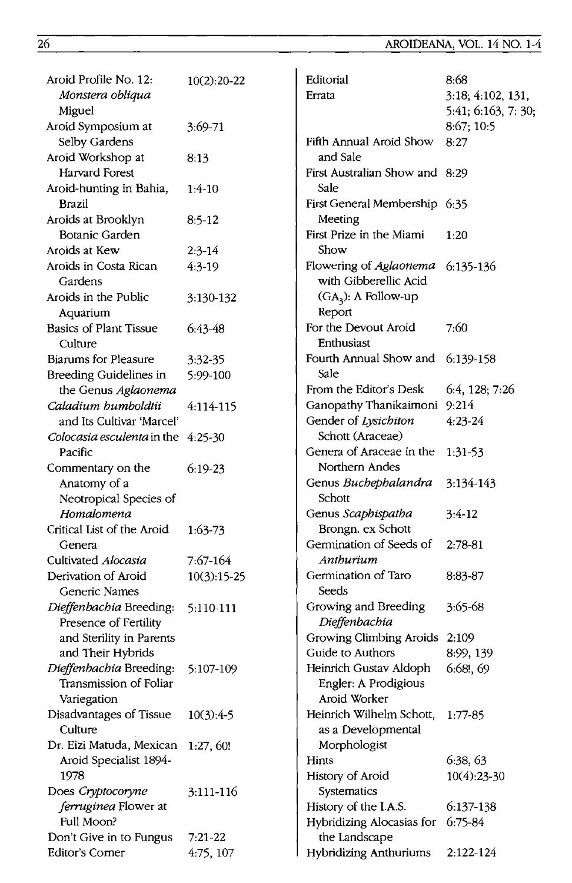| Aroid Profile No. 12:                      | $10(2):20-22$ | Editorial                      | 8:68                |
|--------------------------------------------|---------------|--------------------------------|---------------------|
| Monstera obliqua                           |               | Errata                         | 3:18; 4:102, 131,   |
| Miguel                                     |               |                                | 5:41; 6:163, 7: 30; |
| Aroid Symposium at                         | $3:69 - 71$   |                                | 8:67; 10:5          |
| Selby Gardens                              |               | Fifth Annual Aroid Show        | 8:27                |
| Aroid Workshop at                          | 8:13          | and Sale                       |                     |
| Harvard Forest                             |               | First Australian Show and 8:29 |                     |
| Aroid-hunting in Bahia,                    | $1:4-10$      | Sale                           |                     |
| Brazil                                     |               | First General Membership 6:35  |                     |
| Aroids at Brooklyn                         | $8:5-12$      | Meeting                        |                     |
| Botanic Garden                             |               | First Prize in the Miami       | 1:20                |
| Aroids at Kew                              | $2:3-14$      | Show                           |                     |
| Aroids in Costa Rican                      | $4:3-19$      | Flowering of Aglaonema         | $6:135-136$         |
| Gardens                                    |               | with Gibberellic Acid          |                     |
| Aroids in the Public                       | 3:130-132     | $(GA3)$ : A Follow-up          |                     |
| Aquarium                                   |               | Report                         |                     |
| Basics of Plant Tissue                     | $6:43-48$     | For the Devout Aroid           | 7:60                |
| Culture                                    |               | Enthusiast                     |                     |
| <b>Biarums for Pleasure</b>                |               | Fourth Annual Show and         | 6:139-158           |
| <b>Breeding Guidelines in</b>              | 3:32-35       | Sale                           |                     |
|                                            | 5:99-100      | From the Editor's Desk         | 6:4, 128; 7:26      |
| the Genus Aglaonema<br>Caladium humboldtii |               | Ganopathy Thanikaimoni         | 9:214               |
| and Its Cultivar 'Marcel'                  | 4:114-115     | Gender of Lysichiton           | $4:23 - 24$         |
|                                            |               | Schott (Araceae)               |                     |
| Colocasia esculenta in the 4:25-30         |               | Genera of Araceae in the       |                     |
| Pacific                                    |               | Northern Andes                 | 1:31-53             |
| Commentary on the                          | $6:19-23$     |                                |                     |
| Anatomy of a                               |               | Genus Buchephalandra           | 3:134-143           |
| Neotropical Species of                     |               | Schott                         |                     |
| Homalomena                                 |               | Genus Scaphispatha             | $3:4-12$            |
| Critical List of the Aroid                 | $1:63-73$     | Brongn. ex Schott              |                     |
| Genera                                     |               | Germination of Seeds of        | $2:78-81$           |
| Cultivated Alocasia                        | 7:67-164      | Anthurium                      |                     |
| Derivation of Aroid                        | $10(3):15-25$ | Germination of Taro            | 8:83-87             |
| Generic Names                              |               | Seeds                          |                     |
| Dieffenbachia Breeding:                    | 5:110-111     | Growing and Breeding           | 3:65-68             |
| Presence of Fertility                      |               | Dieffenbachia                  |                     |
| and Sterility in Parents                   |               | Growing Climbing Aroids 2:109  |                     |
| and Their Hybrids                          |               | Guide to Authors               | 8:99, 139           |
| Dieffenbachia Breeding:                    | 5:107-109     | Heinrich Gustav Aldoph         | $6:68!$ , $69$      |
| Transmission of Foliar                     |               | Engler: A Prodigious           |                     |
| Variegation                                |               | Aroid Worker                   |                     |
| Disadvantages of Tissue                    | $10(3):4-5$   | Heinrich Wilhelm Schott,       | 1:77-85             |
| Culture                                    |               | as a Developmental             |                     |
| Dr. Eizi Matuda, Mexican                   | 1:27,60!      | Morphologist                   |                     |
| Aroid Specialist 1894-                     |               | Hints                          | 6:38, 63            |
| 1978                                       |               | History of Aroid               | $10(4)$ : 23-30     |
| Does Cryptocoryne                          | 3:111-116     | Systematics                    |                     |
| ferruginea Flower at                       |               | History of the I.A.S.          | 6:137-138           |
| Full Moon?                                 |               | Hybridizing Alocasias for      | 6:75-84             |
| Don't Give in to Fungus                    | $7:21-22$     | the Landscape                  |                     |
| Editor's Corner                            | 4:75, 107     | <b>Hybridizing Anthuriums</b>  | 2:122-124           |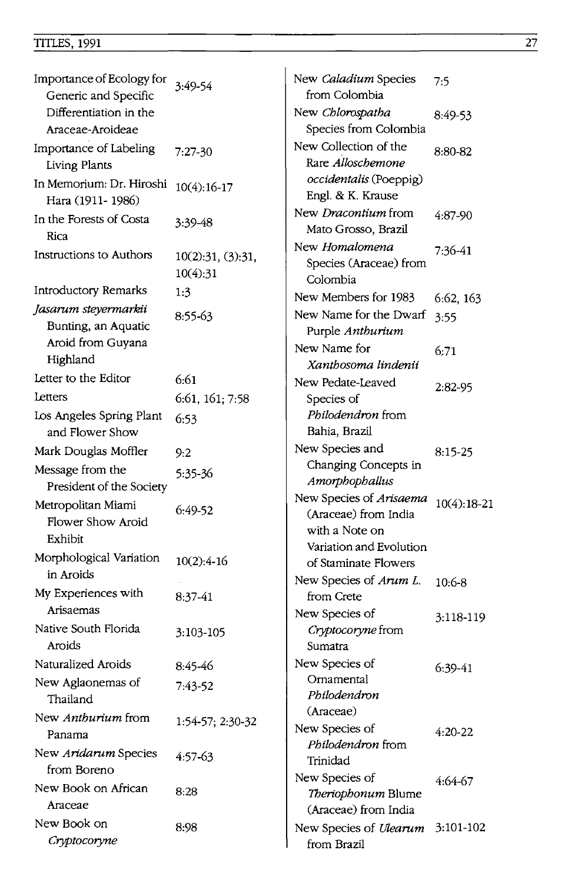# TITLES, 1991 27

| Importance of Ecology for                          | 3:49-54                       | New Caladium Species                                              | 7:5           |
|----------------------------------------------------|-------------------------------|-------------------------------------------------------------------|---------------|
| Generic and Specific                               |                               | from Colombia                                                     |               |
| Differentiation in the                             |                               | New Chlorospatha                                                  | 8:49-53       |
| Araceae-Aroideae                                   |                               | Species from Colombia                                             |               |
| Importance of Labeling<br>Living Plants            | $7:27-30$                     | New Collection of the<br>Rare Alloschemone                        | 8:80-82       |
| In Memorium: Dr. Hiroshi<br>Hara (1911-1986)       | $10(4):16-17$                 | occidentalis (Poeppig)<br>Engl. & K. Krause                       |               |
| In the Forests of Costa<br>Rica                    | 3:39-48                       | New Dracontium from<br>Mato Grosso, Brazil                        | 4:87-90       |
| Instructions to Authors                            | 10(2):31, (3):31,<br>10(4):31 | New Homalomena<br>Species (Araceae) from<br>Colombia              | 7:36-41       |
| Introductory Remarks                               | 1:3                           | New Members for 1983                                              | 6:62, 163     |
| Jasarum steyermarkii                               | 8:55-63                       | New Name for the Dwarf                                            |               |
| Bunting, an Aquatic                                |                               | Purple Anthurium                                                  | 3:55          |
| Aroid from Guyana                                  |                               | New Name for                                                      | 6:71          |
| Highland                                           |                               | Xanthosoma lindenii                                               |               |
| Letter to the Editor                               | 6:61                          | New Pedate-Leaved                                                 |               |
| Letters                                            | 6:61, 161; 7:58               | Species of                                                        | $2:82-95$     |
| Los Angeles Spring Plant                           | 6:53                          | <i>Philodendron</i> from                                          |               |
| and Flower Show                                    |                               | Bahia, Brazil                                                     |               |
| Mark Douglas Moffler                               | 9:2                           | New Species and                                                   | $8:15-25$     |
| Message from the<br>President of the Society       | 5:35-36                       | Changing Concepts in<br>Amorphophallus                            |               |
| Metropolitan Miami<br>Flower Show Aroid<br>Exhibit | $6:49-52$                     | New Species of Arisaema<br>(Araceae) from India<br>with a Note on | $10(4):18-21$ |
| Morphological Variation                            | $10(2):4-16$                  | Variation and Evolution<br>of Staminate Flowers                   |               |
| in Aroids                                          |                               | New Species of Arum L.                                            |               |
| My Experiences with<br>Arisaemas                   | 8:37-41                       | from Crete                                                        | $10:6 - 8$    |
|                                                    |                               | New Species of                                                    | 3:118-119     |
| Native South Florida<br>Aroids                     | 3:103-105                     | Cryptocoryne from<br>Sumatra                                      |               |
| Naturalized Aroids                                 | 8:45-46                       | New Species of                                                    | $6:39-41$     |
| New Aglaonemas of<br>Thailand                      | 7:43-52                       | Ornamental<br>Philodendron                                        |               |
| New Anthurium from                                 | 1:54-57; 2:30-32              | (Araceae)                                                         |               |
| Panama                                             |                               | New Species of                                                    | 4:20-22       |
| New Aridarum Species                               | 4:57-63                       | Philodendron from                                                 |               |
| from Boreno                                        |                               | Trinidad                                                          |               |
| New Book on African                                | 8:28                          | New Species of                                                    | 4:64-67       |
| Araceae                                            |                               | Theriophonum Blume<br>(Araceae) from India                        |               |
| New Book on                                        | 8:98                          |                                                                   |               |
| Cryptocoryne                                       |                               | New Species of Ulearum<br>from Brazil                             | 3:101-102     |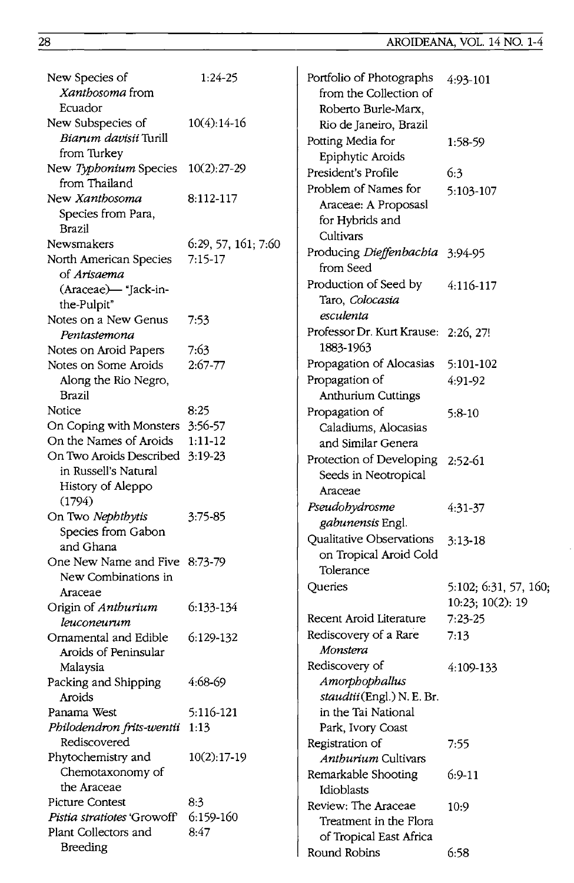| New Species of<br><i>Xanthosoma</i> from<br>Ecuador | $1:24-25$           | Portfolio of Photographs<br>from the Collection of<br>Roberto Burle-Marx, | 4:93-101    |
|-----------------------------------------------------|---------------------|---------------------------------------------------------------------------|-------------|
| New Subspecies of                                   | $10(4):14-16$       | Rio de Janeiro, Brazil                                                    |             |
| <i>Biarum davisii</i> Turill<br>from Turkey         |                     | Potting Media for                                                         | 1:58-59     |
| New Typhonium Species                               | $10(2):27-29$       | Epiphytic Aroids                                                          |             |
| from Thailand                                       |                     | President's Profile                                                       | 6:3         |
| New Xanthosoma                                      | 8:112-117           | Problem of Names for                                                      | 5:103-107   |
| Species from Para,                                  |                     | Araceae: A Proposasl                                                      |             |
| Brazil                                              |                     | for Hybrids and                                                           |             |
| Newsmakers                                          | 6:29, 57, 161; 7:60 | Cultivars                                                                 |             |
| North American Species                              | $7:15-17$           | Producing Dieffenbachia                                                   | 3:94-95     |
| of Arisaema                                         |                     | from Seed                                                                 |             |
| (Araceae) - "Jack-in-                               |                     | Production of Seed by                                                     | 4:116-117   |
| the-Pulpit"                                         |                     | Taro, Colocasia                                                           |             |
| Notes on a New Genus                                | 7:53                | esculenta                                                                 |             |
| Pentastemona                                        |                     | Professor Dr. Kurt Krause: 2:26, 27!                                      |             |
| Notes on Aroid Papers                               | 7:63                | 1883-1963                                                                 |             |
| Notes on Some Aroids                                | $2:67 - 77$         | Propagation of Alocasias                                                  | 5:101-102   |
| Along the Rio Negro,                                |                     | Propagation of                                                            | 4:91-92     |
| Brazil                                              |                     | Anthurium Cuttings                                                        |             |
| Notice                                              | 8:25                | Propagation of                                                            | 5:8-10      |
| On Coping with Monsters 3:56-57                     |                     | Caladiums, Alocasias                                                      |             |
| On the Names of Aroids                              | $1:11-12$           | and Similar Genera                                                        |             |
| On Two Aroids Described 3:19-23                     |                     | Protection of Developing                                                  | $2:52-61$   |
| in Russell's Natural                                |                     | Seeds in Neotropical                                                      |             |
| History of Aleppo                                   |                     | Araceae                                                                   |             |
| (1794)                                              | 3:75-85             | Pseudohydrosme                                                            | 4:31-37     |
| On Two Nephthytis<br>Species from Gabon             |                     | gabunensis Engl.                                                          |             |
| and Ghana                                           |                     | Qualitative Observations                                                  | $3:13 - 18$ |
| One New Name and Five 8:73-79                       |                     | on Tropical Aroid Cold                                                    |             |
| New Combinations in                                 |                     | Tolerance                                                                 |             |
| Araceae                                             |                     | Queries                                                                   | 5:102; 6:37 |
| Origin of Anthurium                                 | 6:133-134           |                                                                           | 10:23;100   |
| leuconeurum                                         |                     | Recent Aroid Literature                                                   | $7:23-25$   |
| Ornamental and Edible                               | 6:129-132           | Rediscovery of a Rare                                                     | 7:13        |
| Aroids of Peninsular                                |                     | Monstera                                                                  |             |
| Malaysia                                            |                     | Rediscovery of                                                            | 4:109-133   |
| Packing and Shipping                                | 4:68-69             | Amorphophallus                                                            |             |
| Aroids                                              |                     | staudtii(Engl.) N. E. Br.                                                 |             |
| Panama West                                         | 5:116-121           | in the Tai National                                                       |             |
| Philodendron frits-wentii                           | - 1:13              | Park, Ivory Coast                                                         |             |
| Rediscovered                                        |                     | Registration of                                                           | 7:55        |
| Phytochemistry and                                  | $10(2):17-19$       | Anthurium Cultivars                                                       |             |
| Chemotaxonomy of                                    |                     | Remarkable Shooting                                                       | $6:9-11$    |
| the Araceae                                         |                     | Idioblasts                                                                |             |
| Picture Contest                                     | 8:3                 | Review: The Araceae                                                       | 10:9        |
| Pistia stratiotes 'Growoff'                         | 6:159-160           | Treatment in the Flora                                                    |             |
| Plant Collectors and                                | 8:47                | of Tropical East Africa                                                   |             |
| <b>Breeding</b>                                     |                     | Round Robins                                                              | 6.58        |

| New Species of<br>Xanthosoma from<br>Ecuador  | $1:24-25$           | Portfolio of Photographs<br>from the Collection of<br>Roberto Burle-Marx, | 4:93-101              |
|-----------------------------------------------|---------------------|---------------------------------------------------------------------------|-----------------------|
| New Subspecies of                             | $10(4):14-16$       | Rio de Janeiro, Brazil                                                    |                       |
| Biarum davisii Turill                         |                     | Potting Media for                                                         | 1:58-59               |
| from Turkey                                   |                     | Epiphytic Aroids                                                          |                       |
| New Typhonium Species 10(2):27-29             |                     | President's Profile                                                       | 6:3                   |
| from Thailand                                 |                     | Problem of Names for                                                      | 5:103-107             |
| New <i>Xanthosoma</i>                         | 8:112-117           | Araceae: A Proposasl                                                      |                       |
| Species from Para,                            |                     | for Hybrids and                                                           |                       |
| Brazil                                        |                     | Cultivars                                                                 |                       |
| Newsmakers                                    | 6:29, 57, 161; 7:60 | Producing Dieffenbachia 3:94-95                                           |                       |
| North American Species                        | $7:15-17$           | from Seed                                                                 |                       |
| of Arisaema                                   |                     | Production of Seed by                                                     | 4:116-117             |
| (Araceae)-"Jack-in-                           |                     | Taro, Colocasia                                                           |                       |
| the-Pulpit"<br>Notes on a New Genus           |                     | esculenta                                                                 |                       |
| Pentastemona                                  | 7:53                | Professor Dr. Kurt Krause: 2:26, 27!                                      |                       |
| Notes on Aroid Papers                         | 7:63                | 1883-1963                                                                 |                       |
| Notes on Some Aroids                          | $2:67 - 77$         | Propagation of Alocasias 5:101-102                                        |                       |
| Along the Rio Negro,                          |                     | Propagation of                                                            | 4:91-92               |
| Brazil                                        |                     | Anthurium Cuttings                                                        |                       |
| Notice                                        | 8:25                | Propagation of                                                            | $5:8-10$              |
| On Coping with Monsters 3:56-57               |                     | Caladiums, Alocasias                                                      |                       |
| On the Names of Aroids                        | $1:11-12$           | and Similar Genera                                                        |                       |
| On Two Aroids Described 3:19-23               |                     | Protection of Developing 2:52-61                                          |                       |
| in Russell's Natural                          |                     | Seeds in Neotropical                                                      |                       |
| History of Aleppo                             |                     | Araceae                                                                   |                       |
| (1794)                                        |                     |                                                                           |                       |
| On Two Nephthytis                             | 3:75-85             | Pseudohydrosme<br>gabunensis Engl.                                        | $4:31-37$             |
| Species from Gabon                            |                     | Qualitative Observations                                                  |                       |
| and Ghana                                     |                     |                                                                           | $3:13 - 18$           |
| One New Name and Five 8:73-79                 |                     | on Tropical Aroid Cold<br>Tolerance                                       |                       |
| New Combinations in                           |                     |                                                                           |                       |
| Araceae                                       |                     | Queries                                                                   | 5:102; 6:31, 57, 160; |
| Origin of Anthurium                           | 6:133-134           |                                                                           | 10:23; 10(2): 19      |
| leuconeurum                                   |                     | Recent Aroid Literature                                                   | $7:23-25$             |
| Ornamental and Edible                         | 6:129-132           | Rediscovery of a Rare                                                     | 7:13                  |
| Aroids of Peninsular                          |                     | Monstera                                                                  |                       |
| Malaysia                                      |                     | Rediscovery of                                                            | 4:109-133             |
| Packing and Shipping                          | 4:68-69             | Amorphophallus                                                            |                       |
| Aroids                                        |                     | staudtii(Engl.) N. E. Br.<br>in the Tai National                          |                       |
| Panama West<br>Philodendron frits-wentii 1:13 | 5:116-121           | Park, Ivory Coast                                                         |                       |
| Rediscovered                                  |                     |                                                                           |                       |
| Phytochemistry and                            | $10(2):17-19$       | Registration of<br>Anthurium Cultivars                                    | 7:55                  |
| Chemotaxonomy of                              |                     | Remarkable Shooting                                                       | $6:9-11$              |
| the Araceae                                   |                     | Idioblasts                                                                |                       |
| Picture Contest                               | 8:3                 | Review: The Araceae                                                       |                       |
| Pistia stratiotes 'Growoff'                   | 6:159-160           | Treatment in the Flora                                                    | 10:9                  |
| Plant Collectors and                          | 8:47                | of Tropical East Africa                                                   |                       |
| <b>Breeding</b>                               |                     | Round Robins                                                              | 6:58                  |
|                                               |                     |                                                                           |                       |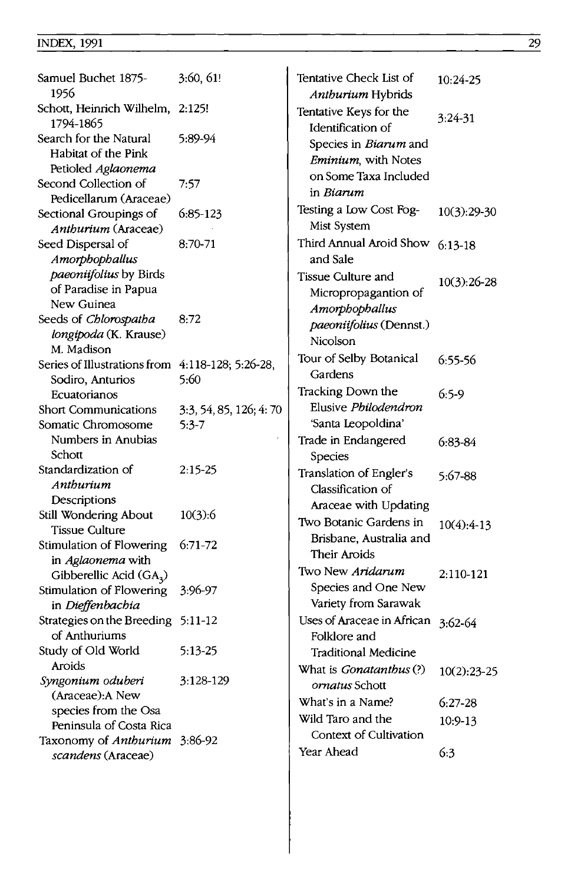| Samuel Buchet 1875-<br>1956                                         | 3:60, 61!               | Tentative Check List of<br>Anthurium Hybrids | 10:24-25      |
|---------------------------------------------------------------------|-------------------------|----------------------------------------------|---------------|
| Schott, Heinrich Wilhelm, 2:125!<br>1794-1865                       |                         | Tentative Keys for the<br>Identification of  | 3:24-31       |
| Search for the Natural<br>Habitat of the Pink<br>Petioled Aglaonema | 5:89-94                 | Species in Biarum and<br>Eminium, with Notes |               |
| Second Collection of<br>Pedicellarum (Araceae)                      | 7:57                    | on Some Taxa Included<br>in Biarum           |               |
| Sectional Groupings of                                              | $6:85-123$              | Testing a Low Cost Fog-<br>Mist System       | $10(3):29-30$ |
| Anthurium (Araceae)<br>Seed Dispersal of                            | 8:70-71                 | Third Annual Aroid Show                      | $6:13-18$     |
| Amorphophallus<br>paeoniifolius by Birds                            |                         | and Sale<br>Tissue Culture and               | $10(3):26-28$ |
| of Paradise in Papua<br>New Guinea                                  |                         | Micropropagantion of<br>Amorphophallus       |               |
| Seeds of <i>Chlorospatha</i><br>longipoda (K. Krause)               | 8:72                    | paeoniifolius (Dennst.)                      |               |
| M. Madison                                                          |                         | Nicolson                                     |               |
| Series of Illustrations from $4:118-128$ ; 5:26-28,                 |                         | Tour of Selby Botanical                      | 6:55-56       |
| Sodiro, Anturios                                                    | 5:60                    | Gardens                                      |               |
| Ecuatorianos                                                        |                         | Tracking Down the                            | $6:5-9$       |
| <b>Short Communications</b>                                         | 3:3, 54, 85, 126; 4: 70 | Elusive Philodendron                         |               |
| Somatic Chromosome                                                  | $5:3-7$                 | 'Santa Leopoldina'                           |               |
| Numbers in Anubias                                                  |                         | Trade in Endangered                          | $6:83-84$     |
| Schott                                                              |                         | Species                                      |               |
| Standardization of                                                  | $2:15-25$               | Translation of Engler's                      | 5:67-88       |
| Anthurium                                                           |                         | Classification of                            |               |
| Descriptions                                                        |                         | Araceae with Updating                        |               |
| Still Wondering About                                               | 10(3):6                 | Two Botanic Gardens in                       |               |
| Tissue Culture                                                      |                         | Brisbane, Australia and                      | $10(4):4-13$  |
| Stimulation of Flowering                                            | $6:71-72$               | Their Aroids                                 |               |
| in Aglaonema with                                                   |                         |                                              |               |
| Gibberellic Acid (GA <sub>3</sub> )                                 |                         | Two New Aridarum                             | 2:110-121     |
| Stimulation of Flowering                                            | 3:96-97                 | Species and One New                          |               |
| in Dieffenbachia                                                    |                         | Variety from Sarawak                         |               |
| Strategies on the Breeding 5:11-12                                  |                         | Uses of Araceae in African                   | $3:62-64$     |
| of Anthuriums                                                       |                         | Folklore and                                 |               |
| Study of Old World                                                  | 5:13-25                 | <b>Traditional Medicine</b>                  |               |
| Aroids                                                              |                         | What is <i>Gonatanthus</i> (?)               | $10(2):23-25$ |
| Syngonium oduberi                                                   | 3:128-129               | ornatus Schott                               |               |
| (Araceae): A New                                                    |                         | What's in a Name?                            | $6:27-28$     |
| species from the Osa                                                |                         | Wild Taro and the                            | 10:9-13       |
| Peninsula of Costa Rica                                             |                         | Context of Cultivation                       |               |
| Taxonomy of <i>Anthurium</i> 3:86-92<br>scandens (Araceae)          |                         | Year Ahead                                   | 6:3           |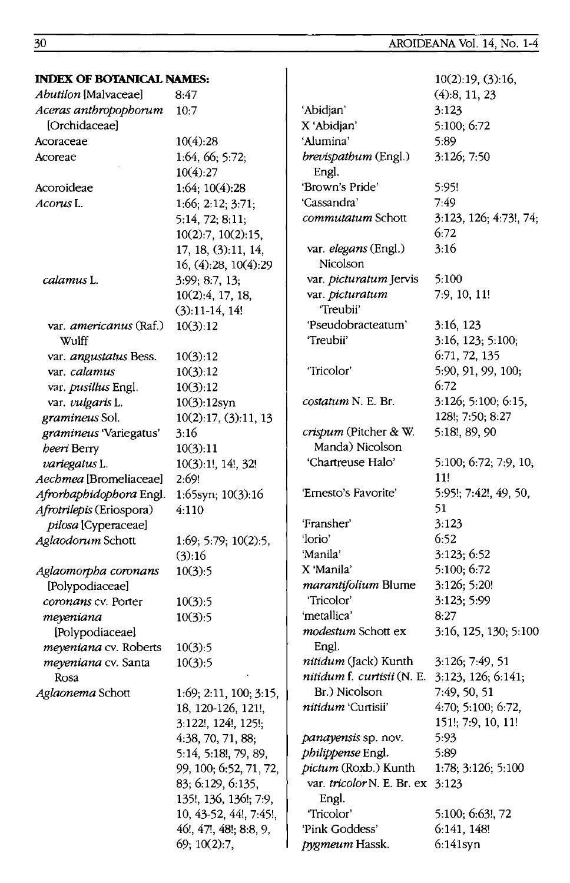5:100: 6:72

3:123

5:89 3:126; 7:50

5:95!

 $7:49$ 

 $6:72$ 

 $3:16$ 

5:100

 $6:72$ 

 $11!$ 

51

3:123

3:123; 6:52

5:100; 6:72

3:126; 5:20!

3:123; 5:99

3:16, 125, 130; 5:100

3:126; 7:49, 51

7:49, 50, 51

3:123, 126; 6:141;

4:70; 5:100; 6:72,

151!; 7:9, 10, 11!

1:78: 3:126: 5:100

5:100; 6:63!, 72

6:141, 148!

6:141syn

 $6:52$ 

 $8:27$ 

5:93

5:89

'Pink Goddess'

pygmeum Hassk.

7:9, 10, 11!

3:16, 123

3:16, 123; 5:100;

5:90, 91, 99, 100;

 $3:126$ ; 5:100; 6:15,

5:100; 6:72; 7:9, 10,

5:95!; 7:42!, 49, 50,

128!; 7:50; 8:27

5:18!, 89, 90

6:71, 72, 135

 $10(2):19(3):16$  $(4):8, 11, 23$ 

3:123, 126; 4:73!, 74;

#### **INDEX OF BOTANICAL NAMES:** Abutilon [Malvaceae]  $8:47$ Aceras anthropophorum  $10:7$ 'Abidjan' [Orchidaceae] X 'Abidian' 'Alumina' Acoraceae  $10(4):28$ Acoreae 1:64, 66; 5:72; brevispathum (Engl.)  $10(4):27$ Engl. 'Brown's Pride' Acoroideae  $1:64:10(4):28$  $1:66; 2:12; 3:71;$ 'Cassandra' Acorus L. commutatum Schott  $5:14, 72; 8:11;$  $10(2):7$ ,  $10(2):15$ , var. elegans (Engl.) 17, 18, (3):11, 14, Nicolson 16, (4):28, 10(4):29 var. picturatum Jervis calamus L. 3:99: 8:7, 13: var. picturatum 10(2):4, 17, 18, 'Treubii'  $(3):11-14, 14!$ 'Pseudobracteatum' var. americanus (Raf.)  $10(3):12$ 'Treubii' Wulff var. angustatus Bess.  $10(3):12$ "Tricolor" var. calamus  $10(3):12$ var. pusillus Engl.  $10(3):12$ costatum N. E. Br. var. vulgaris L.  $10(3):12$ syn  $10(2):17(3):11,13$ gramineus Sol. crispum (Pitcher & W. gramineus 'Variegatus'  $3:16$ Manda) Nicolson beeri Berry  $10(3):11$ 'Chartreuse Halo' variegatus L. 10(3):1!, 14!, 32! Aechmea [Bromeliaceae]  $2:69!$ 'Ernesto's Favorite' Afrorbaphidophora Engl.  $1:65$ syn;  $10(3):16$ Afrotrilepis (Eriospora)  $4.110$ 'Fransher' pilosa [Cyperaceae] 'lorio' Aglaodorum Schott  $1.69; 5:79; 10(2):5$ 'Manila'  $(3):16$ X 'Manila' Aglaomorpha coronans  $10(3):5$ [Polypodiaceae] marantifolium Blume coronans cv. Porter  $10(3):5$ 'Tricolor' 'metallica' meyeniana  $10(3):5$ modestum Schott ex [Polypodiaceae] Engl. meyeniana cv. Roberts  $10(3):5$ nitidum (Jack) Kunth meyeniana cv. Santa  $10(3):5$ nitidum f. curtisii (N. E. Rosa Br.) Nicolson Aglaonema Schott  $1:69; 2:11, 100; 3:15,$ nitidum 'Curtisii' 18, 120-126, 121!, 3:122!, 124!, 125!; panayensis sp. nov. 4:38, 70, 71, 88; philippense Engl. 5:14, 5:18!, 79, 89, 99, 100; 6:52, 71, 72, pictum (Roxb.) Kunth var. tricolor N. E. Br. ex 3:123 83; 6:129, 6:135, 135!, 136, 136!; 7:9, Engl. 10, 43-52, 44!, 7:45!, 'Tricolor'

46!, 47!, 48!; 8:8, 9,  $69; 10(2):7$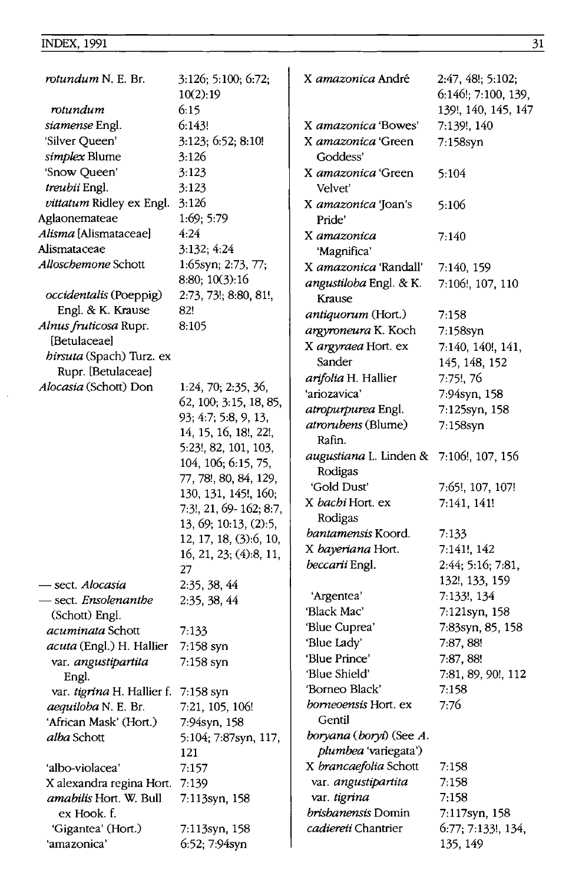$\frac{1}{2}$ 

| rotundum N. E. Br.                                | 3:126; 5:100; 6:72;<br>10(2):19 | X <i>amazonica</i> André    | $2:47, 48!$ ; 5:102;<br>6:146!; 7:100, 139, |
|---------------------------------------------------|---------------------------------|-----------------------------|---------------------------------------------|
| rotundum                                          | 6:15                            |                             | 139!, 140, 145, 147                         |
| siamense Engl.                                    | 6:143!                          | X amazonica 'Bowes'         | 7:139!, 140                                 |
| 'Silver Queen'                                    | 3:123; 6:52; 8:10!              | X amazonica 'Green          | 7:158syn                                    |
| simplex Blume                                     | 3:126                           | Goddess'                    |                                             |
| 'Snow Queen'                                      | 3:123                           | X <i>amazonica</i> 'Green   | 5:104                                       |
| treubii Engl.                                     | 3:123                           | Velvet'                     |                                             |
| vittatum Ridley ex Engl.                          | 3:126                           | X amazonica 'Joan's         | 5:106                                       |
| Aglaonemateae                                     | 1:69; 5:79                      | Pride'                      |                                             |
| Alisma [Alismataceae]                             | 4:24                            | X amazonica                 | 7:140                                       |
| Alismataceae                                      | 3:132; 4:24                     | 'Magnifica'                 |                                             |
| <i>Alloschemone</i> Schott                        | 1:65syn; 2:73, 77;              | X amazonica 'Randall'       | 7:140, 159                                  |
|                                                   | 8:80; 10(3):16                  | angustiloba Engl. & K.      | 7:106!, 107, 110                            |
| occidentalis (Poeppig)                            | 2:73, 73!; 8:80, 81!,           | Krause                      |                                             |
| Engl. & K. Krause                                 | 82!                             | antiquorum (Hort.)          | 7:158                                       |
| Alnus fruticosa Rupr.                             | 8:105                           | argyroneura K. Koch         | 7:158syn                                    |
| [Betulaceae]                                      |                                 | X argyraea Hort. ex         | 7:140, 140!, 141,                           |
| birsuta (Spach) Turz. ex                          |                                 | Sander                      | 145, 148, 152                               |
| Rupr. [Betulaceae]                                |                                 | arifolia H. Hallier         | 7:75!, 76                                   |
| Alocasia (Schott) Don                             | 1:24, 70; 2:35, 36,             | 'ariozavica'                | 7:94syn, 158                                |
|                                                   | 62, 100; 3:15, 18, 85,          | atropurpurea Engl.          | 7:125syn, 158                               |
|                                                   | 93; 4:7; 5:8, 9, 13,            | atrorubens (Blume)          | 7:158syn                                    |
|                                                   | 14, 15, 16, 18!, 22!,           | Rafin.                      |                                             |
|                                                   | 5:23!, 82, 101, 103,            | augustiana L. Linden &      | 7:106!, 107, 156                            |
|                                                   | 104, 106; 6:15, 75,             | Rodigas                     |                                             |
|                                                   | 77, 78!, 80, 84, 129,           | 'Gold Dust'                 | 7:65!, 107, 107!                            |
|                                                   | 130, 131, 145!, 160;            | X bachi Hort. ex            | 7:141, 141!                                 |
|                                                   | 7:3!, 21, 69-162; 8:7,          | Rodigas                     |                                             |
|                                                   | 13, 69; 10:13, (2):5,           | bantamensis Koord.          | 7:133                                       |
|                                                   | 12, 17, 18, (3):6, 10,          | X bayeriana Hort.           | 7:141!, 142                                 |
|                                                   | 16, 21, 23; (4):8, 11,          | beccarii Engl.              | 2:44; 5:16; 7:81,                           |
|                                                   | 27                              |                             | 132!, 133, 159                              |
| sect. Alocasia                                    | 2:35, 38, 44                    | 'Argentea'                  | 7:133!, 134                                 |
| - sect. <i>Ensolenanthe</i>                       | 2:35, 38, 44                    | 'Black Mac'                 | 7:121syn, 158                               |
| (Schott) Engl.                                    |                                 | 'Blue Cuprea'               | 7:83syn, 85, 158                            |
| acuminata Schott                                  | 7:133                           | 'Blue Lady'                 | 7:87, 88!                                   |
| acuta (Engl.) H. Hallier                          | 7:158 syn                       | 'Blue Prince'               | 7:87, 88!                                   |
| var. angustipartita                               | 7:158 syn                       | 'Blue Shield'               | 7:81, 89, 90!, 112                          |
| Engl.                                             |                                 | 'Borneo Black'              | 7:158                                       |
| var. tigrina H. Hallier f.<br>aequiloba N. E. Br. | 7:158 syn                       | <i>borneoensis</i> Hort. ex | 7:76                                        |
| 'African Mask' (Hort.)                            | 7:21, 105, 106!                 | Gentil                      |                                             |
| alba Schott                                       | 7:94syn, 158                    | boryana (boryi) (See A.     |                                             |
|                                                   | 5:104; 7:87syn, 117,<br>121     | plumbea 'variegata')        |                                             |
| 'albo-violacea'                                   | 7:157                           | X brancaefolia Schott       | 7:158                                       |
| X alexandra regina Hort.                          | 7:139                           | var. angustipartita         | 7:158                                       |
| amabilis Hort. W. Bull                            | 7:113syn, 158                   | var. tigrina                | 7:158                                       |
| ex Hook. f.                                       |                                 | brisbanensis Domin          | 7:117syn, 158                               |
| 'Gigantea' (Hort.)                                | 7:113syn, 158                   | cadiereii Chantrier         | 6:77; 7:133!, 134,                          |
| 'amazonica'                                       | 6:52; 7:94syn                   |                             | 135, 149                                    |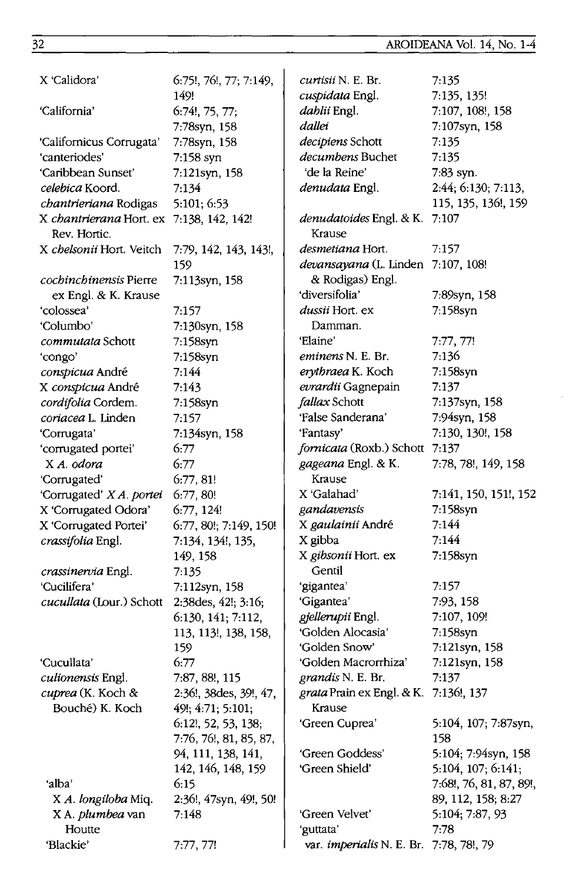| X 'Calidora'                                             | 6:75!, 76!, 77; 7:149,                      | <i>curtisii</i> N. E. Br.                              | 7:135                   |
|----------------------------------------------------------|---------------------------------------------|--------------------------------------------------------|-------------------------|
|                                                          | 149!                                        | cuspidata Engl.                                        | 7:135, 135!             |
| 'California'                                             | 6:74!, 75, 77;                              | dablii Engl.                                           | 7:107, 108!, 158        |
|                                                          | 7:78syn, 158                                | dallei                                                 | 7:107syn, 158           |
| 'Californicus Corrugata'                                 | 7:78syn, 158                                | decipiens Schott                                       | 7:135                   |
| 'canteriodes'                                            | 7:158 syn                                   | decumbens Buchet                                       | 7:135                   |
| 'Caribbean Sunset'                                       | 7:121syn, 158                               | 'de la Reine'                                          | 7:83 syn.               |
| celebica Koord.                                          | 7:134                                       | denudata Engl.                                         | 2:44; 6:130; 7:113,     |
| chantrieriana Rodigas                                    | 5:101; 6:53                                 |                                                        | 115, 135, 136!, 159     |
| X chantrierana Hort. ex 7:138, 142, 142!<br>Rev. Hortic. |                                             | denudatoides Engl. & K.<br>Krause                      | 7:107                   |
| X chelsonii Hort. Veitch                                 | 7:79, 142, 143, 143!,                       | desmetiana Hort.                                       | 7:157                   |
|                                                          | 159                                         | devansayana (L. Linden 7:107, 108!                     |                         |
| <i>cochinchinensis</i> Pierre<br>ex Engl. & K. Krause    | 7:113syn, 158                               | & Rodigas) Engl.<br>'diversifolia'                     | 7:89syn, 158            |
| 'colossea'                                               | 7:157                                       | dussii Hort. ex                                        | 7:158syn                |
| 'Columbo'                                                | 7:130syn, 158                               | Damman.                                                |                         |
| <i>commutata</i> Schott                                  | 7:158syn                                    | 'Elaine'                                               | 7:77, 77!               |
| 'congo'                                                  | 7:158syn                                    | eminens N. E. Br.                                      | 7:136                   |
| conspicua André                                          | 7:144                                       | erythraea K. Koch                                      | 7:158syn                |
| X conspicua André                                        | 7:143                                       | evrardii Gagnepain                                     | 7:137                   |
| cordifolia Cordem.                                       | 7:158syn                                    | fallax Schott                                          | 7:137syn, 158           |
| coriacea L. Linden                                       | 7:157                                       | 'False Sanderana'                                      | 7:94syn, 158            |
| 'Corrugata'                                              | 7:134syn, 158                               | 'Fantasy'                                              | 7:130, 130!, 158        |
| 'corrugated portei'                                      | 6:77                                        | fornicata (Roxb.) Schott                               | 7:137                   |
| X A. odora                                               | 6:77                                        | gageana Engl. & K.                                     | 7:78, 78!, 149, 158     |
| 'Corrugated'                                             | 6:77,81!                                    | Krause                                                 |                         |
| 'Corrugated' X A. portei                                 | 6:77,80!                                    | X 'Galahad'                                            | 7:141, 150, 151!, 152   |
| X 'Corrugated Odora'                                     | 6:77,124!                                   | gandavensis                                            | 7:158syn                |
| X 'Corrugated Portei'                                    | 6:77, 80!; 7:149, 150!                      | X gaulainii André                                      | 7:144                   |
| crassifolia Engl.                                        | 7:134, 134!, 135,                           | X gibba                                                | 7:144                   |
|                                                          | 149, 158                                    | X gibsonii Hort. ex                                    | 7:158syn                |
| crassinervia Engl.                                       | 7:135                                       | Gentil                                                 |                         |
| 'Cucilifera'                                             | 7:112syn, 158                               | 'gigantea'                                             | 7:157                   |
| cucullata (Lour.) Schott                                 | 2:38 des, 42!; 3:16;                        | 'Gigantea'                                             | 7:93, 158               |
|                                                          | 6:130, 141; 7:112,                          | gjellerupii Engl.                                      | 7:107, 109!             |
|                                                          | 113, 113!, 138, 158,                        | 'Golden Alocasia'                                      | 7:158syn                |
|                                                          | 159                                         | 'Golden Snow'                                          | 7:121syn, 158           |
| 'Cucullata'                                              | 6:77                                        | 'Golden Macrorrhiza'                                   | 7:121syn, 158           |
| culionensis Engl.                                        | 7:87, 88!, 115                              | grandis N. E. Br.                                      | 7:137                   |
| cuprea (K. Koch &<br>Bouché) K. Koch                     | 2:36!, 38des, 39!, 47,<br>49!; 4:71; 5:101; | <i>grata</i> Prain ex Engl. & K. 7:136!, 137<br>Krause |                         |
|                                                          | 6:12!, 52, 53, 138;                         | 'Green Cuprea'                                         | 5:104, 107; 7:87syn,    |
|                                                          | 7:76, 76!, 81, 85, 87,                      |                                                        | 158                     |
|                                                          | 94, 111, 138, 141,                          | 'Green Goddess'                                        | 5:104; 7:94syn, 158     |
|                                                          | 142, 146, 148, 159                          | 'Green Shield'                                         | 5:104, 107; 6:141;      |
| ʻalba'                                                   | 6:15                                        |                                                        | 7:68!, 76, 81, 87, 89!, |
| X A. longiloba Miq.                                      | 2:36!, 47syn, 49!, 50!                      |                                                        | 89, 112, 158; 8:27      |
| X A. <i>plumbea</i> van                                  | 7:148                                       | 'Green Velvet'                                         | 5:104; 7:87, 93         |
| Houtte                                                   |                                             | 'guttata'                                              | 7:78                    |
| 'Blackie'                                                | 7:77, 77!                                   | var. <i>imperialis</i> N. E. Br. 7:78, 78!, 79         |                         |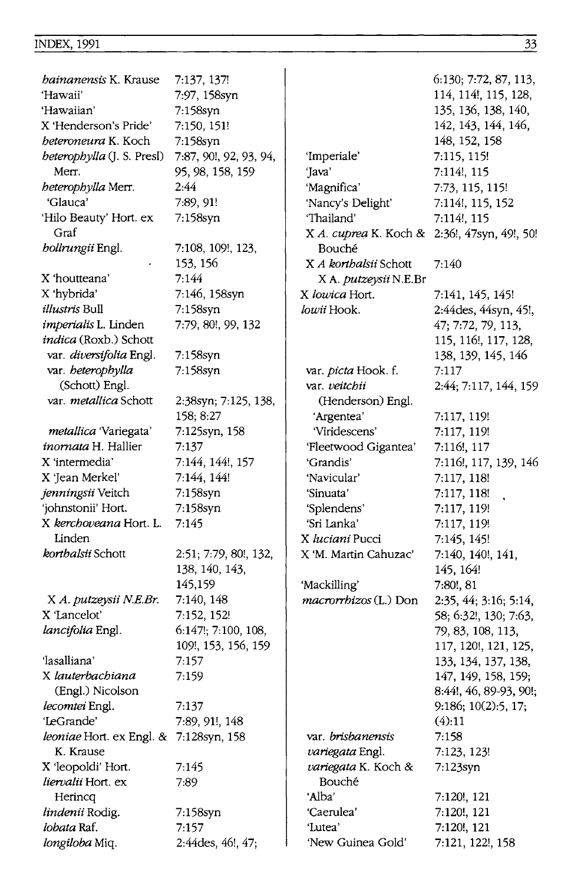#### **INDEX, 1991**

| <i>bainanensis</i> K. Krause           | 7:137, 137!            |                                                            | 6:130; 7:72, 87, 113,                         |
|----------------------------------------|------------------------|------------------------------------------------------------|-----------------------------------------------|
| 'Hawaii'                               | 7:97, 158syn           |                                                            | 114, 114!, 115, 128,                          |
| 'Hawaiian'                             | 7:158syn               |                                                            | 135, 136, 138, 140,                           |
| X 'Henderson's Pride'                  | 7:150, 151!            |                                                            | 142, 143, 144, 146,                           |
| <i>beteroneura</i> K. Koch             | 7:158syn               |                                                            | 148, 152, 158                                 |
| beterophylla (J. S. Presl)             | 7:87, 90!, 92, 93, 94, | 'Imperiale'                                                | 7:115, 115!                                   |
| Merr.                                  | 95, 98, 158, 159       | 'Java'                                                     | 7:114!, 115                                   |
| heterophylla Merr.                     | 2:44                   | 'Magnifica'                                                | 7:73, 115, 115!                               |
| 'Glauca'                               | 7:89, 91!              | 'Nancy's Delight'                                          | 7:114!, 115, 152                              |
| 'Hilo Beauty' Hort. ex<br>Graf         | 7:158syn               | 'Thailand'<br>X A. cuprea K. Koch & 2:36!, 47syn, 49!, 50! | 7:114!, 115                                   |
| bollrungii Engl.                       | 7:108, 109!, 123,      | Bouché                                                     |                                               |
|                                        | 153, 156               | X <i>A kortbalsii</i> Schott                               | 7:140                                         |
| X 'houtteana'                          | 7:144                  | X A. <i>putzeysii</i> N.E.Br                               |                                               |
| X 'hybrida'                            | 7:146, 158syn          | X lowica Hort.                                             | 7:141, 145, 145!                              |
| <i>illustris</i> Bull                  | 7:158syn               | lowii Hook.                                                | 2:44des, 44syn, 45!,                          |
| <i>imperialis</i> L. Linden            | 7:79, 80!, 99, 132     |                                                            | 47; 7:72, 79, 113,                            |
| indica (Roxb.) Schott                  |                        |                                                            | 115, 116!, 117, 128,                          |
| var. diversifolia Engl.                | 7:158syn               |                                                            | 138, 139, 145, 146                            |
| var. heterophylla                      | 7:158syn               | var. picta Hook. f.                                        | 7:117                                         |
| (Schott) Engl.                         |                        | var. veitchii                                              | 2:44; 7:117, 144, 159                         |
| var. <i>metallica</i> Schott           | 2:38syn; 7:125, 138,   | (Henderson) Engl.                                          |                                               |
|                                        | 158; 8:27              | 'Argentea'                                                 | 7:117, 119!                                   |
| metallica 'Variegata'                  | 7:125syn, 158          | 'Viridescens'                                              | 7:117, 119!                                   |
| <i>inornata</i> H. Hallier             | 7:137                  | 'Fleetwood Gigantea'                                       | 7:116!, 117                                   |
| X 'intermedia'                         | 7:144, 144!, 157       | 'Grandis'                                                  | 7:116!, 117, 139, 146                         |
| X 'Jean Merkel'                        | 7:144, 144!            | 'Navicular'                                                | 7:117, 118!                                   |
| jenningsii Veitch                      | 7:158syn               | 'Sinuata'                                                  | 7:117, 118!                                   |
| 'johnstonii' Hort.                     | 7:158syn               | 'Splendens'                                                | 7:117, 119!                                   |
| X kerchoveana Hort. L.                 | 7:145                  | 'Sri Lanka'                                                | 7:117, 119!                                   |
| Linden                                 |                        | X <i>luciani</i> Pucci                                     | 7:145, 145!                                   |
| korthalsii Schott                      | 2:51; 7:79, 80!, 132,  | X 'M. Martin Cahuzac'                                      | 7:140, 140!, 141,                             |
|                                        | 138, 140, 143,         |                                                            | 145, 164!                                     |
|                                        | 145,159                | 'Mackilling'                                               | 7:80!, 81                                     |
| X A. putzeysii N.E.Br.                 | 7:140, 148             | macrorrhizos (L.) Don                                      | 2:35, 44; 3:16; 5:14,                         |
| X 'Lancelot'                           | 7:152, 152!            |                                                            | 58; 6:32!, 130; 7:63,                         |
| lancifolia Engl.                       | 6:147!; 7:100, 108,    |                                                            | 79, 83, 108, 113,                             |
|                                        | 109!, 153, 156, 159    |                                                            | 117, 120!, 121, 125,                          |
| 'lasalliana'                           | 7:157                  |                                                            | 133, 134, 137, 138,                           |
| X lauterbachiana<br>(Engl.) Nicolson   | 7:159                  |                                                            | 147, 149, 158, 159;<br>8:44!, 46, 89-93, 90!; |
| lecomtei Engl.                         | 7:137                  |                                                            | 9:186; 10(2):5, 17;                           |
| 'LeGrande'                             | 7:89, 91!, 148         |                                                            | (4):11                                        |
| leoniae Hort. ex Engl. & 7:128syn, 158 |                        | var. brisbanensis                                          | 7:158                                         |
| K. Krause                              |                        | <i>variegata</i> Engl.                                     | 7:123, 123!                                   |
| X 'leopoldi' Hort.                     | 7:145                  | variegata K. Koch &                                        | $7:123$ syn                                   |
| liervalii Hort. ex                     | 7:89                   | Bouché                                                     |                                               |
| Herincq                                |                        | ʻAlba'                                                     | 7:120!, 121                                   |
| lindenii Rodig.                        | 7:158syn               | 'Caerulea'                                                 | 7:120!, 121                                   |
| lobata Raf.                            | 7:157                  | 'Lutea'                                                    | 7:120!, 121                                   |
| longiloba Miq.                         | 2:44des, 46!, 47;      | 'New Guinea Gold'                                          | 7:121, 122!, 158                              |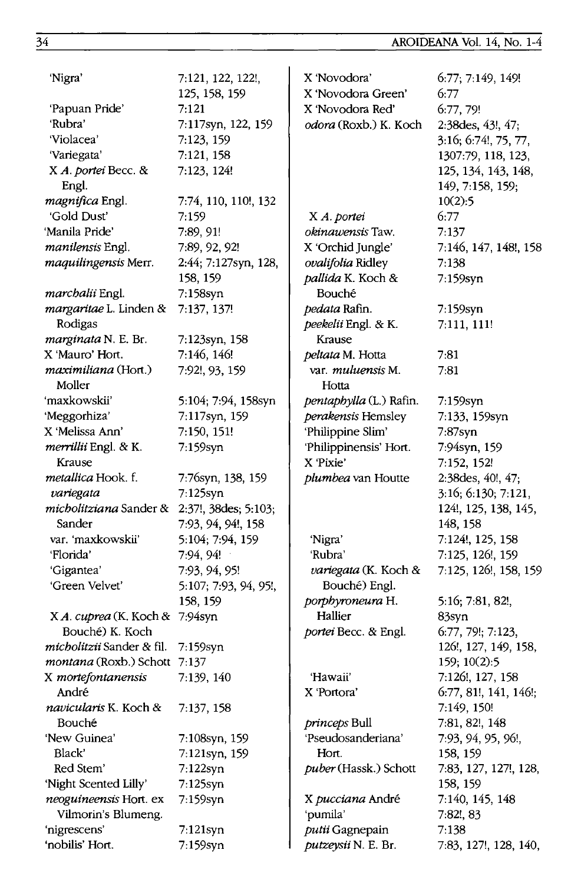| 'Nigra'                        | 7:121, 122, 122!,     | X 'Novodora'             | 6:77; 7:149, 149!     |
|--------------------------------|-----------------------|--------------------------|-----------------------|
|                                | 125, 158, 159         | X 'Novodora Green'       | 6:77                  |
| 'Papuan Pride'                 | 7:121                 | X 'Novodora Red'         | 6:77, 79!             |
| 'Rubra'                        | 7:117syn, 122, 159    | odora (Roxb.) K. Koch    | 2:38des, 43!, 47;     |
| 'Violacea'                     | 7:123, 159            |                          | 3:16; 6:74!, 75, 77,  |
| 'Variegata'                    | 7:121, 158            |                          | 1307:79, 118, 123,    |
| X A. portei Becc. &            | 7:123, 124!           |                          | 125, 134, 143, 148,   |
| Engl.                          |                       |                          | 149, 7:158, 159;      |
| magnifica Engl.                | 7:74, 110, 110!, 132  |                          | 10(2):5               |
| 'Gold Dust'                    | 7:159                 | X A. portei              | 6:77                  |
| 'Manila Pride'                 | 7:89, 91!             | <i>okinawensis</i> Taw.  | 7:137                 |
| manilensis Engl.               | 7:89, 92, 92!         | X 'Orchid Jungle'        | 7:146, 147, 148!, 158 |
| maquilingensis Merr.           | 2:44; 7:127syn, 128,  | ovalifolia Ridley        | 7:138                 |
|                                | 158, 159              | pallida K. Koch &        | 7:159syn              |
| marchalii Engl.                | 7:158syn              | Bouché                   |                       |
| margaritae L. Linden &         | 7:137, 137!           | pedata Rafin.            | 7:159syn              |
| Rodigas                        |                       | peekelii Engl. & K.      | 7:111, 111!           |
| marginata N. E. Br.            | 7:123syn, 158         | Krause                   |                       |
| X 'Mauro' Hort.                | 7:146, 146!           | peltata M. Hotta         | 7:81                  |
| maximiliana (Hort.)            | 7:92!, 93, 159        | var. <i>muluensis</i> M. | 7:81                  |
| Moller                         |                       | Hotta                    |                       |
| 'maxkowskii'                   | 5:104; 7:94, 158syn   | pentaphylla (L.) Rafin.  | 7:159syn              |
| 'Meggorhiza'                   | 7:117syn, 159         | perakensis Hemsley       | 7:133, 159syn         |
| X 'Melissa Ann'                | 7:150, 151!           | 'Philippine Slim'        | $7:87$ syn            |
| merrillii Engl. & K.           | 7:159syn              | 'Philippinensis' Hort.   | 7:94syn, 159          |
| Krause                         |                       | X 'Pixie'                | 7:152, 152!           |
| <i>metallica</i> Hook. f.      | 7.76syn, 138, 159     | plumbea van Houtte       | 2:38des, 40!, 47;     |
| variegata                      | $7:125$ syn           |                          | 3:16; 6:130; 7:121,   |
| <i>micholitziana</i> Sander &  | 2:37!, 38des; 5:103;  |                          | 124!, 125, 138, 145,  |
| Sander                         | 7:93, 94, 94!, 158    |                          | 148, 158              |
| var. 'maxkowskii'              | 5:104; 7:94, 159      | 'Nigra'                  | 7:124!, 125, 158      |
| 'Florida'                      | 7:94, 94!             | 'Rubra'                  | 7:125, 126!, 159      |
| 'Gigantea'                     | 7:93, 94, 95!         | variegata (K. Koch &     | 7:125, 126!, 158, 159 |
| 'Green Velvet'                 | 5:107; 7:93, 94, 95!, | Bouché) Engl.            |                       |
|                                | 158, 159              | porphyroneura H.         | 5:16; 7:81, 82!,      |
| X A. cuprea (K. Koch & 7:94syn |                       | Hallier                  | 83syn                 |
| Bouché) K. Koch                |                       | portei Becc. & Engl.     | 6:77, 79!; 7:123,     |
| micholitzii Sander & fil.      | 7:159syn              |                          | 126!, 127, 149, 158,  |
| montana (Roxb.) Schott 7:137   |                       |                          | 159; 10(2):5          |
| X mortefontanensis             | 7:139, 140            | 'Hawaii'                 | 7:126!, 127, 158      |
| André                          |                       | X 'Portora'              | 6:77, 81!, 141, 146!; |
| navicularis K. Koch &          | 7:137, 158            |                          | 7:149, 150!           |
| Bouché                         |                       | princeps Bull            | 7:81, 82!, 148        |
| 'New Guinea'                   | 7:108syn, 159         | 'Pseudosanderiana'       | 7:93, 94, 95, 96!,    |
| Black'                         | 7:121syn, 159         | Hort.                    | 158, 159              |
| Red Stem'                      | $7:122$ syn           | puber (Hassk.) Schott    | 7:83, 127, 127!, 128, |
| 'Night Scented Lilly'          | 7:125syn              |                          | 158, 159              |
| neoguineensis Hort. ex         | 7:159syn              | X pucciana André         | 7:140, 145, 148       |
| Vilmorin's Blumeng.            |                       | 'pumila'                 | 7:82!, 83             |
| 'nigrescens'                   | 7:121syn              | putii Gagnepain          | 7:138                 |
| 'nobilis' Hort.                | 7:159syn              | putzeysii N. E. Br.      | 7:83, 127!, 128, 140, |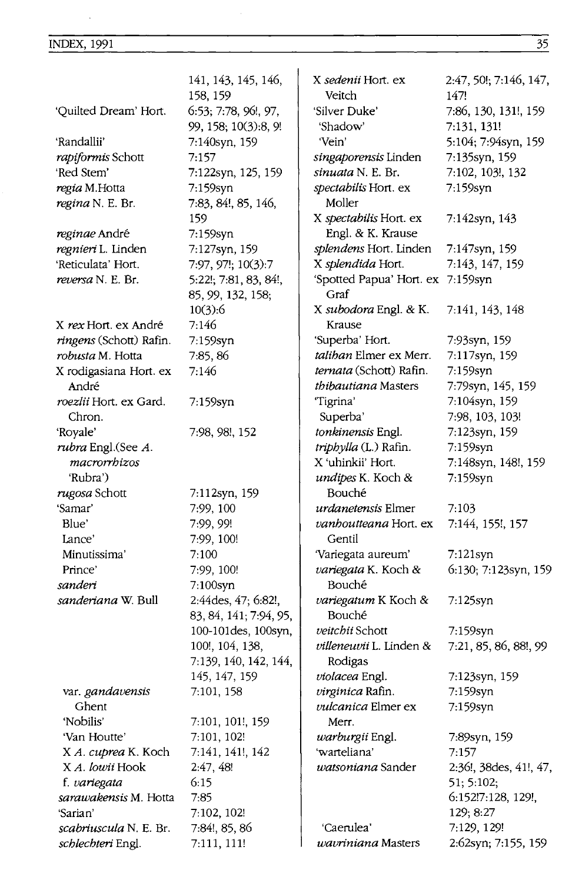$\sim$ 

|                                | 141, 143, 145, 146,                           | X sedenii Hort. ex                        | 2:47, 50!; 7:146, 147, |
|--------------------------------|-----------------------------------------------|-------------------------------------------|------------------------|
|                                | 158, 159                                      | Veitch                                    | 147!                   |
| 'Quilted Dream' Hort.          | 6:53; 7:78, 96!, 97,                          | 'Silver Duke'                             | 7:86, 130, 131!, 159   |
|                                | 99, 158; 10(3):8, 9!                          | 'Shadow'                                  | 7:131, 131!            |
| 'Randallii'                    | 7:140syn, 159                                 | 'Vein'                                    | 5:104; 7:94syn, 159    |
| rapiformis Schott              | 7:157                                         | singaporensis Linden                      | 7:135syn, 159          |
| 'Red Stem'                     | 7:122syn, 125, 159                            | <i>sinuata</i> N. E. Br.                  | 7:102, 103!, 132       |
| regia M.Hotta                  | 7:159syn                                      | spectabilis Hort. ex                      | 7:159syn               |
| regina N. E. Br.               | 7:83, 84!, 85, 146,                           | Moller                                    |                        |
|                                | 159                                           | X spectabilis Hort. ex                    | 7:142syn, 143          |
| reginae André                  | 7:159syn                                      | Engl. & K. Krause                         |                        |
| regnieri L. Linden             | 7:127syn, 159                                 | splendens Hort. Linden                    | 7:147syn, 159          |
| 'Reticulata' Hort.             | 7:97, 97!; 10(3):7                            | X splendida Hort.                         | 7:143, 147, 159        |
| reversa N. E. Br.              | 5:22!; 7:81, 83, 84!,<br>85, 99, 132, 158;    | 'Spotted Papua' Hort. ex 7:159syn<br>Graf |                        |
|                                | 10(3):6                                       | X subodora Engl. & K.                     | 7:141, 143, 148        |
| X rex Hort. ex André           | 7.146                                         | Krause                                    |                        |
| <i>ringens</i> (Schott) Rafin. | 7:159syn                                      | 'Superba' Hort.                           | 7:93syn, 159           |
| robusta M. Hotta               | 7:85, 86                                      | taliban Elmer ex Merr.                    | 7:117syn, 159          |
| X rodigasiana Hort. ex         | 7:146                                         | ternata (Schott) Rafin.                   | 7:159syn               |
| André                          |                                               | <i>thibautiana</i> Masters                | 7:79syn, 145, 159      |
| roezlii Hort. ex Gard.         | 7:159syn                                      | "Tigrina"                                 | 7:104syn, 159          |
| Chron.                         |                                               | Superba'                                  | 7:98, 103, 103!        |
| 'Royale'                       | 7:98, 98!, 152                                | tonkinensis Engl.                         | 7:123syn, 159          |
| <i>rubra</i> Engl.(See A.      |                                               | triphylla (L.) Rafin.                     | 7:159syn               |
| macrorrhizos                   |                                               | X 'uhinkii' Hort.                         | 7:148syn, 148!, 159    |
| 'Rubra')                       |                                               | undipes K. Koch &                         | 7:159syn               |
| <i>rugosa</i> Schott           | 7:112syn, 159                                 | Bouché                                    |                        |
| 'Samar'                        | 7:99, 100                                     | urdanetensis Elmer                        | 7:103                  |
| Blue'                          | 7:99, 99!                                     | vanhoutteana Hort. ex                     | 7:144, 155!, 157       |
| Lance'                         | 7:99, 100!                                    | Gentil                                    |                        |
| Minutissima'                   | 7:100                                         | 'Variegata aureum'                        | $7:121$ syn            |
| Prince'                        | 7:99, 100!                                    | variegata K. Koch &                       | 6:130; 7:123syn, 159   |
| sanderi                        | 7:100syn                                      | Bouché                                    |                        |
| sanderiana W. Bull             | 2:44des, 47; 6:82!,<br>83, 84, 141; 7:94, 95, | variegatum K Koch &<br>Bouché             | 7:125syn               |
|                                | 100-101des, 100syn,                           | veitchii Schott                           | 7:159syn               |
|                                | 100!, 104, 138,                               | villeneuvii L. Linden &                   | 7:21, 85, 86, 88!, 99  |
|                                | 7:139, 140, 142, 144,                         | Rodigas                                   |                        |
|                                | 145, 147, 159                                 | violacea Engl.                            | 7:123syn, 159          |
| var. gandavensis               | 7:101, 158                                    | virginica Rafin.                          | 7:159syn               |
| Ghent                          |                                               | <i>vulcanica</i> Elmer ex                 | 7:159syn               |
| 'Nobilis'                      | 7:101, 101!, 159                              | Merr.                                     |                        |
| 'Van Houtte'                   | 7:101, 102!                                   | warburgii Engl.                           | 7:89syn, 159           |
| X A. cuprea K. Koch            | 7:141, 141!, 142                              | 'warteliana'                              | 7:157                  |
| X A. lowii Hook                | 2:47, 48!                                     | watsoniana Sander                         | 2:36!, 38des, 41!, 47, |
| f. variegata                   | 6:15                                          |                                           | 51; 5:102;             |
| sarawakensis M. Hotta          | 7:85                                          |                                           | 6:152!7:128, 129!,     |
| 'Sarian'                       | 7:102, 102!                                   |                                           | 129; 8:27              |
| scabriuscula N. E. Br.         | 7:84!, 85, 86                                 | 'Caerulea'                                | 7:129, 129!            |
| schlechteri Engl.              | 7:111, 111!                                   | wavriniana Masters                        | 2:62syn; 7:155, 159    |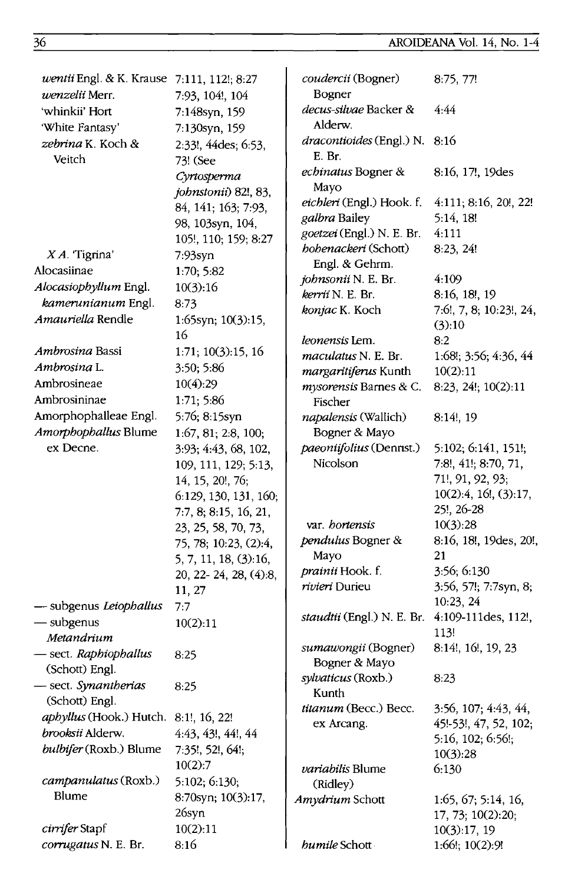| wentii Engl. & K. Krause 7:111, 112!; 8:27 |                       | coudercii (Bogner)                         | 8:75, 77!               |
|--------------------------------------------|-----------------------|--------------------------------------------|-------------------------|
| <i>wenzelii</i> Merr.                      | 7:93, 104!, 104       | Bogner                                     |                         |
| 'whinkii' Hort                             | 7:148syn, 159         | decus-silvae Backer &                      | 4:44                    |
| 'White Fantasy'                            | 7:130syn, 159         | Alderw.                                    |                         |
| zebrina K. Koch &                          | 2:33!, 44des; 6:53,   | dracontioides (Engl.) N. 8:16              |                         |
| Veitch                                     | 73! (See              | E. Br.                                     |                         |
|                                            | Cyrtosperma           | echinatus Bogner &                         | 8:16, 17!, 19des        |
|                                            | johnstonii) 82!, 83,  | Mayo                                       |                         |
|                                            | 84, 141; 163; 7:93,   | eichleri (Engl.) Hook. f.                  | 4:111; 8:16, 20!, 22!   |
|                                            | 98, 103syn, 104,      | galbra Bailey<br>goetzei (Engl.) N. E. Br. | 5:14, 18!               |
|                                            | 105!, 110; 159; 8:27  |                                            | 4:111                   |
| $XA$ . Tigrina'                            | $7:93$ syn            | hohenackeri (Schott)<br>Engl. & Gehrm.     | 8:23, 24!               |
| Alocasiinae                                | 1:70; 5:82            | johnsonii N. E. Br.                        | 4:109                   |
| Alocasiophyllum Engl.                      | 10(3):16              | kerrii N. E. Br.                           | 8:16, 18!, 19           |
| kamerunianum Engl.                         | 8:73                  | konjac K. Koch                             | 7:6!, 7, 8; 10:23!, 24, |
| Amauriella Rendle                          | 1:65syn; 10(3):15,    |                                            | (3):10                  |
|                                            | 16                    | leonensis Lem.                             | 8:2                     |
| <i>Ambrosina</i> Bassi                     | 1:71; 10(3):15, 16    | maculatus N. E. Br.                        | 1:68!; 3:56; 4:36, 44   |
| Ambrosina L.                               | 3:50; 5:86            | margaritiferus Kunth                       | 10(2):11                |
| Ambrosineae                                | 10(4):29              | mysorensis Barnes & C.                     | 8:23, 24!; 10(2):11     |
| Ambrosininae                               | 1:71; 5:86            | Fischer                                    |                         |
| Amorphophalleae Engl.                      | 5:76; 8:15syn         | napalensis (Wallich)                       | $8:14!$ , 19            |
| Amorphophallus Blume                       | 1:67, 81; 2:8, 100;   | Bogner & Mayo                              |                         |
| ex Decne.                                  | 3:93; 4:43, 68, 102,  | paeoniifolius (Dennst.)                    | 5:102; 6:141, 151!;     |
|                                            | 109, 111, 129; 5:13,  | Nicolson                                   | 7:8!, 41!; 8:70, 71,    |
|                                            | 14, 15, 20!, 76;      |                                            | 71!, 91, 92, 93;        |
|                                            | 6:129, 130, 131, 160; |                                            | 10(2):4, 16!, (3):17,   |
|                                            | 7:7, 8; 8:15, 16, 21, |                                            | 25!, 26-28              |
|                                            | 23, 25, 58, 70, 73,   | var. <i>hortensis</i>                      | 10(3):28                |
|                                            | 75, 78; 10:23, (2):4, | pendulus Bogner &                          | 8:16, 18!, 19des, 20!,  |
|                                            | 5, 7, 11, 18, (3):16, | Mayo                                       | 21                      |
|                                            | 20, 22-24, 28, (4):8, | <i>prainii</i> Hook. f.                    | 3:56; 6:130             |
|                                            | 11, 27                | rivieri Durieu                             | 3:56, 57!; 7:7syn, 8;   |
| - subgenus Leiophallus                     | 7:7                   |                                            | 10:23, 24               |
| - subgenus                                 | 10(2):11              | staudtii (Engl.) N. E. Br.                 | 4:109-111des, 112!,     |
| Metandrium                                 |                       |                                            | 113!                    |
| - sect. Raphiophallus                      | 8:25                  | sumawongii (Bogner)<br>Bogner & Mayo       | 8:14!, 16!, 19, 23      |
| (Schott) Engl.                             |                       |                                            |                         |
| - sect. Synantherias                       | 8:25                  | <i>sylvaticus</i> (Roxb.)<br>Kunth         | 8:23                    |
| (Schott) Engl.                             |                       | titanum (Becc.) Becc.                      | 3:56, 107; 4:43, 44,    |
| aphyllus (Hook.) Hutch.                    | 8:1!, 16, 22!         | ex Arcang.                                 | 45!-53!, 47, 52, 102;   |
| brooksii Alderw.                           | 4:43, 43!, 44!, 44    |                                            | 5:16, 102; 6:56!;       |
| bulbifer (Roxb.) Blume                     | 7:35!, 52!, 64!;      |                                            | 10(3):28                |
|                                            | 10(2):7               | variabilis Blume                           | 6:130                   |
| campanulatus (Roxb.)                       | 5:102; 6:130;         | (Ridley)                                   |                         |
| Blume                                      | 8:70syn; 10(3):17,    | Amydrium Schott                            | 1:65, 67; 5:14, 16,     |
|                                            | 26syn                 |                                            | 17, 73; 10(2):20;       |
| cirrifer Stapf                             | 10(2):11              |                                            | 10(3):17, 19            |
| corrugatus N. E. Br.                       | 8:16                  | humile Schott                              | 1:66!; 10(2):9!         |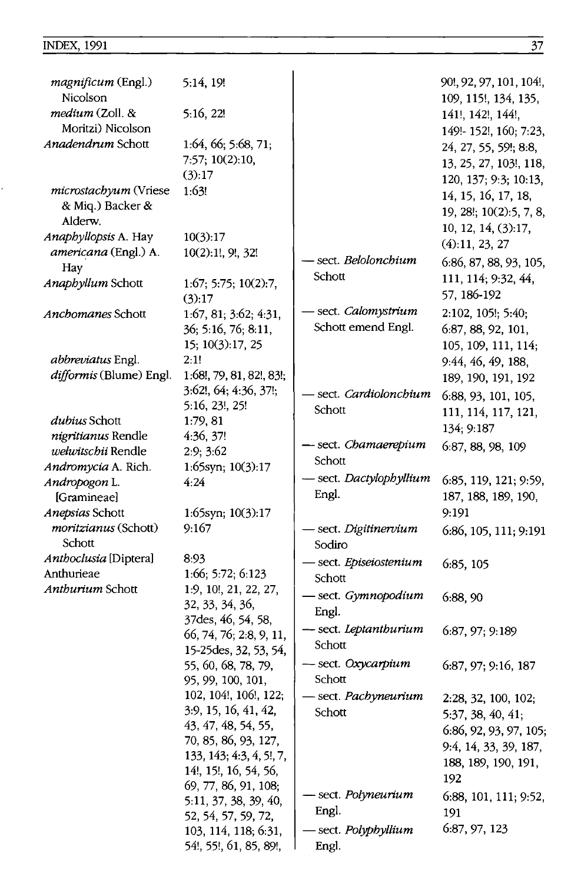| magnificum (Engl.)<br>Nicolson                 | 5:14, 19!                                   |                                         | 90!, 92, 97, 101, 104!,<br>109, 115!, 134, 135, |
|------------------------------------------------|---------------------------------------------|-----------------------------------------|-------------------------------------------------|
| medium (Zoll. &                                | 5:16, 22!                                   |                                         | 141!, 142!, 144!,                               |
| Moritzi) Nicolson                              |                                             |                                         | 149!- 152!, 160; 7:23,                          |
| Anadendrum Schott                              | 1:64, 66; 5:68, 71;                         |                                         | 24, 27, 55, 59!; 8:8,                           |
|                                                | 7:57; 10(2):10,                             |                                         | 13, 25, 27, 103!, 118,                          |
|                                                | (3):17                                      |                                         | 120, 137; 9:3; 10:13,                           |
| microstachyum (Vriese                          | 1:63!                                       |                                         | 14, 15, 16, 17, 18,                             |
| & Miq.) Backer &<br>Alderw.                    |                                             |                                         | 19, 28!; 10(2):5, 7, 8,                         |
| Anaphyllopsis A. Hay                           | 10(3):17                                    |                                         | 10, 12, 14, (3):17,                             |
| americana (Engl.) A.                           | 10(2):1!, 9!, 32!                           |                                         | (4):11, 23, 27                                  |
| Hay                                            |                                             | - sect. <i>Belolonchium</i>             | 6:86, 87, 88, 93, 105,                          |
| Anaphyllum Schott                              | 1:67; 5:75; 10(2):7,                        | Schott                                  | 111, 114; 9:32, 44,                             |
|                                                | (3):17                                      |                                         | 57, 186-192                                     |
| Anchomanes Schott                              | 1:67, 81; 3:62; 4:31,                       | - sect. <i>Calomystrium</i>             | 2:102, 105!; 5:40;                              |
|                                                | 36; 5:16, 76; 8:11,                         | Schott emend Engl.                      | 6:87, 88, 92, 101,                              |
|                                                | 15; 10(3):17, 25                            |                                         | 105, 109, 111, 114;                             |
| <i>abbreviatus</i> Engl.                       | 2:1!                                        |                                         | 9:44, 46, 49, 188,                              |
| difformis (Blume) Engl.                        | 1:68!, 79, 81, 82!, 83!;                    |                                         | 189, 190, 191, 192                              |
|                                                | 3:62!, 64; 4:36, 37!;                       | sect. Cardiolonchium                    | 6:88, 93, 101, 105,                             |
|                                                | 5:16, 23!, 25!                              | Schott                                  | 111, 114, 117, 121,                             |
| dubius Schott                                  | 1:79, 81                                    |                                         | 134; 9:187                                      |
| nigritianus Rendle                             | 4:36, 37!                                   | – sect. <i>Chamaerepium</i>             | 6:87, 88, 98, 109                               |
| welwitschii Rendle                             | 2:9; 3:62                                   | Schott                                  |                                                 |
| Andromycia A. Rich.                            | 1:65syn; 10(3):17                           | — sect. <i>Dactylophyllium</i>          |                                                 |
| Andropogon L.                                  | 4:24                                        | Engl.                                   | 6:85, 119, 121; 9:59,                           |
| [Gramineae]                                    |                                             |                                         | 187, 188, 189, 190,<br>9:191                    |
| Anepsias Schott<br><i>moritzianus</i> (Schott) | 1:65syn; 10(3):17<br>9:167                  | - sect. Digitinervium                   |                                                 |
| Schott                                         |                                             | Sodiro                                  | 6:86, 105, 111; 9:191                           |
| Anthoclusia [Diptera]                          | 8:93                                        |                                         |                                                 |
| Anthurieae                                     | 1:66; 5:72; 6:123                           | - sect. <i>Episeiostenium</i><br>Schott | 6:85, 105                                       |
| Anthurium Schott                               | 1:9, 10!, 21, 22, 27,                       |                                         |                                                 |
|                                                | 32, 33, 34, 36,                             | - sect. Gymnopodium                     | 6:88, 90                                        |
|                                                | 37des, 46, 54, 58,                          | Engl.                                   |                                                 |
|                                                | 66, 74, 76; 2:8, 9, 11,                     | - sect. Leptanthurium                   | 6:87, 97; 9:189                                 |
|                                                | 15-25 des, 32, 53, 54,                      | Schott                                  |                                                 |
|                                                | 55, 60, 68, 78, 79,                         | - sect. Oxycarpium                      | 6:87, 97; 9:16, 187                             |
|                                                | 95, 99, 100, 101,                           | Schott                                  |                                                 |
|                                                | 102, 104!, 106!, 122;                       | sect. Pachyneurium                      | 2:28, 32, 100, 102;                             |
|                                                | 3:9, 15, 16, 41, 42,                        | Schott                                  | 5:37, 38, 40, 41;                               |
|                                                | 43, 47, 48, 54, 55,<br>70, 85, 86, 93, 127, |                                         | 6:86, 92, 93, 97, 105;                          |
|                                                | 133, 143; 4:3, 4, 5!, 7,                    |                                         | 9:4, 14, 33, 39, 187,                           |
|                                                | 14!, 15!, 16, 54, 56,                       |                                         | 188, 189, 190, 191,                             |
|                                                | 69, 77, 86, 91, 108;                        |                                         | 192                                             |
|                                                | 5:11, 37, 38, 39, 40,                       | sect. Polyneurium                       | 6:88, 101, 111; 9:52,                           |
|                                                | 52, 54, 57, 59, 72,                         | Engl.                                   | 191                                             |
|                                                | 103, 114, 118; 6:31,                        | - sect. <i>Polyphyllium</i>             | 6:87, 97, 123                                   |
|                                                | 54!, 55!, 61, 85, 89!,                      | Engl.                                   |                                                 |
|                                                |                                             |                                         |                                                 |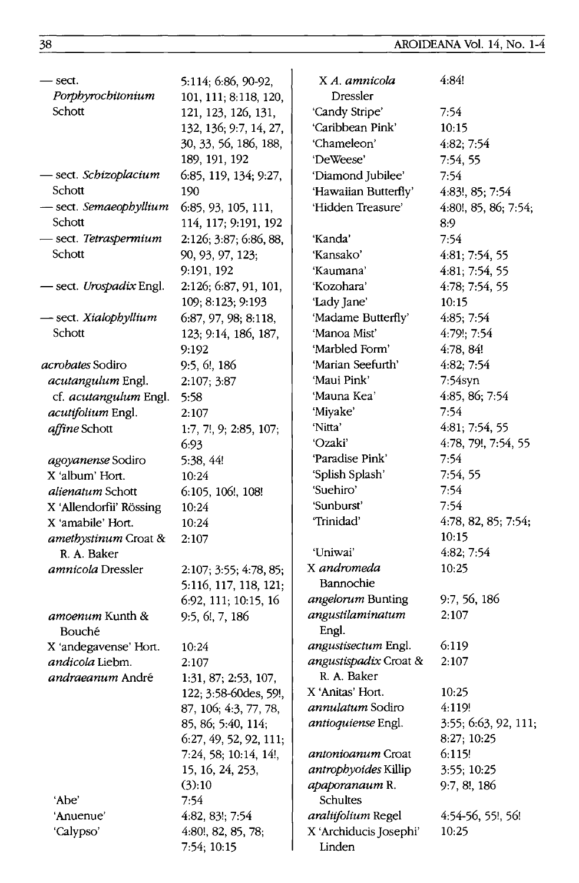38 AROIDEANA Vol. 14, No. 1-4

| - sect.<br>Porphyrochitonium | 5:114; 6:86, 90-92,<br>101, 111; 8:118, 120,    | X A. amnicola<br>Dressler        | 4:84!                |
|------------------------------|-------------------------------------------------|----------------------------------|----------------------|
| Schott                       | 121, 123, 126, 131,                             | 'Candy Stripe'                   | 7:54                 |
|                              | 132, 136; 9:7, 14, 27,                          | 'Caribbean Pink'                 | 10:15                |
|                              | 30, 33, 56, 186, 188,                           | 'Chameleon'                      | 4.82; 7:54           |
|                              | 189, 191, 192                                   | 'DeWeese'                        | 7:54, 55             |
| - sect. <i>Schizoplacium</i> | 6:85, 119, 134; 9:27,                           | 'Diamond Jubilee'                | 7:54                 |
| Schott                       | 190                                             | 'Hawaiian Butterfly'             | 4:83!, 85; 7:54      |
| - sect. Semaeophyllium       | 6:85, 93, 105, 111,                             | 'Hidden Treasure'                | 4:80!, 85, 86; 7:54; |
| Schott                       | 114, 117; 9:191, 192                            |                                  | 8:9                  |
| – sect. <i>Tetraspermium</i> | 2:126; 3:87; 6:86, 88,                          | 'Kanda'                          | 7:54                 |
| Schott                       | 90, 93, 97, 123;                                | 'Kansako'                        | 4:81; 7:54, 55       |
|                              | 9:191, 192                                      | 'Kaumana'                        | 4:81, 7:54, 55       |
| - sect. Urospadix Engl.      | 2:126; 6:87, 91, 101,                           | 'Kozohara'                       | 4:78; 7:54, 55       |
|                              | 109; 8:123; 9:193                               | 'Lady Jane'                      | 10:15                |
| sect. Xialophyllium          | 6:87, 97, 98, 8:118,                            | 'Madame Butterfly'               | 4:85; 7:54           |
| Schott                       | 123; 9:14, 186, 187,                            | 'Manoa Mist'                     | $4:79$ ; 7.54        |
|                              | 9:192                                           | 'Marbled Form'                   | 4:78, 84!            |
| <i>acrobates</i> Sodiro      | 9:5, 6!, 186                                    | 'Marian Seefurth'                | 4:82; 7:54           |
| <i>acutangulum</i> Engl.     | 2:107; 3:87                                     | 'Maui Pink'                      | $7:54$ syn           |
| cf. acutangulum Engl.        | 5:58                                            | 'Mauna Kea'                      | 4:85, 86; 7:54       |
| acutifolium Engl.            | 2:107                                           | 'Miyake'                         | 7:54                 |
| affine Schott                | 1:7, 7!, 9; 2:85, 107;                          | 'Nitta'                          | 4:81; 7:54, 55       |
|                              | 6:93                                            | 'Ozaki'                          | 4:78, 79!, 7:54, 55  |
| agoyanense Sodiro            | 5:38, 44!                                       | 'Paradise Pink'                  | 7:54                 |
| X 'album' Hort.              | 10:24                                           | 'Splish Splash'                  | 7:54, 55             |
| alienatum Schott             | 6:105, 106!, 108!                               | 'Suehiro'                        | 7:54                 |
| X 'Allendorfii' Rössing      | 10:24                                           | 'Sunburst'                       | 7:54                 |
| X 'amabile' Hort.            | 10:24                                           | 'Trinidad'                       | 4:78, 82, 85; 7:54;  |
| amethystinum Croat &         | 2:107                                           |                                  | 10:15                |
| R. A. Baker                  |                                                 | 'Uniwai'                         | 4:82; 7:54           |
| <i>amnicola</i> Dressler     | 2:107; 3:55; 4:78, 85;<br>5:116, 117, 118, 121; | X andromeda<br>Bannochie         | 10:25                |
|                              | 6:92, 111; 10:15, 16                            | angelorum Bunting                | 9:7, 56, 186         |
| amoenum Kunth &<br>Bouché    | 9:5, 6!, 7, 186                                 | angustilaminatum<br>Engl.        | 2:107                |
| X 'andegavense' Hort.        | 10:24                                           | angustisectum Engl.              | 6:119                |
| andicola Liebm.              | 2:107                                           | angustispadix Croat &            | 2:107                |
| <i>andraeanum</i> André      | 1:31, 87; 2:53, 107,                            | R. A. Baker                      |                      |
|                              | 122; 3:58-60des, 59!,                           | X 'Anitas' Hort.                 | 10:25                |
|                              | 87, 106; 4:3, 77, 78,                           | annulatum Sodiro                 | 4:119!               |
|                              | 85, 86, 5:40, 114;                              | antioquiense Engl.               | 3:55; 6:63, 92, 111; |
|                              | 6:27, 49, 52, 92, 111;                          |                                  | 8:27; 10:25          |
|                              | 7:24, 58; 10:14, 14!,                           | <i>antonioanum</i> Croat         | 6:115!               |
|                              | 15, 16, 24, 253,                                | antrophyoides Killip             | 3:55; 10:25          |
|                              | (3):10                                          | apaporanaum R.                   | 9:7, 8!, 186         |
| 'Abe'                        | 7:54                                            | Schultes                         |                      |
| 'Anuenue'                    | $4.82, 83!$ ; 7:54                              | araliifolium Regel               | 4:54-56, 55!, 56!    |
| 'Calypso'                    | 4:80!, 82, 85, 78;<br>7:54; 10:15               | X 'Archiducis Josephi'<br>Linden | 10:25                |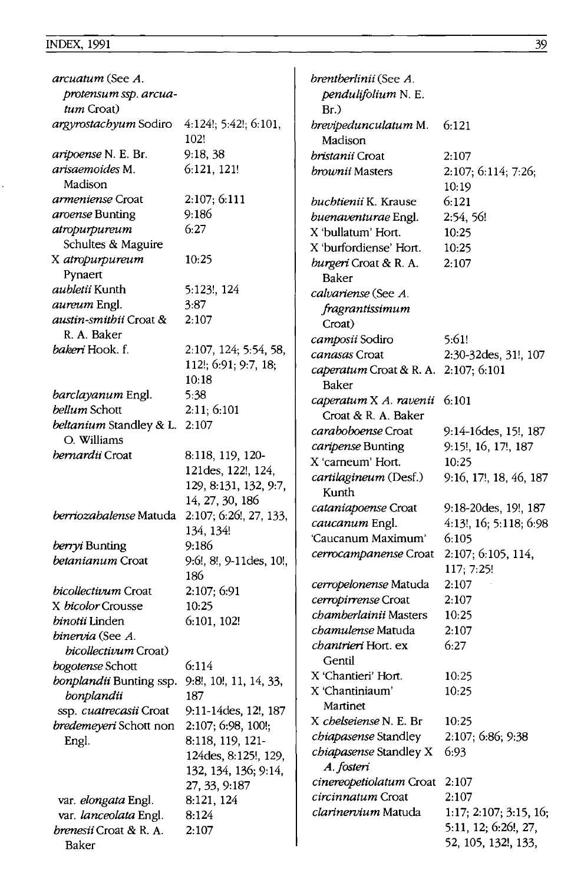| <i>arcuatum</i> (See A.                       |                         | brentberlinii (See A.                |                           |
|-----------------------------------------------|-------------------------|--------------------------------------|---------------------------|
| protensum ssp. arcua-                         |                         | pendulifolium N. E.                  |                           |
| tum Croat)                                    |                         | Br.                                  |                           |
| argyrostachyum Sodiro                         | 4:124!; 5:42!; 6:101,   | brevipedunculatum M.                 | 6:121                     |
|                                               | 102!                    | Madison                              |                           |
| aripoense N. E. Br.                           | 9:18,38                 | <i>bristanii</i> Croat               | 2:107                     |
| arisaemoides M.                               | 6:121, 121!             |                                      |                           |
| Madison                                       |                         | brownii Masters                      | 2:107; 6:114; 7:26;       |
|                                               |                         |                                      | 10:19                     |
| <i>armeniense</i> Croat                       | 2:107; 6:111            | <i>buchtienii</i> K. Krause          | 6:121                     |
| <i>aroense</i> Bunting                        | 9:186                   | buenaventurae Engl.                  | 2:54, 56!                 |
| atropurpureum                                 | 6:27                    | X 'bullatum' Hort.                   | 10:25                     |
| Schultes & Maguire                            |                         | X 'burfordiense' Hort.               | 10:25                     |
| X atropurpureum                               | 10:25                   | burgeri Croat & R. A.                | 2:107                     |
| Pynaert                                       |                         | Baker                                |                           |
| <i>aubletii</i> Kunth                         | 5:123!, 124             | calvariense (See A.                  |                           |
| <i>aureum</i> Engl.                           | 3:87                    | fragrantissimum                      |                           |
| austin-smithii Croat &                        | 2:107                   | Croat)                               |                           |
| R. A. Baker                                   |                         | camposii Sodiro                      | 5:61!                     |
| bakeri Hook. f.                               | 2:107, 124; 5:54, 58,   |                                      |                           |
|                                               | 112!; 6:91; 9:7, 18;    | <i>canasas</i> Croat                 | 2:30-32des, 31!, 107      |
|                                               | 10:18                   | caperatum Croat & R. A. 2:107; 6:101 |                           |
| barclayanum Engl.                             | 5:38                    | Baker                                |                           |
| <i>bellum</i> Schott                          | 2:11; 6:101             | caperatum X A. ravenii               | 6:101                     |
|                                               | 2:107                   | Croat & R. A. Baker                  |                           |
| <i>beltanium</i> Standley & L.                |                         | <i>caraboboense</i> Croat            | 9:14-16des, 15!, 187      |
| O. Williams                                   |                         | caripense Bunting                    | 9:15!, 16, 17!, 187       |
| bernardii Croat                               | 8:118, 119, 120-        | X 'carneum' Hort.                    | 10:25                     |
|                                               | 121des, 122!, 124,      | cartilagineum (Desf.)                | 9:16, 17!, 18, 46, 187    |
|                                               | 129, 8:131, 132, 9:7,   | Kunth                                |                           |
|                                               | 14, 27, 30, 186         | cataniapoense Croat                  | 9:18-20des, 19!, 187      |
| berriozabalense Matuda 2:107; 6:26!, 27, 133, |                         | caucanum Engl.                       | $4:13!$ , 16; 5:118, 6:98 |
|                                               | 134, 134!               | 'Caucanum Maximum'                   | 6:105                     |
| berryi Bunting                                | 9:186                   |                                      |                           |
| <i>betanianum</i> Croat                       | 9:6!, 8!, 9-11des, 10!, | cerrocampanense Croat                | 2:107; 6:105, 114,        |
|                                               | 186                     |                                      | 117; 7:25!                |
| <i>bicollectivum</i> Croat                    | 2:107; 6:91             | cerropelonense Matuda                | 2:107                     |
| X bicolor Crousse                             | 10:25                   | cerropirrense Croat                  | 2:107                     |
| <i>binotii</i> Linden                         | 6:101, 102!             | chamberlainii Masters                | 10:25                     |
| binervia (See A.                              |                         | chamulense Matuda                    | 2:107                     |
| bicollectivum Croat)                          |                         | chantrieri Hort. ex                  | 6:27                      |
| bogotense Schott                              | 6:114                   | Gentil                               |                           |
| bonplandii Bunting ssp.                       | 9:8!, 10!, 11, 14, 33,  | X 'Chantieri' Hort.                  | 10:25                     |
| bonplandii                                    | 187                     | X 'Chantiniaum'                      | 10:25                     |
| ssp. cuatrecasii Croat                        | 9:11-14des, 12!, 187    | Martinet                             |                           |
|                                               | 2:107; 6:98, 100!;      | X chelseiense N. E. Br               | 10:25                     |
| bredemeyeri Schott non                        |                         | chiapasense Standley                 | 2:107; 6:86; 9:38         |
| Engl.                                         | 8:118, 119, 121-        | chiapasense Standley X               | 6:93                      |
|                                               | 124des, 8:125!, 129,    | A. fosteri                           |                           |
|                                               | 132, 134, 136; 9:14,    | cinereopetiolatum Croat              | 2:107                     |
|                                               | 27, 33, 9:187           | circinnatum Croat                    | 2:107                     |
| var. elongata Engl.                           | 8:121, 124              | clarinervium Matuda                  |                           |
| var. lanceolata Engl.                         | 8:124                   |                                      | 1:17; 2:107; 3:15, 16;    |
| brenesii Croat & R. A.                        | 2:107                   |                                      | 5:11, 12; 6:26!, 27,      |
| Baker                                         |                         |                                      | 52, 105, 132!, 133,       |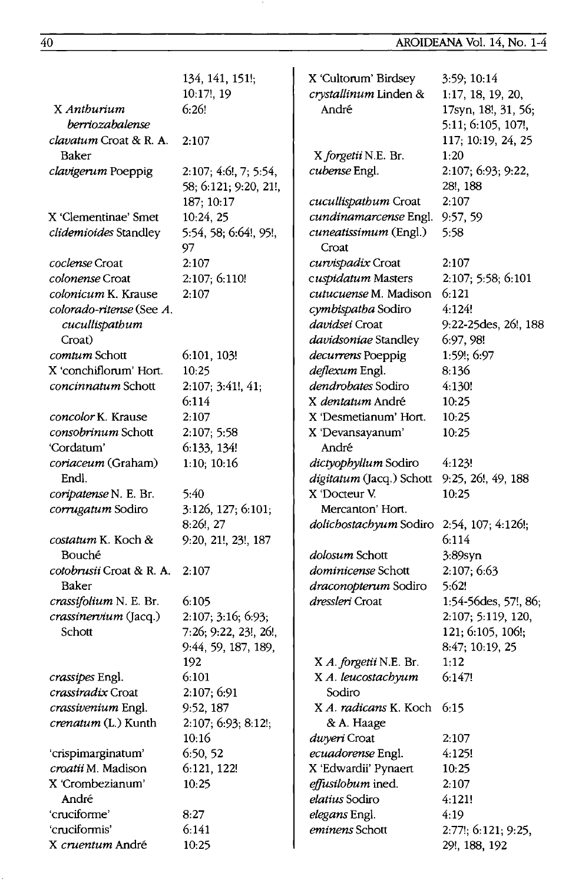|                                          | 134, 141, 151!;                    | X 'Cultorum' Birdsey                          | 3:59; 10:14          |
|------------------------------------------|------------------------------------|-----------------------------------------------|----------------------|
|                                          | 10:17!, 19                         | crystallinum Linden &                         | 1:17, 18, 19, 20,    |
| X Anthurium                              | 6:26!                              | André                                         | 17syn, 18!, 31, 56;  |
| berriozabalense                          |                                    |                                               | 5:11; 6:105, 107!,   |
| clavatum Croat & R. A.                   | 2:107                              |                                               | 117; 10:19, 24, 25   |
| Baker                                    |                                    | X forgetii N.E. Br.                           | 1:20                 |
| clavigerum Poeppig                       | 2:107; 4:6!, 7; 5:54,              | cubense Engl.                                 | 2:107; 6:93; 9:22,   |
|                                          | 58; 6:121; 9:20, 21!,              |                                               | 28!, 188<br>2:107    |
| X 'Clementinae' Smet                     | 187; 10:17                         | cucullispathum Croat<br>cundinamarcense Engl. |                      |
|                                          | 10:24, 25<br>5:54, 58; 6:64!, 95!, | cuneatissimum (Engl.)                         | 9:57,59<br>5:58      |
| clidemioides Standley                    | 97                                 | Croat                                         |                      |
| coclense Croat                           | 2:107                              | curvispadix Croat                             | 2:107                |
| <i>colonense</i> Croat                   | 2:107; 6:110!                      | cuspidatum Masters                            | 2:107; 5:58; 6:101   |
| <i>colonicum</i> K. Krause               | 2:107                              | cutucuense M. Madison                         | 6:121                |
| colorado-ritense (See A.                 |                                    | cymbispatha Sodiro                            | 4:124!               |
| cucullispathum                           |                                    | <i>davidsei</i> Croat                         | 9:22-25des, 26!, 188 |
| Croat)                                   |                                    | davidsoniae Standley                          | 6:97, 98!            |
| <i>comtum</i> Schott                     | 6:101, 103!                        | decurrens Poeppig                             | 1:59!; 6:97          |
| X 'conchiflorum' Hort.                   | 10:25                              | deflexum Engl.                                | 8:136                |
| concinnatum Schott                       | 2:107; 3:41!, 41;                  | dendrobates Sodiro                            | 4:130!               |
|                                          | 6:114                              | X <i>dentatum</i> André                       | 10:25                |
| concolor K. Krause                       | 2:107                              | X 'Desmetianum' Hort.                         | 10:25                |
| consobrinum Schott                       | 2:107; 5:58                        | X 'Devansayanum'                              | 10:25                |
| 'Cordatum'                               | 6:133, 134!                        | André                                         |                      |
| coriaceum (Graham)                       | 1:10; 10:16                        | dictyophyllum Sodiro                          | 4:123!               |
| Endl.                                    |                                    | digitatum (Jacq.) Schott                      | 9:25, 26!, 49, 188   |
| coripatense N. E. Br.                    | 5:40                               | X 'Docteur V.                                 | 10:25                |
| corrugatum Sodiro                        | 3:126, 127; 6:101;                 | Mercanton' Hort.                              |                      |
|                                          | 8:26!, 27                          | dolichostachyum Sodiro                        | 2:54, 107; 4:126!;   |
| costatum K. Koch &                       | 9:20, 21!, 23!, 187                |                                               | 6:114                |
| Bouché                                   |                                    | dolosum Schott                                | $3.89$ syn           |
| <i>cotobrusii</i> Croat & R. A.<br>Baker | 2:107                              | <i>dominicense</i> Schott                     | 2:107; 6:63<br>5:62! |
| crassifolium N. E. Br.                   | 6:105                              | draconopterum Sodiro<br>dressleri Croat       | 1:54-56des, 57!, 86; |
| crassinervium (Jacq.)                    | 2:107; 3:16; 6:93;                 |                                               | 2:107; 5:119, 120,   |
| Schott                                   | 7:26; 9:22, 23!, 26!,              |                                               | 121; 6:105, 106!;    |
|                                          | 9:44, 59, 187, 189,                |                                               | 8:47; 10:19, 25      |
|                                          | 192                                | X A. forgetii N.E. Br.                        | 1:12                 |
| crassipes Engl.                          | 6:101                              | X A. leucostachyum                            | 6:147!               |
| crassiradix Croat                        | 2:107; 6:91                        | Sodiro                                        |                      |
| crassivenium Engl.                       | 9:52, 187                          | X A. radicans K. Koch                         | 6:15                 |
| crenatum (L.) Kunth                      | 2:107; 6:93; 8:12!;                | & A. Haage                                    |                      |
|                                          | 10:16                              | duveri Croat                                  | 2:107                |
| 'crispimarginatum'                       | 6:50, 52                           | ecuadorense Engl.                             | 4:125!               |
| croatii M. Madison                       | 6:121, 122!                        | X 'Edwardii' Pynaert                          | 10:25                |
| X 'Crombezianum'                         | 10:25                              | effusilobum ined.                             | 2:107                |
| André                                    |                                    | elatius Sodiro                                | 4:121!               |
| 'cruciforme'                             | 8:27                               | elegans Engl.                                 | 4:19                 |
| 'cruciformis'                            | 6:141                              | eminens Schott                                | 2:77!; 6:121; 9:25,  |
| X cruentum André                         | 10:25                              |                                               | 29!, 188, 192        |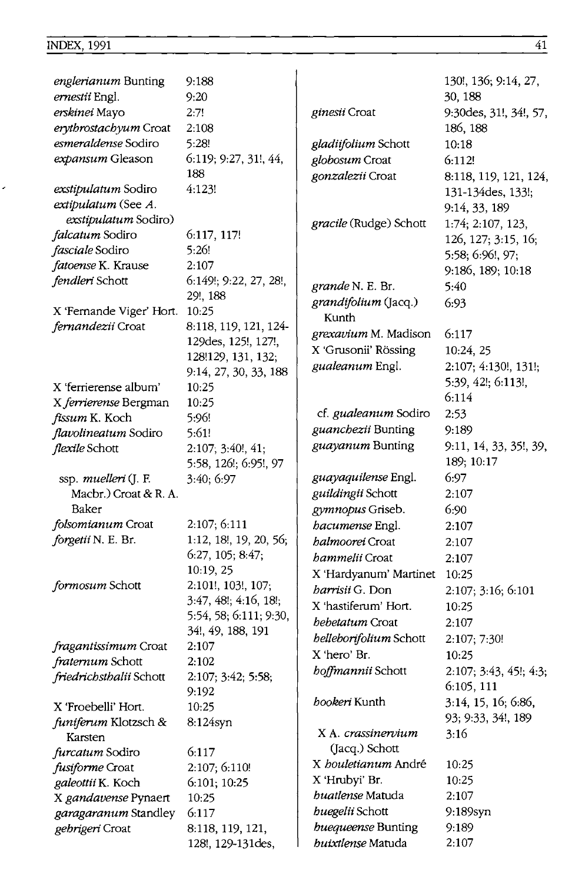ׇ֘֒

| englerianum Bunting        | 9:188                  |                             | 130!, 136; 9:14, 27,   |
|----------------------------|------------------------|-----------------------------|------------------------|
| ernestii Engl.             | 9:20                   |                             | 30, 188                |
| erskinei Mayo              | 2:7!                   | ginesii Croat               | 9:30des, 31!, 34!, 57, |
| erythrostachyum Croat      | 2:108                  |                             | 186, 188               |
| esmeraldense Sodiro        | 5:28!                  | gladijfolium Schott         | 10:18                  |
| expansum Gleason           | 6:119; 9:27, 31!, 44,  | globosum Croat              | 6:112!                 |
|                            | 188                    | gonzalezii Croat            | 8:118, 119, 121, 124,  |
| <i>exstipulatum</i> Sodiro | 4:123!                 |                             | 131-134 des, 133!;     |
| extipulatum (See A.        |                        |                             | 9:14, 33, 189          |
| exstipulatum Sodiro)       |                        | gracile (Rudge) Schott      | 1:74; 2:107, 123,      |
| <i>falcatum</i> Sodiro     | 6:117, 117!            |                             | 126, 127; 3:15, 16;    |
| fasciale Sodiro            | 5:26!                  |                             | 5:58; 6:96!, 97;       |
| fatoense K. Krause         | 2:107                  |                             | 9:186, 189; 10:18      |
| fendleri Schott            | 6:149!; 9:22, 27, 28!, | grande N. E. Br.            | 5:40                   |
|                            | 29!, 188               | grandifolium (Jacq.)        | 6:93                   |
| X 'Fernande Viger' Hort.   | 10:25                  | Kunth                       |                        |
| <i>fernandezii</i> Croat   | 8:118, 119, 121, 124-  | grexavium M. Madison        | 6:117                  |
|                            | 129des, 125!, 127!,    | X 'Grusonii' Rössing        |                        |
|                            | 128!129, 131, 132;     |                             | 10:24, 25              |
|                            | 9:14, 27, 30, 33, 188  | gualeanum Engl.             | 2:107; 4:130!, 131!;   |
| X 'ferrierense album'      | 10:25                  |                             | 5:39, 42!; 6:113!,     |
| X ferrierense Bergman      | 10:25                  |                             | 6:114                  |
| fissum K. Koch             | 5:96!                  | cf. <i>gualeanum</i> Sodiro | 2:53                   |
| flavolineatum Sodiro       | 5:61!                  | guanchezii Bunting          | 9:189                  |
| flexile Schott             | 2:107; 3:40!, 41;      | guayanum Bunting            | 9:11, 14, 33, 35!, 39, |
|                            | 5:58, 126!; 6:95!, 97  |                             | 189; 10:17             |
| ssp. muelleri (J. F.       | 3:40; 6:97             | guayaquilense Engl.         | 6:97                   |
| Macbr.) Croat & R. A.      |                        | guildingii Schott           | 2:107                  |
| Baker                      |                        | gymnopus Griseb.            | 6:90                   |
| folsomianum Croat          | 2:107; 6:111           | <i>hacumense</i> Engl.      | 2:107                  |
| forgetii N. E. Br.         | 1:12, 18!, 19, 20, 56; | <i>halmoorei</i> Croat      | 2:107                  |
|                            | 6:27, 105; 8:47;       | <i>bammelii</i> Croat       | 2:107                  |
|                            | 10:19, 25              | X 'Hardyanum' Martinet      | 10:25                  |
| formosum Schott            | 2:101!, 103!, 107;     | harrisii G. Don             | 2:107; 3:16; 6:101     |
|                            | 3:47, 48!; 4:16, 18!;  | X 'hastiferum' Hort.        | 10:25                  |
|                            | 5:54, 58; 6:111; 9:30, | bebetatum Croat             | 2:107                  |
|                            | 34!, 49, 188, 191      | belleborifolium Schott      | 2:107; 7:30!           |
| fragantissimum Croat       | 2:107                  | X 'hero' Br.                | 10:25                  |
| fraternum Schott           | 2:102                  | <i>boffmannii</i> Schott    | 2:107; 3:43, 45!; 4:3; |
| friedrichsthalii Schott    | 2:107; 3:42; 5:58;     |                             | 6:105, 111             |
|                            | 9:192                  | bookeri Kunth               | 3:14, 15, 16; 6:86,    |
| X 'Froebelli' Hort.        | 10:25                  |                             | 93; 9:33, 34!, 189     |
| funiferum Klotzsch &       | 8:124syn               | X A. crassinervium          | 3:16                   |
| Karsten                    |                        | (Jacq.) Schott              |                        |
| furcatum Sodiro            | 6:117                  | X bouletianum André         | 10:25                  |
| fusiforme Croat            | 2:107; 6:110!          | X 'Hrubyi' Br.              | 10:25                  |
| galeottii K. Koch          | 6:101; 10:25           | <i>buatlense</i> Matuda     | 2:107                  |
| X gandavense Pynaert       | 10:25                  | buegelii Schott             | 9:189syn               |
| garagaranum Standley       | 6:117                  | buequeense Bunting          |                        |
| gebrigeri Croat            | 8:118, 119, 121,       | buixtlense Matuda           | 9:189<br>2:107         |
|                            | 128!, 129-131des,      |                             |                        |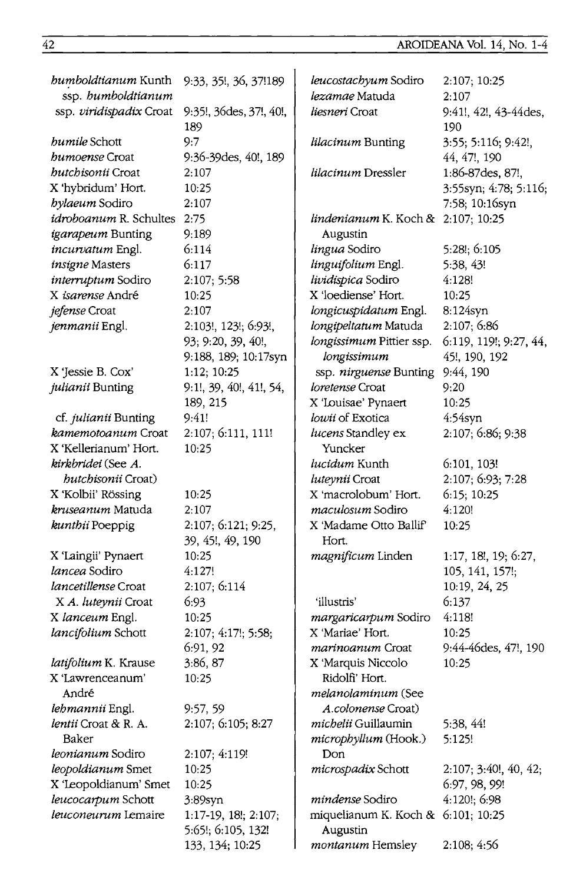# 42 AROIDEANA Vol. 14, No. 1-4

| bumboldtianum Kunth                | 9:33, 35!, 36, 37!189          | leucostachyum Sodiro                  | 2:107; 10:25                 |
|------------------------------------|--------------------------------|---------------------------------------|------------------------------|
| ssp. bumboldtianum                 |                                | <i>lezamae</i> Matuda                 | 2:107                        |
| ssp. viridispadix Croat            | 9:35!, 36des, 37!, 40!,<br>189 | <i>liesneri</i> Croat                 | 9:41!, 42!, 43-44des,<br>190 |
| bumile Schott                      | 9:7                            | lilacinum Bunting                     | 3:55; 5:116; 9:42!,          |
| <i>bumoense</i> Croat              | 9:36-39des, 40!, 189           |                                       | 44, 47!, 190                 |
| <i>butchisonii</i> Croat           | 2:107                          | <i>lilacinum</i> Dressler             | 1:86-87des, 87!,             |
| X 'hybridum' Hort.                 | 10:25                          |                                       | 3:55syn; 4:78; 5:116;        |
| bylaeum Sodiro                     | 2:107                          |                                       | 7:58; 10:16syn               |
| <i>idroboanum R. Schultes 2:75</i> |                                | lindenianum K. Koch & 2:107; 10:25    |                              |
| igarapeum Bunting                  | 9:189                          | Augustin                              |                              |
| incurvatum Engl.                   | 6:114                          | lingua Sodiro                         | 5:28!; 6:105                 |
| insigne Masters                    | 6:117                          | linguifolium Engl.                    | 5:38, 43!                    |
| interruptum Sodiro                 | 2:107; 5:58                    | lividispica Sodiro                    | 4:128!                       |
| X isarense André                   | 10:25                          | X 'loediense' Hort.                   | 10:25                        |
| <i>jefense</i> Croat               | 2:107                          | longicuspidatum Engl.                 | 8:124syn                     |
| jenmanii Engl.                     | 2:103!, 123!; 6:93!,           | longipeltatum Matuda                  | 2:107; 6:86                  |
|                                    | 93; 9:20, 39, 40!,             | longissimum Pittier ssp.              | 6:119, 119!; 9:27, 44,       |
|                                    | 9:188, 189; 10:17syn           | longissimum                           | 45!, 190, 192                |
| X 'Jessie B. Cox'                  | 1:12; 10:25                    | ssp. nirguense Bunting                | 9:44, 190                    |
| julianii Bunting                   | 9:1!, 39, 40!, 41!, 54,        | loretense Croat                       | 9:20                         |
|                                    | 189, 215                       | X 'Louisae' Pynaert                   | 10:25                        |
| cf. julianii Bunting               | 9:41!                          | lowii of Exotica                      | $4:54$ syn                   |
| kamemotoanum Croat                 | 2:107; 6:111, 111!             | lucens Standley ex                    | 2:107; 6:86; 9:38            |
| X 'Kellerianum' Hort.              | 10:25                          | Yuncker                               |                              |
| kirkbridei (See A.                 |                                | <i>lucidum</i> Kunth                  | 6:101, 103!                  |
| hutchisonii Croat)                 |                                | luteynii Croat                        | 2:107; 6:93; 7:28            |
| X 'Kolbii' Rössing                 | 10:25                          | X 'macrolobum' Hort.                  | 6:15; 10:25                  |
| kruseanum Matuda                   | 2:107                          | maculosum Sodiro                      | 4:120!                       |
| kunthii Poeppig                    | 2:107; 6:121; 9:25,            | X 'Madame Otto Ballif'                | 10:25                        |
|                                    | 39, 45!, 49, 190               | Hort.                                 |                              |
| X 'Laingii' Pynaert                | 10:25                          | magnificum Linden                     | 1:17, 18!, 19; 6:27,         |
| lancea Sodiro                      | 4:127!                         |                                       | 105, 141, 157!;              |
| lancetillense Croat                | 2:107; 6:114                   |                                       | 10:19, 24, 25                |
| X A. luteynii Croat                | 6:93                           | 'illustris'                           | 6:137                        |
| X lanceum Engl.                    | 10:25                          | margaricarpum Sodiro                  | 4:118!                       |
| lancifolium Schott                 | 2:107; 4:17!; 5:58;            | X 'Mariae' Hort.                      | 10:25                        |
|                                    | 6:91, 92                       | <i>marinoanum</i> Croat               | 9:44-46des, 47!, 190         |
| latifolium K. Krause               | 3:86, 87                       | X 'Marquis Niccolo                    | 10:25                        |
| X 'Lawrenceanum'                   | 10:25                          | Ridolfi' Hort.                        |                              |
| André                              |                                | melanolaminum (See                    |                              |
| lehmannii Engl.                    | 9:57,59                        | A.colonense Croat)                    |                              |
| lentii Croat & R. A.               | 2:107; 6:105; 8:27             | michelii Guillaumin                   | 5:38, 44!                    |
| Baker                              |                                | microphyllum (Hook.)                  | 5:125!                       |
| <i>leonianum</i> Sodiro            | 2:107; 4:119!                  | Don                                   |                              |
| leopoldianum Smet                  | 10:25                          | <i>microspadix</i> Schott             | $2:107; 3:40!$ , 40, 42;     |
| X 'Leopoldianum' Smet              | 10:25                          |                                       | 6:97, 98, 99!                |
| leucocarpum Schott                 | 3:89syn                        | mindense Sodiro                       | 4:120!; 6:98                 |
| leuconeurum Lemaire                | 1:17-19, 18!; 2:107;           | miquelianum K. Koch & $6:101$ ; 10:25 |                              |
|                                    | 5:65!; 6:105, 132!             | Augustin                              |                              |
|                                    | 133, 134; 10:25                | montanum Hemsley                      | 2:108; 4:56                  |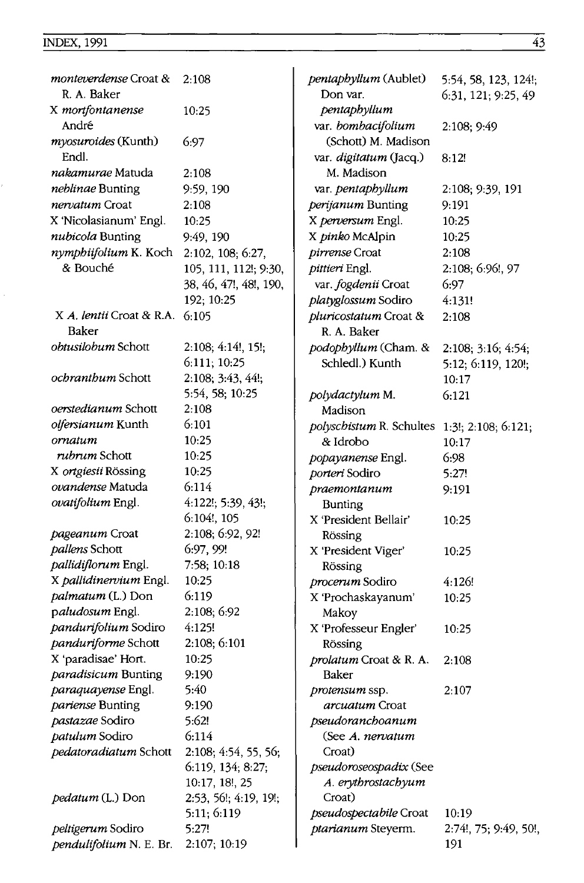| monteverdense Croat &<br>R. A. Baker | 2:108                  | pentaphyllum (Aublet)<br>Don var.            | 5:54, 58, 123, 124!;<br>6:31, 121; 9:25, 49 |
|--------------------------------------|------------------------|----------------------------------------------|---------------------------------------------|
| X mortfontanense<br>André            | 10:25                  | pentaphyllum                                 |                                             |
| myosuroides (Kunth)                  | 6:97                   | var. bombacifolium<br>(Schott) M. Madison    | 2:108; 9:49                                 |
| Endl.                                |                        | var. digitatum (Jacq.)                       | 8:12!                                       |
| <i>nakamurae</i> Matuda              | 2:108                  | M. Madison                                   |                                             |
| neblinae Bunting                     | 9:59, 190              | var. pentaphyllum                            | 2:108; 9:39, 191                            |
| nervatum Croat                       | 2:108                  | perijanum Bunting                            | 9:191                                       |
| X 'Nicolasianum' Engl.               | 10:25                  | X perversum Engl.                            | 10:25                                       |
| nubicola Bunting                     | 9:49, 190              | X pinko McAlpin                              | 10:25                                       |
| nymphiifolium K. Koch                | 2:102, 108; 6:27,      | pirrense Croat                               | 2:108                                       |
| & Bouché                             | 105, 111, 112!; 9:30,  | pittieri Engl.                               | 2:108; 6:96!, 97                            |
|                                      | 38, 46, 47!, 48!, 190, | var. fogdenii Croat                          | 6:97                                        |
|                                      | 192; 10:25             | platyglossum Sodiro                          | 4:131!                                      |
| X A. lentii Croat & R.A.             | 6:105                  | pluricostatum Croat &                        | 2:108                                       |
| Baker                                |                        | R. A. Baker                                  |                                             |
| obtusilobum Schott                   | 2:108; 4:14!, 15!;     | podophyllum (Cham. &                         | 2:108; 3:16; 4:54;                          |
|                                      | 6:111; 10:25           | Schledl.) Kunth                              | 5:12; 6:119, 120!;                          |
| <i>ochranthum</i> Schott             | 2:108; 3:43, 44!;      |                                              | 10:17                                       |
|                                      | 5:54, 58; 10:25        | polydactylum M.                              | 6:121                                       |
| oerstedianum Schott                  | 2:108                  | Madison                                      |                                             |
| olfersianum Kunth                    | 6:101                  | polyschistum R. Schultes 1:3!; 2:108; 6:121; |                                             |
| ornatum                              | 10:25                  | & Idrobo                                     | 10:17                                       |
| rubrum Schott                        | 10:25                  | popayanense Engl.                            | 6:98                                        |
| X ortgiesii Rössing                  | 10:25                  | porteri Sodiro                               | 5:27!                                       |
| ovandense Matuda                     | 6:114                  | praemontanum                                 | 9:191                                       |
| ovatifolium Engl.                    | 4:122!; 5:39, 43!;     | Bunting                                      |                                             |
|                                      | 6:104!, 105            | X 'President Bellair'                        | 10:25                                       |
| pageanum Croat                       | 2:108; 6:92, 92!       | Rössing                                      |                                             |
| pallens Schott                       | 6:97, 99!              | X 'President Viger'                          | 10:25                                       |
| pallidiflorum Engl.                  | 7:58; 10:18            | Rössing                                      |                                             |
| X pallidinervium Engl.               | 10:25                  | <i>procerum</i> Sodiro                       | 4:126!                                      |
| palmatum (L.) Don                    | 6:119                  | X 'Prochaskayanum'                           | 10:25                                       |
| paludosum Engl.                      | 2:108; 6:92            | Makoy                                        |                                             |
| pandurifolium Sodiro                 | 4:125!                 | X 'Professeur Engler'                        | 10:25                                       |
| panduriforme Schott                  | 2:108; 6:101           | Rössing                                      |                                             |
| X 'paradisae' Hort.                  | 10:25                  | prolatum Croat & R. A.                       | 2:108                                       |
| paradisicum Bunting                  | 9:190                  | Baker                                        |                                             |
| paraquayense Engl.                   | 5:40                   | protensum ssp.                               | 2:107                                       |
| pariense Bunting                     | 9:190                  | arcuatum Croat                               |                                             |
| pastazae Sodiro                      | 5:62!                  | pseudoranchoanum                             |                                             |
| patulum Sodiro                       | 6:114                  | (See A. nervatum                             |                                             |
| pedatoradiatum Schott                | 2:108; 4:54, 55, 56;   | Croat)                                       |                                             |
|                                      | 6:119, 134; 8:27;      | pseudoroseospadix (See                       |                                             |
|                                      | 10:17, 18!, 25         | A. erythrostachyum                           |                                             |
| pedatum (L.) Don                     | 2:53, 56!; 4:19, 19!;  | Croat)                                       |                                             |
|                                      | 5:11; 6:119            | pseudospectabile Croat                       | 10:19                                       |
| peltigerum Sodiro                    | 5:27!                  | ptarianum Steyerm.                           | 2:74!, 75; 9:49, 50!,                       |
| pendulifolium N. E. Br.              | 2:107; 10:19           |                                              | 191                                         |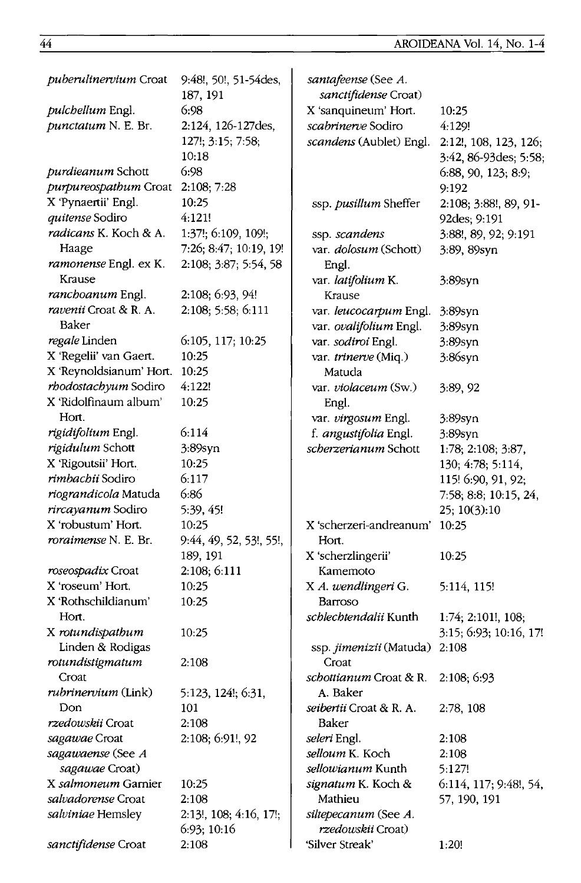| puberulinervium Croat        | 9:48!, 50!, 51-54des,                 | santafeense (See A.                       |                        |
|------------------------------|---------------------------------------|-------------------------------------------|------------------------|
|                              | 187, 191                              | sanctifidense Croat)                      |                        |
| pulchellum Engl.             | 6:98                                  | X 'sanquineum' Hort.                      | 10:25                  |
| punctatum N. E. Br.          | 2:124, 126-127des,                    | scabrinerve Sodiro                        | 4:129!                 |
|                              | 127!; 3:15; 7:58;                     | scandens (Aublet) Engl.                   | 2:12!, 108, 123, 126;  |
|                              | 10:18                                 |                                           | 3:42, 86-93 des; 5:58; |
| <i>purdieanum</i> Schott     | 6:98                                  |                                           | 6:88, 90, 123; 8:9;    |
| purpureospathum Croat        | 2:108; 7:28                           |                                           | 9:192                  |
| X 'Pynaertii' Engl.          | 10:25                                 | ssp. pusillum Sheffer                     | 2:108; 3:88!, 89, 91-  |
| quitense Sodiro              | 4:121!                                |                                           | 92des; 9:191           |
| <i>radicans</i> K. Koch & A. | 1:37!; 6:109, 109!;                   | ssp. scandens                             | 3:88!, 89, 92; 9:191   |
| Haage                        | 7:26; 8:47; 10:19, 19!                | var. dolosum (Schott)                     | 3:89, 89syn            |
| ramonense Engl. ex K.        | 2:108; 3:87; 5:54, 58                 | Engl.                                     |                        |
| Krause                       |                                       | var. latifolium K.                        | 3:89syn                |
| <i>ranchoanum</i> Engl.      | 2:108; 6:93, 94!                      | Krause                                    |                        |
| ravenii Croat & R. A.        | 2:108; 5:58; 6:111                    | var. leucocarpum Engl.                    | $3:89$ syn             |
| Baker                        |                                       | var. ovalifolium Engl.                    | $3:89$ syn             |
| regale Linden                | 6:105, 117; 10:25                     | var. sodiroi Engl.                        | 3:89syn                |
| X 'Regelii' van Gaert.       | 10:25                                 | var. trinerve (Miq.)                      | 3:86syn                |
| X 'Reynoldsianum' Hort.      | 10:25                                 | Matuda                                    |                        |
| rhodostachyum Sodiro         | 4:122!                                | var. violaceum (Sw.)                      | 3:89, 92               |
| X 'Ridolfinaum album'        | 10:25                                 | Engl.                                     |                        |
| Hort.                        |                                       | var. virgosum Engl.                       | 3:89syn                |
| rigidifolium Engl.           | 6:114                                 | f. angustifolia Engl.                     | 3:89syn                |
| rigidulum Schott             | 3:89syn                               | scherzerianum Schott                      | 1:78; 2:108; 3:87,     |
| X 'Rigoutsii' Hort.          | 10:25                                 |                                           | 130; 4:78; 5:114,      |
| rimbachii Sodiro             | 6:117                                 |                                           | 115! 6:90, 91, 92;     |
| riograndicola Matuda         | 6:86                                  |                                           | 7:58, 8:8, 10:15, 24,  |
| rircayanum Sodiro            | 5:39, 45!                             |                                           | 25; 10(3):10           |
| X 'robustum' Hort.           | 10:25                                 | X 'scherzeri-andreanum'                   | 10:25                  |
| <i>roraimense</i> N. E. Br.  | 9:44, 49, 52, 53!, 55!,               | Hort.                                     |                        |
|                              | 189, 191                              | X 'scherzlingerii'                        | 10:25                  |
| roseospadix Croat            | 2:108; 6:111                          | Kamemoto                                  |                        |
| X 'roseum' Hort.             | 10:25                                 | X A. wendlingeri G.                       | 5:114, 115!            |
| X 'Rothschildianum'          | 10:25                                 | Barroso                                   |                        |
| Hort.                        |                                       | schlechtendalii Kunth                     | $1:74$ ; 2:101!, 108;  |
| X rotundispathum             | 10:25                                 |                                           | 3:15; 6:93; 10:16, 17! |
| Linden & Rodigas             |                                       | ssp. jimenizii (Matuda)                   | 2:108                  |
| rotundistigmatum             | 2:108                                 | Croat                                     |                        |
| Croat                        |                                       | <i>schottianum</i> Croat & R.             | 2:108; 6:93            |
| rubrinervium (Link)          | 5:123, 124!; 6:31,                    | A. Baker                                  |                        |
| Don                          | 101                                   | seibertii Croat & R. A.                   | 2:78, 108              |
| rzedowskii Croat             | 2:108                                 | Baker                                     |                        |
| sagawae Croat                | 2:108; 6:91!, 92                      | seleri Engl.                              | 2:108                  |
| sagawaense (See A            |                                       | selloum K. Koch                           | 2:108                  |
| sagawae Croat)               |                                       | sellowianum Kunth                         | 5:127!                 |
| X salmoneum Garnier          | 10:25                                 | signatum K. Koch &                        | 6:114, 117; 9:48!, 54, |
| salvadorense Croat           | 2:108                                 | Mathieu                                   | 57, 190, 191           |
| salviniae Hemsley            | 2:13!, 108; 4:16, 17!;<br>6:93; 10:16 | siltepecanum (See A.<br>rzedowskii Croat) |                        |
| sanctifidense Croat          | 2:108                                 | 'Silver Streak'                           | 1:20!                  |
|                              |                                       |                                           |                        |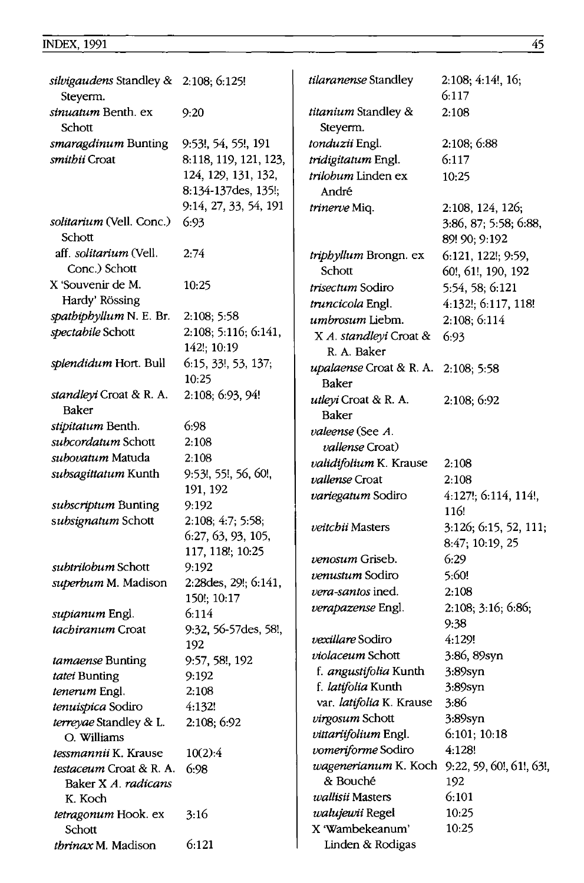| silvigaudens Standley & 2:108; 6:125! |                       | tilaranense Standley            | 2:108; 4:14!, 16;                      |
|---------------------------------------|-----------------------|---------------------------------|----------------------------------------|
| Steyerm.                              |                       |                                 | 6:117                                  |
| <i>sinuatum</i> Benth. ex<br>Schott   | 9:20                  | titanium Standley &<br>Steyerm. | 2:108                                  |
| smaragdinum Bunting                   | 9:53!, 54, 55!, 191   | tonduzii Engl.                  | 2:108; 6:88                            |
| smithii Croat                         | 8:118, 119, 121, 123, | tridigitatum Engl.              | 6:117                                  |
|                                       | 124, 129, 131, 132,   | trilobum Linden ex              |                                        |
|                                       | 8:134-137des, 135!;   | André                           | 10:25                                  |
|                                       | 9:14, 27, 33, 54, 191 | trinerve Miq.                   | 2:108, 124, 126;                       |
| solitarium (Vell. Conc.)<br>Schott    | 6:93                  |                                 | 3:86, 87; 5:58; 6:88,<br>89! 90; 9:192 |
| aff. solitarium (Vell.                | 2:74                  | triphyllum Brongn. ex           | 6:121, 122!; 9:59,                     |
| Conc.) Schott                         |                       | Schott                          | 60!, 61!, 190, 192                     |
| X 'Souvenir de M.                     | 10:25                 | trisectum Sodiro                | 5:54, 58; 6:121                        |
| Hardy' Rössing                        |                       | truncicola Engl.                | 4:132!; 6:117, 118!                    |
| spathiphyllum N. E. Br.               | 2:108; 5:58           | umbrosum Liebm.                 | 2:108; 6:114                           |
| spectabile Schott                     | 2:108; 5:116; 6:141,  | X A. standleyi Croat &          | 6.93                                   |
|                                       | 142!; 10:19           | R. A. Baker                     |                                        |
| splendidum Hort. Bull                 | 6:15, 33!, 53, 137;   | upalaense Croat & R. A.         |                                        |
|                                       | 10:25                 | Baker                           | 2:108; 5:58                            |
| standleyi Croat & R. A.               | 2:108; 6:93, 94!      | utleyi Croat & R. A.            |                                        |
| Baker                                 |                       |                                 | 2:108; 6:92                            |
| stipitatum Benth.                     | 6:98                  | Baker                           |                                        |
| subcordatum Schott                    | 2:108                 | valeense (See A.                |                                        |
| subovatum Matuda                      | 2:108                 | <i>vallense</i> Croat)          |                                        |
| subsagittatum Kunth                   | 9:53!, 55!, 56, 60!,  | validifolium K. Krause          | 2:108                                  |
|                                       | 191, 192              | vallense Croat                  | 2:108                                  |
| subscriptum Bunting                   | 9:192                 | variegatum Sodiro               | 4:127!; 6:114, 114!,                   |
| subsignatum Schott                    | 2:108; 4:7; 5:58;     |                                 | 116!                                   |
|                                       | 6:27, 63, 93, 105,    | veitchii Masters                | 3:126; 6:15, 52, 111;                  |
|                                       | 117, 118!; 10:25      |                                 | 8:47; 10:19, 25                        |
| subtrilobum Schott                    | 9:192                 | venosum Griseb.                 | 6:29                                   |
| superbum M. Madison                   | 2:28 des, 29!; 6:141, | <i>venustum</i> Sodiro          | 5:60!                                  |
|                                       | 150!; 10:17           | <i>vera-santos</i> ined.        | 2:108                                  |
| supianum Engl.                        | 6:114                 | verapazense Engl.               | 2:108; 3:16; 6:86;                     |
| tachiranum Croat                      | 9:32, 56-57des, 58!,  |                                 | 9:38                                   |
|                                       | 192                   | vexillare Sodiro                | 4:129!                                 |
| tamaense Bunting                      | 9:57, 58!, 192        | violaceum Schott                | 3:86, 89syn                            |
| tatei Bunting                         | 9:192                 | f. angustifolia Kunth           | 3:89syn                                |
| tenerum Engl.                         | 2:108                 | f. latifolia Kunth              | 3:89syn                                |
| tenuispica Sodiro                     | 4:132!                | var. latifolia K. Krause        | 3:86                                   |
| terreyae Standley & L.                | 2:108; 6:92           | virgosum Schott                 | 3:89syn                                |
| O. Williams                           |                       | vittariifolium Engl.            | 6:101; 10:18                           |
| <i>tessmannii</i> K. Krause           | 10(2):4               | vomeriforme Sodiro              | 4:128!                                 |
| testaceum Croat & R. A.               | 6:98                  | wagenerianum K. Koch            | 9:22, 59, 60!, 61!, 63!,               |
| Baker X A. radicans                   |                       | & Bouché                        | 192                                    |
| K. Koch                               |                       | wallisii Masters                | 6:101                                  |
| tetragonum Hook. ex                   | 3:16                  | walujewii Regel                 | 10:25                                  |
| Schott                                |                       | X 'Wambekeanum'                 | 10:25                                  |
| thrinax M. Madison                    | 6:121                 | Linden & Rodigas                |                                        |
|                                       |                       |                                 |                                        |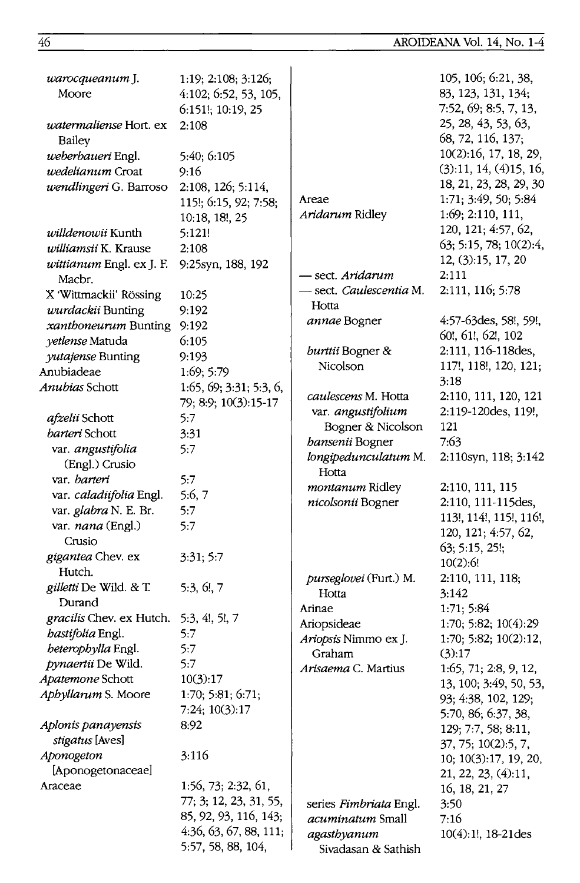| warocqueanum J.<br>Moore         | 1:19; 2:108; 3:126;<br>4:102; 6:52, 53, 105,    |                                         | 105, 106; 6:21, 38,<br>83, 123, 131, 134;<br>7:52, 69; 8:5, 7, 13, |
|----------------------------------|-------------------------------------------------|-----------------------------------------|--------------------------------------------------------------------|
| watermaliense Hort. ex<br>Bailey | 6:151!; 10:19, 25<br>2:108                      |                                         | 25, 28, 43, 53, 63,<br>68, 72, 116, 137;                           |
| weberbaueri Engl.                | 5:40; 6:105                                     |                                         | 10(2):16, 17, 18, 29,                                              |
| wedelianum Croat                 | 9:16                                            |                                         | (3):11, 14, (4)15, 16,                                             |
| wendlingeri G. Barroso           | 2:108, 126; 5:114,                              |                                         | 18, 21, 23, 28, 29, 30                                             |
|                                  | 115!; 6:15, 92; 7:58;                           | Areae                                   | 1:71; 3:49, 50; 5:84                                               |
|                                  | 10:18, 18!, 25                                  | Aridarum Ridley                         | 1:69; 2:110, 111,                                                  |
| willdenowii Kunth                | 5:121!                                          |                                         | 120, 121; 4:57, 62,                                                |
| williamsii K. Krause             | 2:108                                           |                                         | 63; 5:15, 78; 10(2):4,                                             |
| wittianum Engl. ex J. F.         | 9:25syn, 188, 192                               |                                         | 12, (3):15, 17, 20                                                 |
| Macbr.                           |                                                 | - sect. <i>Aridarum</i>                 | 2:111                                                              |
| X 'Wittmackii' Rössing           | 10:25                                           | – sect. <i>Caulescentia</i> M.          | 2:111, 116; 5:78                                                   |
| wurdackii Bunting                | 9:192                                           | Hotta                                   |                                                                    |
| xanthoneurum Bunting             | 9:192                                           | <i>annae</i> Bogner                     | 4:57-63 des, 58!, 59!,                                             |
| yetlense Matuda                  | 6:105                                           |                                         | 60!, 61!, 62!, 102                                                 |
| yutajense Bunting                | 9:193                                           | burttii Bogner &                        | 2:111, 116-118des,                                                 |
| Anubiadeae                       | 1:69; 5:79                                      | Nicolson                                | 117!, 118!, 120, 121;                                              |
| <i>Anubias</i> Schott            | 1:65, 69; 3:31; 5:3, 6,                         |                                         | 3:18                                                               |
|                                  | 79; 8:9; 10(3):15-17                            | caulescens M. Hotta                     | 2:110, 111, 120, 121<br>2:119-120des, 119!,                        |
| afzelii Schott                   | 5:7                                             | var. angustifolium<br>Bogner & Nicolson | 121                                                                |
| barteri Schott                   | 3:31                                            | <i>bansenii</i> Bogner                  | 7:63                                                               |
| var. angustifolia                | 5:7                                             | longipedunculatum M.                    | 2:110syn, 118; 3:142                                               |
| (Engl.) Crusio                   |                                                 | Hotta                                   |                                                                    |
| var. barteri                     | 5:7                                             | <i>montanum</i> Ridley                  | 2:110, 111, 115                                                    |
| var. caladiifolia Engl.          | 5:6, 7                                          | nicolsonii Bogner                       | 2:110, 111-115des,                                                 |
| var. glabra N. E. Br.            | 5:7                                             |                                         | 113!, 114!, 115!, 116!,                                            |
| var. nana (Engl.)                | 5:7                                             |                                         | 120, 121; 4:57, 62,                                                |
| Crusio                           |                                                 |                                         | 63; 5:15, 25!                                                      |
| gigantea Chev. ex                | 3:31; 5:7                                       |                                         | 10(2):6!                                                           |
| Hutch.                           |                                                 | purseglovei (Furt.) M.                  | 2:110, 111, 118;                                                   |
| gilletti De Wild. & T.           | 5:3, 6!, 7                                      | Hotta                                   | 3:142                                                              |
| Durand                           |                                                 | Arinae                                  | 1:71; 5:84                                                         |
| <i>gracilis</i> Chev. ex Hutch.  | 5:3, 4!, 5!, 7                                  | Ariopsideae                             | 1:70; 5:82; 10(4):29                                               |
| bastifolia Engl.                 | 5:7                                             | Ariopsis Nimmo ex J.                    | 1:70; 5:82; 10(2):12,                                              |
| beterophylla Engl.               | 5:7                                             | Graham                                  | (3):17                                                             |
| pynaertii De Wild.               | 5:7                                             | Arisaema C. Martius                     | 1:65, 71; 2:8, 9, 12,                                              |
| <i>Apatemone</i> Schott          | 10(3):17                                        |                                         | 13, 100; 3:49, 50, 53,                                             |
| Aphyllarum S. Moore              | 1:70; 5:81; 6:71;                               |                                         | 93; 4:38, 102, 129;                                                |
|                                  | 7:24; 10(3):17                                  |                                         | 5:70, 86; 6:37, 38,                                                |
| Aplonis panayensis               | 8:92                                            |                                         | 129; 7:7, 58; 8:11,                                                |
| stigatus [Aves]                  |                                                 |                                         | 37, 75; 10(2):5, 7,                                                |
| Aponogeton                       | 3:116                                           |                                         | 10; 10(3):17, 19, 20,                                              |
| [Aponogetonaceae]                |                                                 |                                         | 21, 22, 23, (4):11,                                                |
| Araceae                          | 1:56, 73; 2:32, 61,                             |                                         | 16, 18, 21, 27                                                     |
|                                  | 77; 3; 12, 23, 31, 55,<br>85, 92, 93, 116, 143; | series Fimbriata Engl.                  | 3:50                                                               |
|                                  | 4:36, 63, 67, 88, 111;                          | acuminatum Small                        | 7:16                                                               |
|                                  | 5:57, 58, 88, 104,                              | agasthyanum<br>Sivadasan & Sathish      | $10(4):1!, 18-21$ des                                              |
|                                  |                                                 |                                         |                                                                    |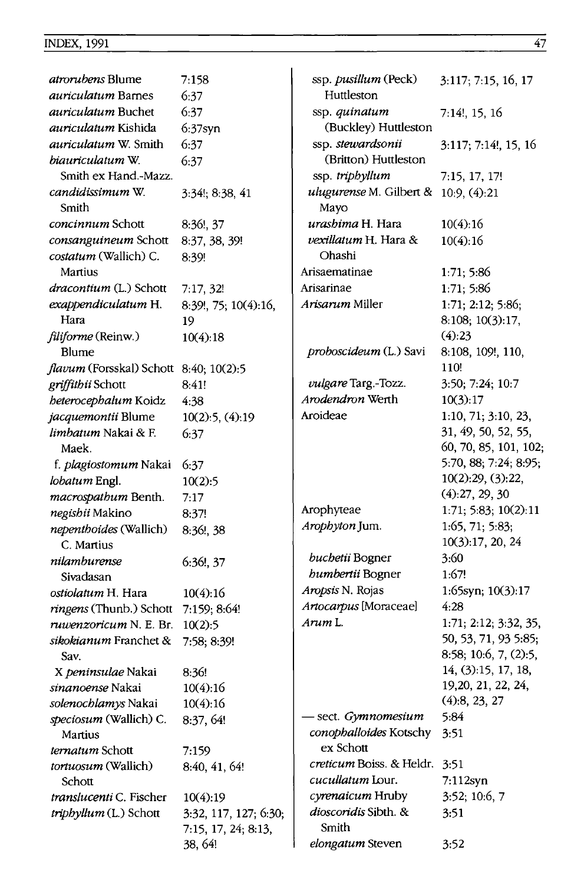| <i>atrorubens</i> Blume                       | 7:158                 | ssp. pusillum (Peck)                           | 3:117; 7:15, 16, 17   |
|-----------------------------------------------|-----------------------|------------------------------------------------|-----------------------|
| <i>auriculatum</i> Barnes                     | 6:37                  | Huttleston                                     |                       |
| <i>auriculatum</i> Buchet                     | 6:37                  | ssp. quinatum                                  | 7:14!, 15, 16         |
| auriculatum Kishida                           | $6:37$ syn            | (Buckley) Huttleston                           |                       |
| <i>auriculatum W. Smith</i>                   | 6:37                  | ssp. stewardsonii                              | 3:117; 7:14!, 15, 16  |
| biauriculatum W.                              | 6:37                  | (Britton) Huttleston                           |                       |
| Smith ex Hand -Mazz.                          |                       | ssp. triphyllum                                | 7:15, 17, 17!         |
| candidissimum W.<br>Smith                     | $3:34!$ ; 8:38, 41    | ulugurense M. Gilbert & $10.9, (4):21$<br>Mayo |                       |
| <i>concinnum</i> Schott                       | 8:36!, 37             | urashima H. Hara                               | 10(4):16              |
| consanguineum Schott                          | 8:37, 38, 39!         | vexillatum H. Hara &                           | 10(4):16              |
| costatum (Wallich) C.                         | 8:39!                 | Ohashi                                         |                       |
| Martius                                       |                       | Arisaematinae                                  | 1:71; 5:86            |
| dracontium (L.) Schott                        | 7:17,32!              | Arisarinae                                     | 1:71; 5:86            |
| exappendiculatum H.                           | 8:39!, 75; 10(4):16,  | Arisarum Miller                                | 1:71; 2:12; 5:86;     |
| Hara                                          | 19                    |                                                | 8:108; 10(3):17,      |
| filiforme (Reinw.)                            | 10(4):18              |                                                | (4):23                |
| Blume                                         |                       | proboscideum (L.) Savi                         | 8:108, 109!, 110,     |
| <i>flavum</i> (Forsskal) Schott 8:40; 10(2):5 |                       |                                                | 110!                  |
| griffithii Schott                             | 8:41!                 | vulgare Targ.-Tozz.                            | 3:50; 7:24; 10:7      |
| beterocephalum Koidz                          | 4:38                  | Arodendron Werth                               | 10(3):17              |
| jacquemontii Blume                            | 10(2):5, (4):19       | Aroideae                                       | 1:10, 71; 3:10, 23,   |
| limbatum Nakai & F.                           |                       |                                                | 31, 49, 50, 52, 55,   |
| Maek.                                         | 6:37                  |                                                | 60, 70, 85, 101, 102; |
| f. plagiostomum Nakai                         | 6:37                  |                                                | 5:70, 88; 7:24; 8:95; |
|                                               |                       |                                                | 10(2):29, (3):22,     |
| lobatum Engl.                                 | 10(2):5               |                                                | (4):27, 29, 30        |
| macrospathum Benth.                           | 7:17                  | Arophyteae                                     | 1:71; 5:83; 10(2):11  |
| negishii Makino                               | 8:37!                 | Arophyton Jum.                                 | 1:65, 71; 5:83;       |
| nepenthoides (Wallich)                        | 8:36!, 38             |                                                | 10(3):17, 20, 24      |
| C. Martius                                    |                       | buchetii Bogner                                | 3:60                  |
| nilamburense                                  | 6:36!, 37             | humbertii Bogner                               | 1:67!                 |
| Sivadasan                                     |                       |                                                |                       |
| ostiolatum H. Hara                            | 10(4):16              | Aropsis N. Rojas                               | 1:65syn; 10(3):17     |
| ringens (Thunb.) Schott                       | 7:159; 8:64!          | Artocarpus [Moraceae]                          | 4:28                  |
| ruwenzoricum N. E. Br.                        | 10(2):5               | Arum L.                                        | 1:71; 2:12; 3:32, 35, |
| sikokianum Franchet &                         | 7:58; 8:39!           |                                                | 50, 53, 71, 93 5:85;  |
| Sav.                                          |                       |                                                | 8:58; 10:6, 7, (2):5, |
| X peninsulae Nakai                            | 8:36!                 |                                                | 14, (3):15, 17, 18,   |
| sinanoense Nakai                              | 10(4):16              |                                                | 19,20, 21, 22, 24,    |
| solenochlamys Nakai                           | 10(4):16              |                                                | (4):8, 23, 27         |
| <i>speciosum</i> (Wallich) C.                 | 8:37, 64!             | sect. Gymnomesium                              | 5:84                  |
| Martius                                       |                       | conophalloides Kotschy                         | 3:51                  |
| ternatum Schott                               | 7:159                 | ex Schott                                      |                       |
| <i>tortuosum</i> (Wallich)                    | 8:40, 41, 64!         | creticum Boiss. & Heldr. 3:51                  |                       |
| Schott                                        |                       | cucullatum Lour.                               | $7:112$ syn           |
| translucenti C. Fischer                       | 10(4):19              | cyrenaicum Hruby                               | 3:52; 10:6, 7         |
| triphyllum (L.) Schott                        | 3:32, 117, 127; 6:30; | dioscoridis Sibth. &                           | 3:51                  |
|                                               | 7:15, 17, 24; 8:13,   | Smith                                          |                       |
|                                               | 38, 64!               | elongatum Steven                               | 3:52                  |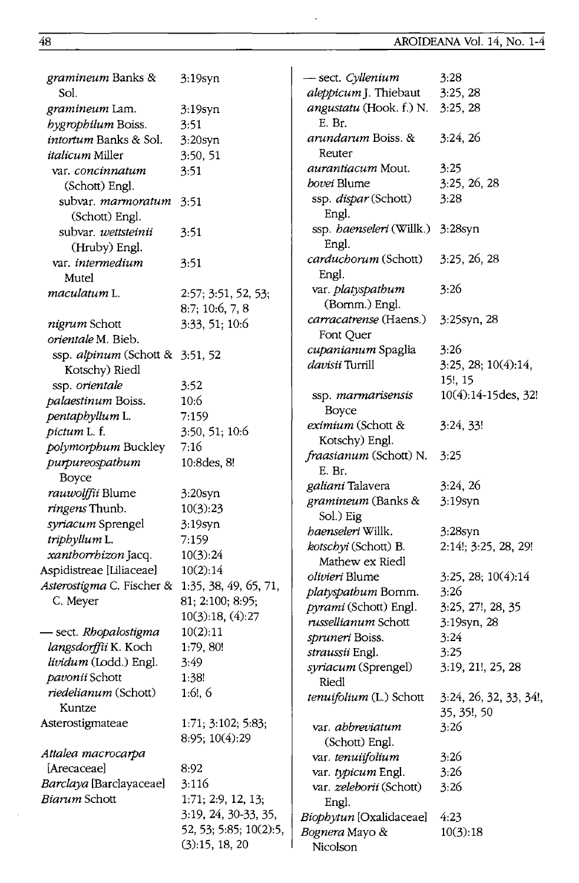33, 34!,

| gramineum Banks &                               | 3:19syn                | - sect. Cyllenium                   | 3:28                  |
|-------------------------------------------------|------------------------|-------------------------------------|-----------------------|
| Sol.                                            |                        | aleppicum J. Thiebaut               | 3:25,28               |
| gramineum Lam.                                  | $3:19$ syn             | angustatu (Hook. f.) N.             | 3:25, 28              |
| hygrophilum Boiss.                              | 3:51                   | E. Br.                              |                       |
| <i>intortum</i> Banks & Sol.                    | $3:20$ syn             | arundarum Boiss. &                  | 3:24,26               |
| <i>italicum</i> Miller                          | 3:50, 51               | Reuter                              |                       |
| var. concinnatum                                | 3:51                   | <i>aurantiacum</i> Mout.            | 3:25                  |
| (Schott) Engl.                                  |                        | <i>bovei</i> Blume                  | 3:25, 26, 28          |
| subvar. marmoratum                              | 3:51                   | ssp. dispar (Schott)                | 3:28                  |
| (Schott) Engl.                                  |                        | Engl.                               |                       |
| subvar. wettsteinii                             | 3:51                   | ssp. baenseleri (Willk.)            | $3:28$ syn            |
| (Hruby) Engl.                                   |                        | Engl.                               |                       |
| var. intermedium                                | 3:51                   | carduchorum (Schott)                | 3:25, 26, 28          |
| Mutel                                           |                        | Engl.                               |                       |
| maculatum L.                                    | 2:57; 3:51, 52, 53;    | var. platyspathum                   | 3:26                  |
|                                                 | 8:7; 10:6, 7, 8        | (Bornm.) Engl.                      |                       |
| nigrum Schott                                   | 3:33, 51; 10:6         | carracatrense (Haens.)<br>Font Quer | 3:25syn, 28           |
| orientale M. Bieb.                              |                        | cupanianum Spaglia                  | 3:26                  |
| ssp. alpinum (Schott & 3:51, 52                 |                        | davisii Turrill                     | 3:25, 28; 10(4):14,   |
| Kotschy) Riedl                                  |                        |                                     | 15!, 15               |
| ssp. orientale                                  | 3:52                   |                                     | 10(4):14-15des, 32!   |
| palaestinum Boiss.                              | 10:6                   | ssp. marmarisensis<br>Boyce         |                       |
| pentaphyllum L.                                 | 7:159                  | eximium (Schott &                   | 3:24, 33!             |
| pictum L. f.                                    | 3:50, 51; 10:6         | Kotschy) Engl.                      |                       |
| polymorphum Buckley                             | 7:16                   |                                     |                       |
| purpureospathum                                 | 10:8des, 8!            | fraasianum (Schott) N.              | 3:25                  |
| Boyce                                           |                        | E. Br.                              |                       |
| rauwolffii Blume                                | $3:20$ syn             | galiani Talavera                    | 3:24, 26              |
| ringens Thunb.                                  | 10(3):23               | gramineum (Banks &                  | 3:19syn               |
| syriacum Sprengel                               | 3:19syn                | Sol.) Eig                           |                       |
| triphyllum L.                                   | 7:159                  | haenseleri Willk.                   | $3:28$ syn            |
| xanthorrhizon Jacq.                             | 10(3):24               | kotschyi (Schott) B.                | 2:14!; 3:25, 28, 29!  |
| Aspidistreae [Liliaceae]                        | 10(2):14               | Mathew ex Riedl                     |                       |
| Asterostigma C. Fischer & 1:35, 38, 49, 65, 71, |                        | olivieri Blume                      | 3:25, 28; 10(4):14    |
| C. Meyer                                        | 81; 2:100; 8:95;       | platyspathum Bornm.                 | 3:26                  |
|                                                 | 10(3):18, (4):27       | pyrami (Schott) Engl.               | 3:25, 27!, 28, 35     |
| - sect. Rhopalostigma                           | 10(2):11               | russellianum Schott                 | 3:19syn, 28           |
| langsdorffii K. Koch                            | 1:79, 80!              | spruneri Boiss.                     | 3:24                  |
| lividum (Lodd.) Engl.                           | 3:49                   | straussii Engl.                     | 3:25                  |
| pavonii Schott                                  | 1:38!                  | syriacum (Sprengel)                 | 3:19, 21!, 25, 28     |
| riedelianum (Schott)                            | $1:6!$ , 6             | Riedl                               |                       |
| Kuntze                                          |                        | tenuifolium (L.) Schott             | 3:24, 26, 32, 33, 34! |
| Asterostigmateae                                | 1:71; 3:102; 5:83;     |                                     | 35, 35!, 50           |
|                                                 | 8:95; 10(4):29         | var. abbreviatum                    | 3:26                  |
| Attalea macrocarpa                              |                        | (Schott) Engl.                      |                       |
| [Arecaceae]                                     | 8:92                   | var. tenuiifolium                   | 3:26                  |
| Barclaya [Barclayaceae]                         |                        | var. typicum Engl.                  | 3:26                  |
| Biarum Schott                                   | 3:116                  | var. zeleborii (Schott)             | 3:26                  |
|                                                 | 1:71; 2:9, 12, 13;     | Engl.                               |                       |
|                                                 | 3:19, 24, 30-33, 35,   | Biophytun [Oxalidaceae]             | 4:23                  |
|                                                 | 52, 53; 5:85; 10(2):5, | Bognera Mayo &                      | 10(3):18              |
|                                                 | (3):15, 18, 20         | Nicolson                            |                       |

 $\ddot{\phantom{0}}$ 

 $\ddot{\phantom{a}}$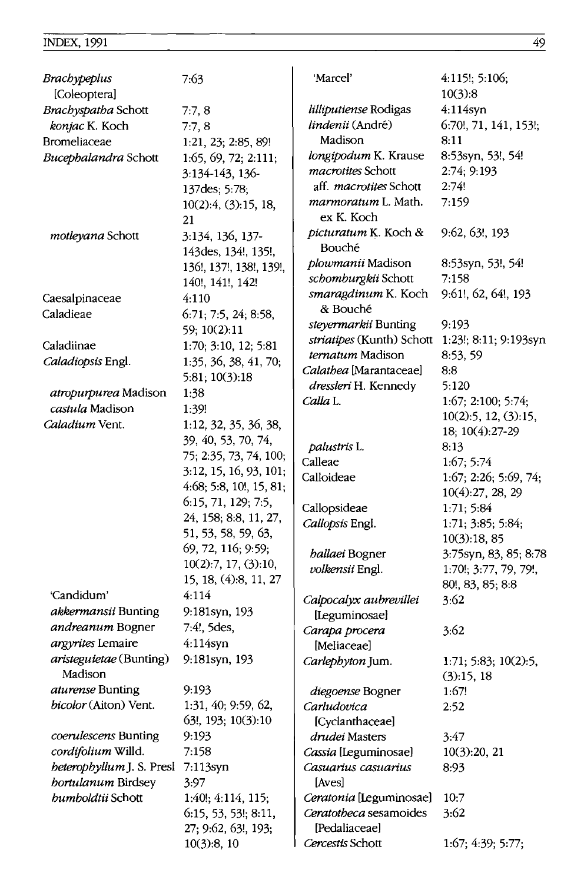| Brachypeplus                                     | 7:63                                        | 'Marcel'                                | 4:115!; 5:106;        |
|--------------------------------------------------|---------------------------------------------|-----------------------------------------|-----------------------|
| [Coleoptera]                                     |                                             |                                         | 10(3):8               |
| Brachyspatha Schott                              | 7:7,8                                       | lilliputiense Rodigas                   | $4:114$ syn           |
| konjac K. Koch                                   | 7:7,8                                       | lindenii (André)                        | 6:70!, 71, 141, 153!; |
| Bromeliaceae                                     | 1:21, 23; 2:85, 89!                         | Madison                                 | 8:11                  |
| Bucephalandra Schott                             | 1:65, 69, 72; 2:111;                        | longipodum K. Krause                    | 8:53syn, 53!, 54!     |
|                                                  | 3:134-143, 136-                             | macrotites Schott                       | 2:74; 9:193           |
|                                                  | 137des; 5:78;                               | aff. <i>macrotites</i> Schott           | 2:74!                 |
|                                                  | 10(2):4, (3):15, 18,<br>21                  | marmoratum L. Math.<br>ex K. Koch       | 7:159                 |
| motleyana Schott                                 | 3:134, 136, 137-<br>143des, 134!, 135!,     | picturatum K. Koch &<br>Bouché          | $9:62, 63!$ , 193     |
|                                                  | 136!, 137!, 138!, 139!,                     | plowmanii Madison                       | 8:53syn, 53!, 54!     |
|                                                  |                                             | schomburgkii Schott                     | 7:158                 |
|                                                  | 140!, 141!, 142!                            | smaragdinum K. Koch                     | 9:61!, 62, 64!, 193   |
| Caesalpinaceae                                   | 4:110                                       | & Bouché                                |                       |
| Caladieae                                        | 6:71; 7:5, 24; 8:58,                        | steyermarkii Bunting                    | 9:193                 |
|                                                  | 59; 10(2):11                                | striatipes (Kunth) Schott               | 1:23!; 8:11; 9:193syn |
| Caladiinae                                       | 1:70; 3:10, 12; 5:81                        | <i>ternatum</i> Madison                 | 8:53, 59              |
| Caladiopsis Engl.                                | 1:35, 36, 38, 41, 70;                       | Calathea [Marantaceae]                  | 8:8                   |
|                                                  | 5:81; 10(3):18                              | dressleri H. Kennedy                    | 5:120                 |
| atropurpurea Madison                             | 1:38                                        | Calla L.                                | 1:67; 2:100; 5:74;    |
| castula Madison                                  | 1:39!                                       |                                         | 10(2):5, 12, (3):15,  |
| <i>Caladium</i> Vent.                            | 1:12, 32, 35, 36, 38,                       |                                         | 18; 10(4):27-29       |
|                                                  | 39, 40, 53, 70, 74,                         | palustris L.                            | 8:13                  |
|                                                  | 75; 2:35, 73, 74, 100;                      | Calleae                                 | 1:67; 5:74            |
|                                                  | 3:12, 15, 16, 93, 101;                      | Calloideae                              | 1:67; 2:26; 5:69, 74; |
|                                                  | 4:68; 5:8, 10!, 15, 81;                     |                                         | 10(4):27, 28, 29      |
|                                                  | 6:15, 71, 129; 7:5,                         | Callopsideae                            | 1:71; 5:84            |
|                                                  | 24, 158; 8:8, 11, 27,                       | Callopsis Engl.                         | 1:71; 3:85; 5:84;     |
|                                                  | 51, 53, 58, 59, 63,                         |                                         | 10(3):18, 85          |
|                                                  | 69, 72, 116; 9:59;                          | <i><b>hallaei Bogner</b></i>            | 3:75syn, 83, 85; 8:78 |
|                                                  | 10(2):7, 17, (3):10,                        | volkensii Engl.                         | 1:70!; 3:77, 79, 79!, |
|                                                  | 15, 18, (4):8, 11, 27                       |                                         | 80!, 83, 85; 8:8      |
| 'Candidum'                                       | 4:114                                       | Calpocalyx aubrevillei                  | 3:62                  |
| akkermansii Bunting                              | 9:181syn, 193                               | [Leguminosae]                           |                       |
| andreanum Bogner                                 | 7:4!, 5des,                                 | Carapa procera                          | 3:62                  |
| argyrites Lemaire                                | 4:114syn                                    | [Meliaceae]                             |                       |
| aristeguietae (Bunting)<br>Madison               | 9:181syn, 193                               | Carlephyton Jum.                        | 1:71; 5:83; 10(2):5,  |
|                                                  | 9:193                                       |                                         | (3):15, 18            |
| <i>aturense</i> Bunting<br>bicolor (Aiton) Vent. | 1:31, 40; 9:59, 62,                         | diegoense Bogner<br>Carludovica         | 1:67!                 |
|                                                  | 63!, 193; 10(3):10                          |                                         | 2:52                  |
| coerulescens Bunting                             |                                             | [Cyclanthaceae]                         |                       |
|                                                  | 9:193                                       | drudei Masters                          | 3:47                  |
| cordifolium Willd.                               | 7:158                                       | Cassia [Leguminosae]                    | 10(3):20, 21          |
| heterophyllum J. S. Presl                        | 7:113syn                                    | Casuarius casuarius                     | 8:93                  |
| bortulanum Birdsey                               | 3:97                                        | [Aves]                                  |                       |
| bumboldtii Schott                                | 1:40!; 4:114, 115;                          | Ceratonia [Leguminosae]                 | 10:7                  |
|                                                  | 6:15, 53, 53!; 8:11,<br>27; 9:62, 63!, 193; | Ceratotheca sesamoides<br>[Pedaliaceae] | 3:62                  |
|                                                  | 10(3):8, 10                                 | Cercestis Schott                        | 1:67; 4:39; 5:77;     |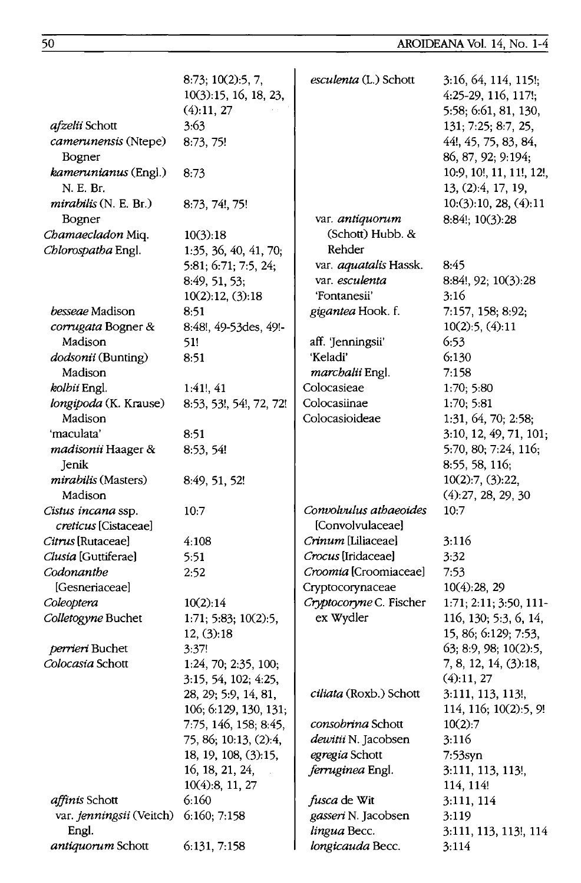|                                       | 8:73; 10(2):5, 7,<br>10(3):15, 16, 18, 23,<br>(4):11, 27 | esculenta (L.) Schott               | 3:16, 64, 114, 115!;<br>4:25-29, 116, 117!;<br>5:58; 6:61, 81, 130, |
|---------------------------------------|----------------------------------------------------------|-------------------------------------|---------------------------------------------------------------------|
| <i>afzelii</i> Schott                 | 3:63                                                     |                                     | 131; 7:25; 8:7, 25,                                                 |
| camerunensis (Ntepe)<br>Bogner        | 8:73, 75!                                                |                                     | 44!, 45, 75, 83, 84,<br>86, 87, 92; 9:194;                          |
| kamerunianus (Engl.)<br>N. E. Br.     | 8:73                                                     |                                     | 10:9, 10!, 11, 11!, 12!,<br>13, (2):4, 17, 19,                      |
| $mirabilis$ (N. E. Br.)<br>Bogner     | 8:73, 74!, 75!                                           | var. antiquorum                     | 10:(3):10, 28, (4):11<br>8:84!; 10(3):28                            |
| Chamaecladon Miq.                     | 10(3):18                                                 | (Schott) Hubb. &                    |                                                                     |
| Chlorospatha Engl.                    | 1:35, 36, 40, 41, 70;                                    | Rehder                              |                                                                     |
|                                       | 5:81; 6:71; 7:5, 24;                                     | var. <i>aquatalis</i> Hassk.        | 8:45                                                                |
|                                       | 8:49, 51, 53;                                            | var. esculenta                      | 8:84!, 92; 10(3):28                                                 |
|                                       | 10(2):12, (3):18                                         | 'Fontanesii'                        | 3:16                                                                |
| besseae Madison                       | 8:51                                                     | gigantea Hook. f.                   | 7:157, 158; 8:92;                                                   |
| corrugata Bogner &                    | 8:48!, 49-53des, 49!-                                    |                                     | 10(2):5, (4):11                                                     |
| Madison                               | 51!                                                      | aff. 'Jenningsii'                   | 6:53                                                                |
| dodsonii (Bunting)                    | 8:51                                                     | 'Keladi'                            | 6:130                                                               |
| Madison                               |                                                          | marchalii Engl.                     | 7:158                                                               |
| kolbii Engl.                          | 1:41, 41                                                 | Colocasieae                         | 1:70; 5:80                                                          |
| longipoda (K. Krause)                 | 8:53, 53!, 54!, 72, 72!                                  | Colocasiinae                        | 1:70; 5:81                                                          |
| Madison                               |                                                          | Colocasioideae                      | 1:31, 64, 70; 2:58;                                                 |
| 'maculata'                            | 8:51                                                     |                                     | 3:10, 12, 49, 71, 101;                                              |
| madisonii Haager &                    | 8:53, 54!                                                |                                     | 5:70, 80; 7:24, 116;                                                |
| Jenik                                 |                                                          |                                     | 8:55, 58, 116;                                                      |
| <i>mirabilis</i> (Masters)<br>Madison | 8:49, 51, 52!                                            |                                     | 10(2):7, (3):22,<br>(4):27, 28, 29, 30                              |
| Cistus incana ssp.                    | 10:7                                                     | Convolvulus athaeoides              | 10:7                                                                |
| creticus [Cistaceae]                  |                                                          | [Convolvulaceae]                    |                                                                     |
| Citrus [Rutaceae]                     | 4:108                                                    | Crinum [Liliaceae]                  | 3:116                                                               |
| Clusia [Guttiferae]                   | 5:51                                                     | Crocus [Iridaceae]                  | 3:32                                                                |
| Codonanthe                            | 2:52                                                     | Croomia [Croomiaceae]               | 7:53                                                                |
| [Gesneriaceae]                        |                                                          | Cryptocorynaceae                    | $10(4)$ :28, 29                                                     |
| Coleoptera                            | 10(2):14                                                 | Cryptocoryne C. Fischer             | 1:71; 2:11; 3:50, 111-                                              |
| Colletogyne Buchet                    | 1:71; 5:83; 10(2):5,                                     | ex Wydler                           | 116, 130; 5:3, 6, 14,                                               |
|                                       | 12, (3):18                                               |                                     | 15, 86; 6:129; 7:53,                                                |
| perrieri Buchet                       | 3:37!                                                    |                                     | 63; 8:9, 98; 10(2):5,                                               |
| Colocasia Schott                      | 1:24, 70; 2:35, 100;                                     |                                     | 7, 8, 12, 14, (3):18,                                               |
|                                       | 3:15, 54, 102; 4:25,                                     |                                     | (4):11,27                                                           |
|                                       | 28, 29; 5:9, 14, 81,                                     | ciliata (Roxb.) Schott              | 3:111, 113, 113!,                                                   |
|                                       | 106; 6:129, 130, 131;                                    |                                     | 114, 116; 10(2):5, 9!                                               |
|                                       | 7:75, 146, 158; 8:45,                                    | consobrina Schott                   | 10(2):7                                                             |
|                                       | 75, 86; 10:13, (2):4,                                    | dewitii N. Jacobsen                 | 3:116                                                               |
|                                       | 18, 19, 108, (3):15,                                     | egregia Schott                      | $7:53$ syn                                                          |
|                                       | 16, 18, 21, 24,                                          | ferruginea Engl.                    | 3:111, 113, 113!,                                                   |
| affinis Schott                        | 10(4):8, 11, 27<br>6:160                                 |                                     | 114, 114!                                                           |
| var. jenningsii (Veitch)              | 6:160; 7:158                                             | fusca de Wit<br>gasseri N. Jacobsen | 3:111, 114<br>3:119                                                 |
| Engl.                                 |                                                          | lingua Becc.                        | 3:111, 113, 113!, 114                                               |
| antiquorum Schott                     | 6:131, 7:158                                             | longicauda Becc.                    | 3:114                                                               |
|                                       |                                                          |                                     |                                                                     |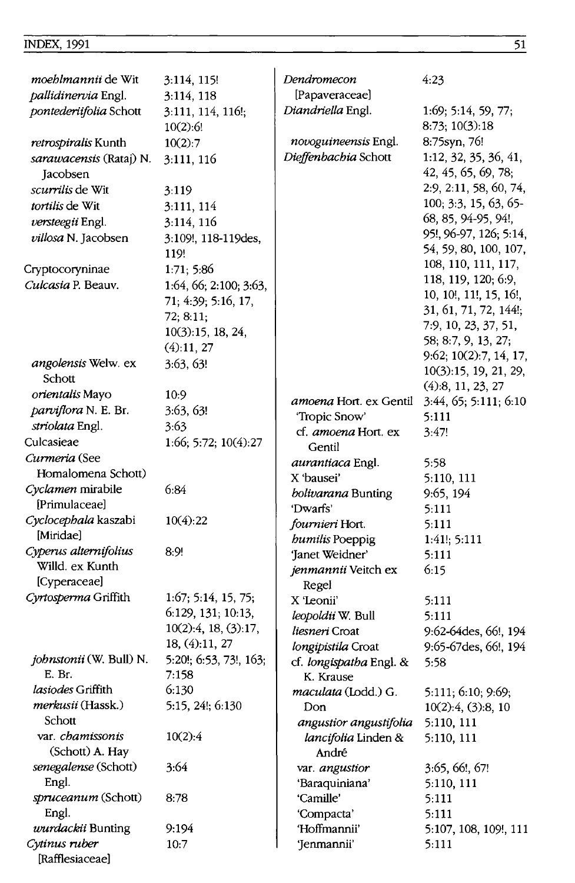#### **INDEX, 1991**

| <i>moehlmannii</i> de Wit           | 3:114, 115!                            | Dendromecon                | 4:23                                             |
|-------------------------------------|----------------------------------------|----------------------------|--------------------------------------------------|
| <i>pallidinervia</i> Engl.          | 3:114, 118                             | [Papaveraceae]             |                                                  |
| pontederiifolia Schott              | 3:111, 114, 116!;<br>10(2):6!          | Diandriella Engl.          | 1:69; 5:14, 59, 77;<br>8:73; 10(3):18            |
| <i>retrospiralis</i> Kunth          | 10(2):7                                | novoguineensis Engl.       | 8:75syn, 76!                                     |
| sarawacensis (Rataj) N.<br>Jacobsen | 3:111, 116                             | Dieffenbachia Schott       | 1:12, 32, 35, 36, 41,<br>42, 45, 65, 69, 78;     |
| scurrilis de Wit                    | 3:119                                  |                            | 2:9, 2:11, 58, 60, 74,                           |
| tortilis de Wit                     | 3:111, 114                             |                            | 100, 3:3, 15, 63, 65-                            |
| versteegii Engl.                    | 3:114, 116                             |                            | 68, 85, 94-95, 94!,                              |
| villosa N. Jacobsen                 | 3:109!, 118-119des,                    |                            | 95!, 96-97, 126; 5:14,                           |
|                                     | 119!                                   |                            | 54, 59, 80, 100, 107,                            |
| Cryptocoryninae                     | 1:71; 5:86                             |                            | 108, 110, 111, 117,                              |
| Culcasia P. Beauv.                  | 1:64, 66; 2:100; 3:63,                 |                            | 118, 119, 120; 6:9,                              |
|                                     | 71; 4:39; 5:16, 17,                    |                            | 10, 10!, 11!, 15, 16!,                           |
|                                     | 72; 8:11;                              |                            | 31, 61, 71, 72, 144!;                            |
|                                     | 10(3):15, 18, 24,                      |                            | 7:9, 10, 23, 37, 51,                             |
|                                     | (4):11,27                              |                            | 58, 8:7, 9, 13, 27;                              |
| angolensis Welw. ex                 | 3:63, 63!                              |                            | 9:62, 10(2):7, 14, 17,<br>10(3):15, 19, 21, 29,  |
| Schott                              |                                        |                            | (4):8, 11, 23, 27                                |
| orientalis Mayo                     | 10:9                                   | amoena Hort. ex Gentil     | 3:44, 65; 5:111; 6:10                            |
| parviflora N. E. Br.                | 3:63, 63!                              | 'Tropic Snow'              | 5:111                                            |
| striolata Engl.                     | 3:63                                   | cf. amoena Hort. ex        | 3:47!                                            |
| Culcasieae                          | 1.66; 5:72; 10(4):27                   | Gentil                     |                                                  |
| Curmeria (See                       |                                        | <i>aurantiaca</i> Engl.    | 5:58                                             |
| Homalomena Schott)                  |                                        | X 'bausei'                 | 5:110, 111                                       |
| Cyclamen mirabile                   | 6:84                                   | bolivarana Bunting         | 9:65, 194                                        |
| [Primulaceae]                       |                                        | 'Dwarfs'                   | 5.111                                            |
| Cyclocephala kaszabi                | 10(4):22                               | fournieri Hort.            | 5:111                                            |
| [Miridae]                           |                                        | <b>humilis Poeppig</b>     | 1:41!; 5:111                                     |
| Cyperus alternifolius               | 8:9!                                   | 'Janet Weidner'            | 5:111                                            |
| Willd. ex Kunth                     |                                        | jenmannii Veitch ex        | 6:15                                             |
| [Cyperaceae]                        |                                        | Regel                      |                                                  |
| Cyrtosperma Griffith                | 1:67; 5:14, 15, 75;                    | X 'Leonii'                 | 5:111                                            |
|                                     | 6:129, 131; 10:13,                     | leopoldii W. Bull          | 5:111                                            |
|                                     | 10(2):4, 18, (3):17,<br>18, (4):11, 27 | liesneri Croat             | 9:62-64des, 66!, 194                             |
| johnstonii (W. Bull) N.             |                                        | longipistila Croat         | 9:65-67des, 66!, 194                             |
| E. Br.                              | 5:20!; 6:53, 73!, 163;<br>7:158        | cf. longispatha Engl. &    | 5:58                                             |
| lasiodes Griffith                   | 6:130                                  | K. Krause                  |                                                  |
| merkusii (Hassk.)                   | 5:15, 24!; 6:130                       | maculata (Lodd.) G.<br>Don | 5:111; 6:10; 9:69;<br>$10(2):4$ , $(3):8$ , $10$ |
| Schott                              |                                        | angustior angustifolia     | 5:110, 111                                       |
| var. chamissonis                    | 10(2):4                                | lancifolia Linden &        | 5:110, 111                                       |
| (Schott) A. Hay                     |                                        | André                      |                                                  |
| senegalense (Schott)                | 3:64                                   | var. angustior             | 3:65, 66!, 67!                                   |
| Engl.                               |                                        | 'Baraquiniana'             | 5:110, 111                                       |
| spruceanum (Schott)                 | 8:78                                   | 'Camille'                  | 5:111                                            |
| Engl.                               |                                        | 'Compacta'                 | 5:111                                            |
| wurdackii Bunting                   | 9:194                                  | 'Hoffmannii'               | 5:107, 108, 109!, 111                            |
| Cytinus ruber<br>[Rafflesiaceae]    | 10:7                                   | 'Jenmannii'                | 5:111                                            |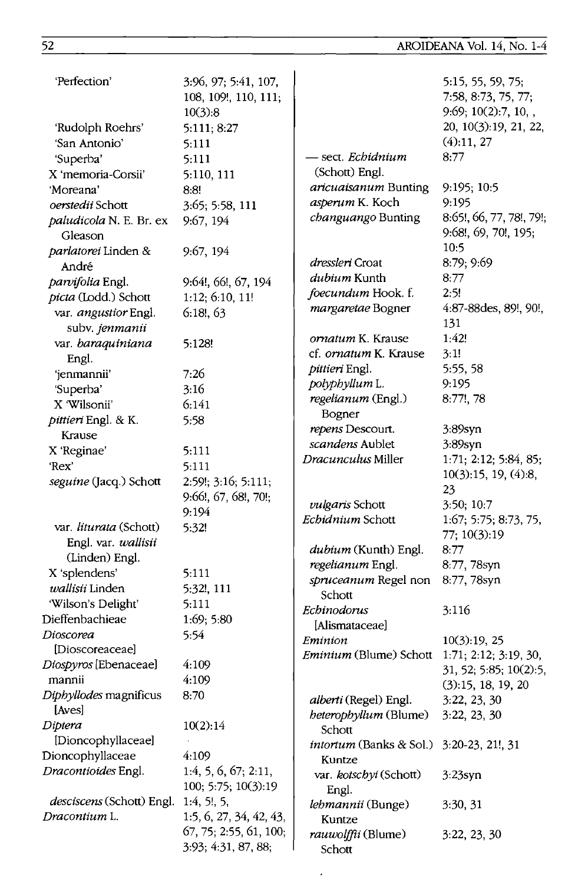| 'Perfection'                              | 3:96, 97; 5:41, 107,<br>108, 109!, 110, 111;<br>10(3):8 |                                | 5:15, 55, 59, 75;<br>7:58, 8:73, 75, 77;<br>9:69; 10(2):7, 10, , |
|-------------------------------------------|---------------------------------------------------------|--------------------------------|------------------------------------------------------------------|
| 'Rudolph Roehrs'                          | 5:111; 8:27                                             |                                | 20, 10(3):19, 21, 22,                                            |
| 'San Antonio'                             | 5:111                                                   |                                | (4):11, 27                                                       |
| 'Superba'                                 | 5:111                                                   | - sect. <i>Echidnium</i>       | 8:77                                                             |
| X 'memoria-Corsii'                        | 5:110, 111                                              | (Schott) Engl.                 |                                                                  |
| 'Moreana'                                 | 8:8!                                                    | aricuaisanum Bunting           | 9:195; 10:5                                                      |
| oerstedii Schott                          | 3:65; 5:58, 111                                         | asperum K. Koch                | 9:195                                                            |
| <i>paludicola N. E. Br. ex</i><br>Gleason | 9:67, 194                                               | changuango Bunting             | 8:65!, 66, 77, 78!, 79!;<br>9:68!, 69, 70!, 195;                 |
| parlatorei Linden &                       | 9:67, 194                                               |                                | 10:5                                                             |
| André                                     |                                                         | dressleri Croat                | 8:79; 9:69                                                       |
| parvifolia Engl.                          | 9:64!, 66!, 67, 194                                     | dubium Kunth                   | 8:77                                                             |
| picta (Lodd.) Schott                      | 1:12; 6:10, 11!                                         | foecundum Hook. f.             | 2:5!                                                             |
| var. angustior Engl.                      | 6:18,63                                                 | margaretae Bogner              | $4:87-88$ des, 89!, 90!,                                         |
| subv. jenmanii                            |                                                         |                                | 131                                                              |
| var. baraquiniana                         | 5:128!                                                  | ornatum K. Krause              | 1:42!                                                            |
| Engl.                                     |                                                         | cf. ornatum K. Krause          | 3:1!                                                             |
| 'jenmannii'                               | 7:26                                                    | pittieri Engl.                 | 5:55, 58                                                         |
| 'Superba'                                 | 3:16                                                    | polyphyllum L.                 | 9:195                                                            |
| X 'Wilsonii'                              | 6:141                                                   | regelianum (Engl.)             | 8:77!, 78                                                        |
| pittieri Engl. & K.                       | 5:58                                                    | Bogner                         |                                                                  |
| Krause                                    |                                                         | repens Descourt.               | 3:89syn                                                          |
| X 'Reginae'                               | 5:111                                                   | scandens Aublet                | $3:89$ syn                                                       |
| 'Rex'                                     | 5:111                                                   | Dracunculus Miller             | 1:71; 2:12; 5:84, 85;                                            |
| seguine (Jacq.) Schott                    | 2:59!; 3:16; 5:111;                                     |                                | 10(3):15, 19, (4):8,                                             |
|                                           | 9:66!, 67, 68!, 70!;                                    |                                | 23                                                               |
|                                           | 9:194                                                   | vulgaris Schott                | 3:50; 10:7                                                       |
| var. liturata (Schott)                    | 5:32!                                                   | <i>Echidnium</i> Schott        | 1:67; 5:75; 8:73, 75,                                            |
| Engl. var. wallisii                       |                                                         |                                | 77; 10(3):19                                                     |
| (Linden) Engl.                            |                                                         | dubium (Kunth) Engl.           | 8:77                                                             |
| X 'splendens'                             | 5:111                                                   | regelianum Engl.               | 8:77, 78syn                                                      |
| wallisii Linden                           | 5:32!, 111                                              | spruceanum Regel non           | 8:77, 78syn                                                      |
| 'Wilson's Delight'                        | 5:111                                                   | Schott                         |                                                                  |
| Dieffenbachieae                           | 1:69; 5:80                                              | Echinodorus                    | 3:116                                                            |
| Dioscorea                                 | 5:54                                                    | [Alismataceae]                 |                                                                  |
| [Dioscoreaceae]                           |                                                         | Eminion                        | 10(3):19,25                                                      |
| Diospyros [Ebenaceae]                     | 4:109                                                   | <i>Eminium</i> (Blume) Schott  | 1:71; 2:12; 3:19, 30,                                            |
| mannii                                    | 4:109                                                   |                                | 31, 52, 5:85, 10(2):5,                                           |
| <i>Diphyllodes</i> magnificus             | 8:70                                                    |                                | (3):15, 18, 19, 20                                               |
| [Aves]                                    |                                                         | alberti (Regel) Engl.          | 3:22, 23, 30                                                     |
| Diptera                                   | 10(2):14                                                | heterophyllum (Blume)          | 3:22, 23, 30                                                     |
| [Dioncophyllaceae]                        |                                                         | Schott                         |                                                                  |
| Dioncophyllaceae                          | 4:109                                                   | <i>intortum</i> (Banks & Sol.) | $3:20-23, 21!$ , 31                                              |
| <i>Dracontioides</i> Engl.                | 1:4, 5, 6, 67; 2:11,                                    | Kuntze                         |                                                                  |
|                                           | 100; 5:75; 10(3):19                                     | var. kotschyi (Schott)         | $3:23$ syn                                                       |
| desciscens (Schott) Engl.                 | 1:4, 5!, 5,                                             | Engl.                          |                                                                  |
| Dracontium L.                             | 1:5, 6, 27, 34, 42, 43,                                 | lehmannii (Bunge)<br>Kuntze    | 3:30, 31                                                         |
|                                           | 67, 75; 2:55, 61, 100;                                  | rauwolffii (Blume)             | 3:22, 23, 30                                                     |
|                                           | 3:93; 4:31, 87, 88;                                     | Schott                         |                                                                  |
|                                           |                                                         |                                |                                                                  |

 $\cdot$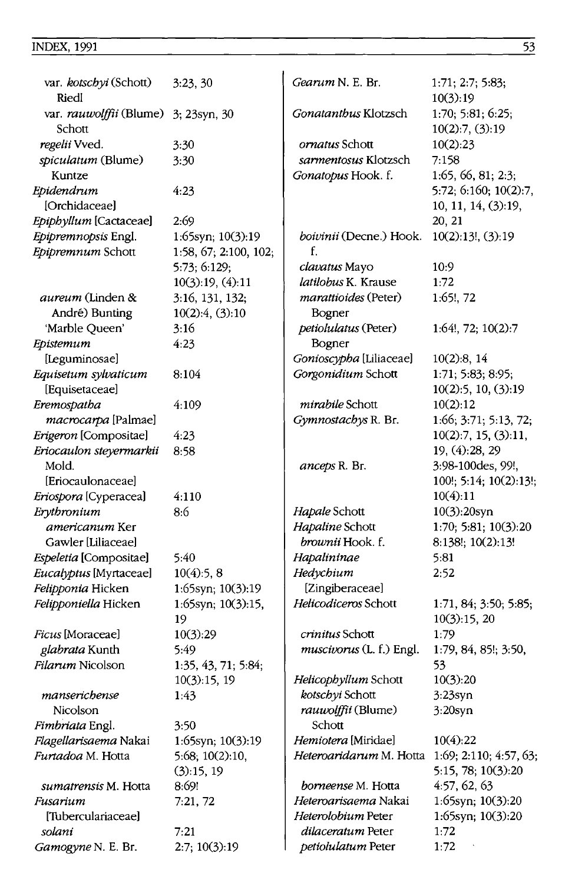| var. kotschyi (Schott)<br>Riedl   | 3:23,30                  | Gearum N. E. Br.                        | 1:71; 2:7; 5:83;<br>10(3):19          |
|-----------------------------------|--------------------------|-----------------------------------------|---------------------------------------|
| var. rauwolffii (Blume)<br>Schott | 3; 23syn, 30             | Gonatanthus Klotzsch                    | 1:70; 5:81; 6:25;<br>10(2):7, (3):19  |
| regelii Vved.                     | 3:30                     | <i>ornatus</i> Schott                   | 10(2):23                              |
| spiculatum (Blume)                | 3:30                     | sarmentosus Klotzsch                    | 7:158                                 |
| Kuntze                            |                          | Gonatopus Hook. f.                      | 1:65, 66, 81; 2:3;                    |
| Epidendrum                        | 4:23                     |                                         | 5:72; 6:160; 10(2):7,                 |
| [Orchidaceae]                     |                          |                                         | 10, 11, 14, (3):19,                   |
| Epiphyllum [Cactaceae]            | 2:69                     |                                         | 20, 21                                |
| Epipremnopsis Engl.               | 1:65syn; 10(3):19        | boivinii (Decne.) Hook.                 | $10(2)$ 13!, (3) 19                   |
| Epipremnum Schott                 | 1:58, 67; 2:100, 102;    | f.                                      |                                       |
|                                   | 5:73; 6:129;             | <i>clavatus</i> Mayo                    | 10:9                                  |
|                                   | 10(3):19, (4):11         | latilobus K. Krause                     | 1:72                                  |
| <i>aureum</i> (Linden &           | 3:16, 131, 132;          | <i>marattioides</i> (Peter)             | 1:65!, 72                             |
| André) Bunting                    | $10(2):4$ , $(3):10$     | Bogner                                  |                                       |
| 'Marble Queen'                    | 3:16                     | petiolulatus (Peter)                    | $1:64!$ , 72; $10(2):7$               |
| Epistemum                         | 4:23                     | Bogner                                  |                                       |
| [Leguminosae]                     |                          | Gonioscypha [Liliaceae]                 | 10(2):8, 14                           |
| Equisetum sylvaticum              | 8:104                    | Gorgonidium Schott                      | 1:71; 5:83; 8:95;                     |
| [Equisetaceae]                    |                          |                                         | 10(2):5, 10, (3):19                   |
| Eremospatha                       | 4:109                    | mirabile Schott                         | 10(2):12                              |
| macrocarpa [Palmae]               |                          | Gymnostachys R. Br.                     | 1:66; 3:71; 5:13, 72;                 |
| Erigeron [Compositae]             | 4:23                     |                                         | 10(2):7, 15, (3):11,                  |
| Eriocaulon steyermarkii           | 8:58                     |                                         | 19, (4):28, 29                        |
| Mold.                             |                          | anceps R. Br.                           | 3:98-100des, 99!,                     |
| [Eriocaulonaceae]                 |                          |                                         | 100!; 5:14; 10(2):13!;                |
| Eriospora [Cyperacea]             | 4:110                    |                                         | 10(4):11                              |
| Erythronium                       | 8:6                      | Hapale Schott                           | 10(3):20syn                           |
| <i>americanum</i> Ker             |                          | Hapaline Schott                         | 1:70; 5:81; 10(3):20                  |
| Gawler [Liliaceae]                |                          | brownii Hook. f.                        | 8:138!; 10(2):13!                     |
| Espeletia [Compositae]            | 5:40                     | Hapalininae                             | 5:81                                  |
| Eucalyptus [Myrtaceae]            | 10(4):5, 8               | Hedychium                               | 2:52                                  |
| Felipponia Hicken                 | 1:65syn; 10(3):19        | [Zingiberaceae]<br>Helicodiceros Schott |                                       |
| Felipponiella Hicken              | 1:65syn; 10(3):15,<br>19 |                                         | 1:71, 84; 3:50; 5:85;<br>10(3):15, 20 |
| Ficus [Moraceae]                  | 10(3):29                 | crinitus Schott                         | 1:79                                  |
| glabrata Kunth                    | 5:49                     | muscivorus (L. f.) Engl.                | 1:79, 84, 85!; 3:50,                  |
| Filarum Nicolson                  | 1:35, 43, 71; 5:84;      |                                         | 53                                    |
|                                   | 10(3):15, 19             | Helicophyllum Schott                    | 10(3):20                              |
| manserichense                     | 143                      | kotschyi Schott                         | $3:23$ syn                            |
| Nicolson                          |                          | <i>rauwolffii</i> (Blume)               | $3:20$ syn                            |
| Fimbriata Engl.                   | 3:50                     | Schott                                  |                                       |
| Flagellarisaema Nakai             | 1:65syn; 10(3):19        | Hemiotera [Miridae]                     | 10(4):22                              |
| Furtadoa M. Hotta                 | 5.68; 10(2):10,          | Heteroaridarum M. Hotta                 | 1:69; 2:110; 4:57, 63;                |
|                                   | (3):15,19                |                                         | 5:15, 78; 10(3):20                    |
| <i>sumatrensis</i> M. Hotta       | 8:69!                    | borneense M. Hotta                      | 4:57, 62, 63                          |
| Fusarium                          | 7:21,72                  | Heteroarisaema Nakai                    | 1:65syn; 10(3):20                     |
| [Tuberculariaceae]                |                          | Heterolobium Peter                      | 1:65syn; 10(3):20                     |
| solani                            | 7:21                     | dilaceratum Peter                       | 1:72                                  |
| Gamogyne N. E. Br.                | 2:7; 10(3):19            | petiolulatum Peter                      | 1:72                                  |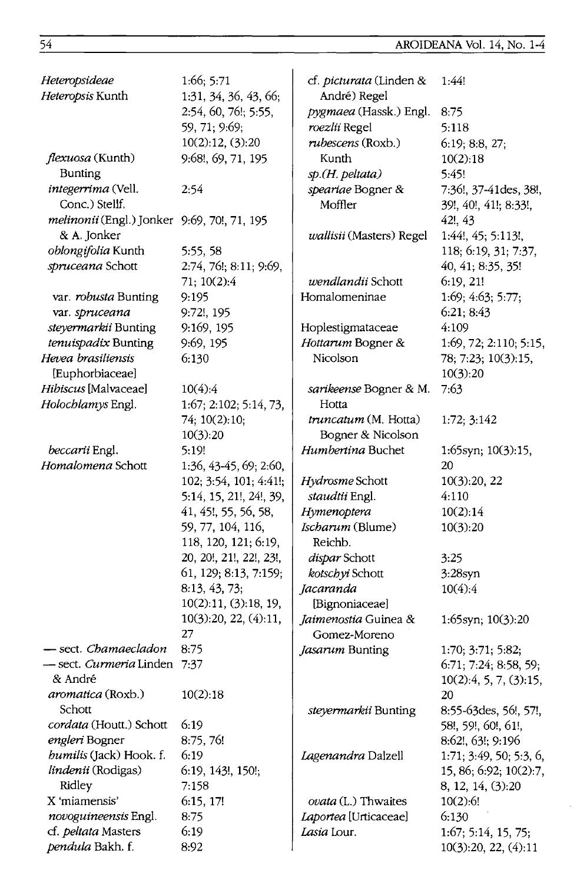| Heteropsideae                               | 1:66; 5:71              | cf. picturata (Linden &  | 1:44!                   |
|---------------------------------------------|-------------------------|--------------------------|-------------------------|
| Heteropsis Kunth                            | 1:31, 34, 36, 43, 66;   | André) Regel             |                         |
|                                             | 2:54, 60, 76!; 5:55,    | pygmaea (Hassk.) Engl.   | 8:75                    |
|                                             | 59, 71; 9:69;           | roezlii Regel            | 5:118                   |
|                                             | 10(2):12, (3):20        | rubescens (Roxb.)        | 6:19; 8:8, 27;          |
| flexuosa (Kunth)                            | 9:68!, 69, 71, 195      | Kunth                    | 10(2):18                |
| <b>Bunting</b>                              |                         | sp.(H. peltata)          | 5:45!                   |
| integerrima (Vell.                          | 2:54                    | speariae Bogner &        | 7:36!, 37-41des, 38!,   |
| Conc.) Stellf.                              |                         | Moffler                  | 39!, 40!, 41!; 8:33!,   |
| melinonii (Engl.) Jonker 9:69, 70!, 71, 195 |                         |                          | 42!, 43                 |
| & A. Jonker                                 |                         | wallisii (Masters) Regel | 1:44!, 45; 5:113!,      |
| oblongifolia Kunth                          | 5:55, 58                |                          | 118; 6:19, 31; 7:37,    |
| spruceana Schott                            | 2:74, 76!; 8:11; 9:69,  |                          | 40, 41; 8:35, 35!       |
|                                             | 71; 10(2):4             | wendlandii Schott        | 6:19,21!                |
| var. robusta Bunting                        | 9:195                   | Homalomeninae            | 1:69; 4:63; 5:77;       |
| var. spruceana                              | 9:72!, 195              |                          | 6:21; 8:43              |
| steyermarkii Bunting                        | 9:169, 195              | Hoplestigmataceae        | 4:109                   |
| tenuispadix Bunting                         | 9:69, 195               | Hottarum Bogner &        | 1:69, 72; 2:110; 5:15,  |
| Hevea brasiliensis                          | 6:130                   | Nicolson                 | 78; 7:23; 10(3):15,     |
| [Euphorbiaceae]                             |                         |                          | 10(3):20                |
| Hibiscus [Malvaceae]                        | 10(4):4                 | sarikeense Bogner & M.   | 7:63                    |
| Holochlamys Engl.                           | 1:67; 2:102; 5:14, 73,  | Hotta                    |                         |
|                                             | 74; 10(2):10;           | truncatum (M. Hotta)     | 1:72; 3:142             |
|                                             | 10(3):20                | Bogner & Nicolson        |                         |
| beccarii Engl.                              | 5:19!                   | Humbertina Buchet        | 1:65syn; 10(3):15,      |
| Homalomena Schott                           | 1:36, 43-45, 69; 2:60,  |                          | 20                      |
|                                             | 102; 3:54, 101; 4:41!;  | Hydrosme Schott          | 10(3):20, 22            |
|                                             | 5:14, 15, 21!, 24!, 39, | staudtii Engl.           | 4:110                   |
|                                             | 41, 45!, 55, 56, 58,    | Hymenoptera              | 10(2):14                |
|                                             | 59, 77, 104, 116,       | Ischarum (Blume)         | 10(3):20                |
|                                             | 118, 120, 121; 6:19,    | Reichb.                  |                         |
|                                             | 20, 20!, 21!, 22!, 23!, | dispar Schott            | 3:25                    |
|                                             | 61, 129; 8:13, 7:159;   | kotschyi Schott          | $3:28$ syn              |
|                                             | 8:13, 43, 73;           | Jacaranda                | 10(4):4                 |
|                                             | 10(2):11, (3):18, 19,   | [Bignoniaceae]           |                         |
|                                             | 10(3):20, 22, (4):11,   | Jaimenostia Guinea &     | 1:65syn; 10(3):20       |
|                                             | 27                      | Gomez-Moreno             |                         |
| sect. Chamaecladon                          | 8:75                    | Jasarum Bunting          | 1:70; 3:71; 5:82;       |
| - sect. Curmeria Linden 7:37                |                         |                          | 6:71; 7:24; 8:58, 59;   |
| & André                                     |                         |                          | 10(2):4, 5, 7, (3):15,  |
| aromatica (Roxb.)                           | 10(2):18                |                          | 20                      |
| Schott                                      |                         | steyermarkii Bunting     | 8:55-63 des, 56!, 57!,  |
| cordata (Houtt.) Schott                     | 6:19                    |                          | 58!, 59!, 60!, 61!,     |
| engleri Bogner                              | 8:75, 76!               |                          | 8:62!, 63!; 9:196       |
| humilis (Jack) Hook. f.                     | 6:19                    | Lagenandra Dalzell       | 1:71; 3:49, 50; 5:3, 6, |
| lindenii (Rodigas)                          | 6:19, 143!, 150!;       |                          | 15, 86; 6:92; 10(2):7,  |
| Ridley                                      | 7:158                   |                          | 8, 12, 14, (3):20       |
| X 'miamensis'                               | 6:15, 17!               | ovata (L.) Thwaites      | 10(2):6!                |
| novoguineensis Engl.                        | 8:75                    | Laportea [Urticaceae]    | 6:130                   |
| cf. peltata Masters                         | 6:19                    | Lasia Lour.              | 1:67; 5:14, 15, 75;     |
| <i>pendula</i> Bakh. f.                     | 8:92                    |                          | 10(3):20, 22, (4):11    |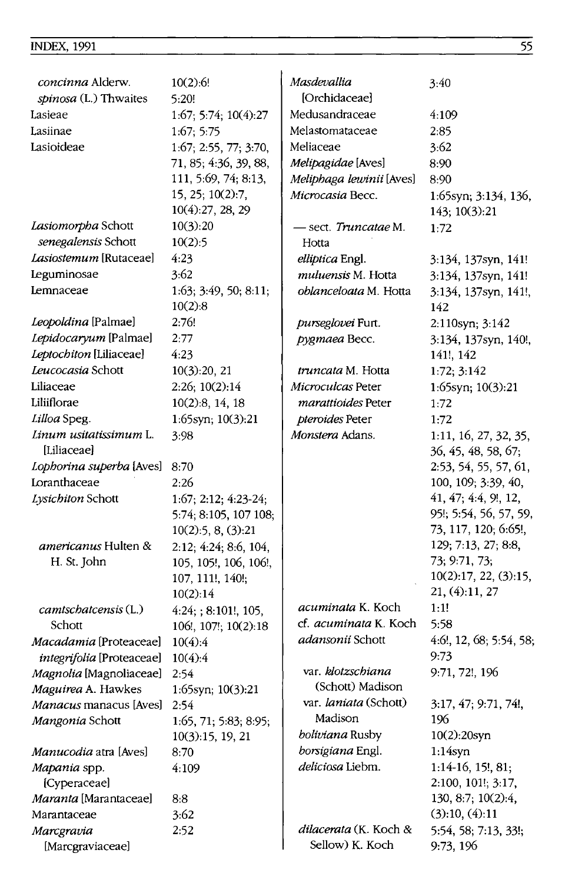| concinna Alderw.<br>spinosa (L.) Thwaites | 10(2):6!<br>5:20!       | Masdevallia<br>[Orchidaceae]         | 3:40                                         |
|-------------------------------------------|-------------------------|--------------------------------------|----------------------------------------------|
| Lasieae                                   | 1:67; 5:74; 10(4):27    | Medusandraceae                       | 4:109                                        |
| Lasiinae                                  | 1:67:5:75               | Melastomataceae                      | 2:85                                         |
| Lasioideae                                | 1:67; 2:55, 77; 3:70,   | Meliaceae                            | 3:62                                         |
|                                           | 71, 85; 4:36, 39, 88,   | Melipagidae [Aves]                   | 8:90                                         |
|                                           | 111, 5:69, 74; 8:13,    | Meliphaga lewinii [Aves]             | 8:90                                         |
|                                           | 15, 25; 10(2):7,        | Microcasia Becc.                     | 1:65syn; 3:134, 136,                         |
|                                           | 10(4):27, 28, 29        |                                      | 143; 10(3):21                                |
| Lasiomorpha Schott                        | 10(3):20                | - sect. Truncatae M.                 | 1:72                                         |
| senegalensis Schott                       | 10(2):5                 | Hotta                                |                                              |
| Lasiostemum [Rutaceae]                    | 4:23                    | elliptica Engl.                      | 3:134, 137syn, 141!                          |
| <b>Leguminosae</b>                        | 3:62                    | muluensis M. Hotta                   | 3:134, 137syn, 141!                          |
| Lemnaceae                                 | 1:63; 3:49, 50; 8:11;   | <i>oblanceloata</i> M. Hotta         | 3:134, 137syn, 141!,                         |
|                                           | 10(2):8                 |                                      | 142                                          |
| Leopoldina [Palmae]                       | 2:76!                   | purseglovei Furt.                    | 2:110syn; 3:142                              |
| Lepidocaryum [Palmae]                     | 2:77                    | pygmaea Becc.                        | 3:134, 137syn, 140!,                         |
| Leptochiton [Liliaceae]                   | 4:23                    |                                      | 141!, 142                                    |
| Leucocasia Schott                         | 10(3):20, 21            | <i>truncata</i> M. Hotta             | 1:72; 3:142                                  |
| Liliaceae                                 | 2:26; 10(2):14          | Microculcas Peter                    | 1:65syn; 10(3):21                            |
| Liliiflorae                               | 10(2):8, 14, 18         | <i>marattioides</i> Peter            | 1:72                                         |
| Lilloa Speg.                              | 1:65syn; 10(3):21       | pteroides Peter                      | 1:72                                         |
| Linum usitatissimum L.<br>[Liliaceae]     | 3:98                    | Monstera Adans.                      | 1:11, 16, 27, 32, 35,<br>36, 45, 48, 58, 67, |
| Lophorina superba [Aves]                  | 8:70                    |                                      | 2:53, 54, 55, 57, 61,                        |
| Loranthaceae                              | 2:26                    |                                      | 100, 109; 3:39, 40,                          |
| Lysichiton Schott                         | $1:67; 2:12; 4:23-24;$  |                                      | 41, 47; 4:4, 9!, 12,                         |
|                                           | 5:74; 8:105, 107 108;   |                                      | 95!; 5:54, 56, 57, 59,                       |
|                                           | 10(2):5, 8, (3):21      |                                      | 73, 117, 120; 6:65!,                         |
| americanus Hulten &                       | 2:12; 4:24; 8:6, 104,   |                                      | 129; 7:13, 27; 8:8,                          |
| H. St. John                               | 105, 105!, 106, 106!,   |                                      | 73; 9:71, 73;                                |
|                                           | 107, 111!, 140!;        |                                      | 10(2):17, 22, (3):15,                        |
|                                           | 10(2):14                |                                      | 21, (4):11, 27                               |
| camtschatcensis (L.)                      | $4:24$ ; ; 8:101!, 105, | <i>acuminata</i> K. Koch             | 1:1!                                         |
| Schott                                    | 106!, 107!; 10(2):18    | cf. acuminata K. Koch                | 5:58                                         |
| Macadamia [Proteaceae]                    | 10(4):4                 | adansonii Schott                     | 4:6!, 12, 68; 5:54, 58;                      |
| integrifolia [Proteaceae]                 | 10(4):4                 |                                      | 9:73                                         |
| Magnolia [Magnoliaceae]                   | 2:54                    | var. klotzschiana                    | 9:71, 72!, 196                               |
| Maguirea A. Hawkes                        | 1:65syn; $10(3):21$     | (Schott) Madison                     |                                              |
| Manacus manacus [Aves]                    | 2:54                    | var. laniata (Schott)                | 3:17, 47; 9:71, 74!,                         |
| Mangonia Schott                           | 1:65, 71; 5:83; 8:95;   | Madison                              | 196                                          |
|                                           | 10(3):15, 19, 21        | boliviana Rusby                      | $10(2):20$ syn                               |
| Manucodia atra [Aves]                     | 8:70                    | borsigiana Engl.<br>deliciosa Liebm. | 1:14syn                                      |
| Mapania spp.                              | 4:109                   |                                      | $1:14-16, 15!, 81;$                          |
| [Cyperaceae]                              |                         |                                      | 2:100, 101!, 3:17,                           |
| Maranta [Marantaceae]<br>Marantaceae      | 8:8<br>3:62             |                                      | 130, 8:7; 10(2):4,<br>(3):10, (4):11         |
| Marcgravia                                | 2:52                    | dilacerata (K. Koch &                | 5:54, 58; 7:13, 33!;                         |
| [Marcgraviaceae]                          |                         | Sellow) K. Koch                      | 9:73, 196                                    |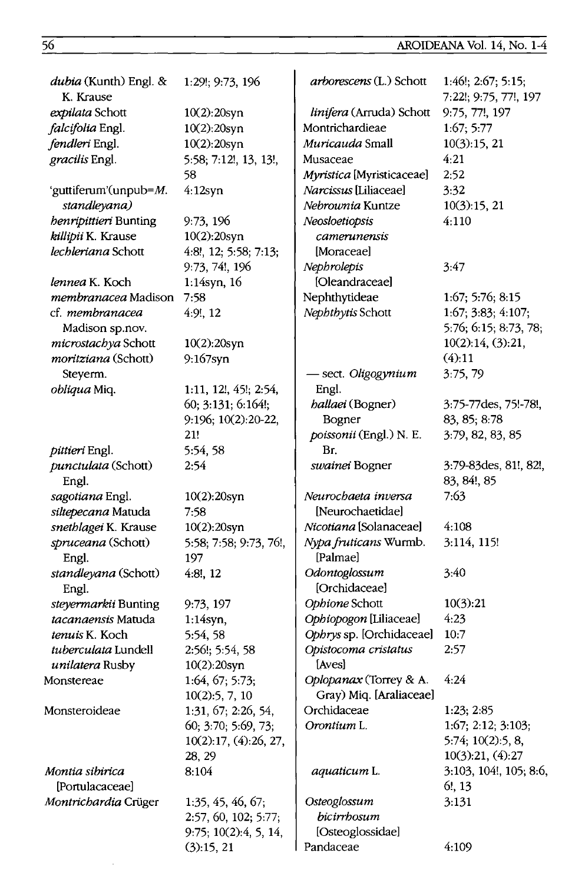# AROIDEANA Vol. 14, No. 1-4

| dubia (Kunth) Engl. &<br>K. Krause | 1:29!; 9:73, 196         | arborescens (L.) Schott   | 1:46!; 2:67; 5:15;<br>7:22!; 9:75, 77!, 197 |
|------------------------------------|--------------------------|---------------------------|---------------------------------------------|
| expilata Schott                    | $10(2):20$ syn           | linifera (Arruda) Schott  | 9:75, 77!, 197                              |
| falcifolia Engl.                   | 10(2):20syn              | Montrichardieae           | 1:67; 5:77                                  |
| fendleri Engl.                     | $10(2):20$ syn           | Muricauda Small           | 10(3):15,21                                 |
| gracilis Engl.                     | 5:58; 7:12!, 13, 13!,    | Musaceae                  | 4:21                                        |
|                                    | 58                       | Myristica [Myristicaceae] | 2:52                                        |
| 'guttiferum'(unpub=M.              | $4:12$ syn               | Narcissus [Liliaceae]     | 3:32                                        |
| standleyana)                       |                          | Nebrownia Kuntze          | 10(3):15, 21                                |
| henripittieri Bunting              | 9:73, 196                | Neosloetiopsis            | 4:110                                       |
| killipii K. Krause                 | $10(2):20$ syn           | camerunensis              |                                             |
| lechleriana Schott                 | 4:8!, 12; 5:58; 7:13;    | [Moraceae]                |                                             |
|                                    | 9:73, 74!, 196           | Nephrolepis               | 3:47                                        |
| <i>lennea</i> K. Koch              | 1:14syn, 16              | [Oleandraceae]            |                                             |
| membranacea Madison                | 7:58                     | Nephthytideae             | 1:67; 5:76; 8:15                            |
| cf. membranacea                    | 4:9!, 12                 | Nephthytis Schott         | 1:67; 3:83; 4:107;                          |
| Madison sp.nov.                    |                          |                           | 5:76; 6:15; 8:73, 78;                       |
| microstachya Schott                | 10(2):20syn              |                           | 10(2):14, (3):21,                           |
| moritziana (Schott)                | $9:167$ syn              |                           | (4):11                                      |
| Steyerm.                           |                          | - sect. Oligogynium       | 3:75,79                                     |
| obliqua Miq.                       | 1:11, 12!, 45!; 2:54,    | Engl.                     |                                             |
|                                    | 60; 3:131; 6:164!;       | <i>hallaei</i> (Bogner)   | 3:75-77des, 75!-78!,                        |
|                                    | 9:196; 10(2):20-22,      | Bogner                    | 83, 85; 8:78                                |
|                                    | 21!                      | poissonii (Engl.) N. E.   | 3:79, 82, 83, 85                            |
| pittieri Engl.                     | 5:54, 58                 | Br.                       |                                             |
| punctulata (Schott)                | 2:54                     | swainei Bogner            | 3:79-83 des, 81!, 82!,                      |
| Engl.                              |                          |                           | 83, 84!, 85                                 |
| sagotiana Engl.                    | $10(2)$ :20syn           | Neurochaeta inversa       | 7:63                                        |
| siltepecana Matuda                 | 7:58                     | [Neurochaetidae]          |                                             |
| snethlagei K. Krause               | 10(2):20syn              | Nicotiana [Solanaceae]    | 4:108                                       |
| spruceana (Schott)                 | 5:58; 7:58; 9:73, 76!,   | Nypa fruticans Wurmb.     | 3:114, 115!                                 |
| Engl.                              | 197                      | [Palmae]                  |                                             |
| standleyana (Schott)               | 4:8!, 12                 | Odontoglossum             | 3:40                                        |
| Engl.                              |                          | [Orchidaceae]             |                                             |
| steyermarkii Bunting               | 9:73, 197                | Ophione Schott            | 10(3):21                                    |
| tacanaensis Matuda                 | $1:14$ syn,              | Ophiopogon [Liliaceae]    | 4:23                                        |
| tenuis K. Koch                     | 5:54, 58                 | Ophrys sp. [Orchidaceae]  | 10:7                                        |
| tuberculata Lundell                | 2:56!; 5:54, 58          | Opistocoma cristatus      | 2:57                                        |
| unilatera Rusby                    | 10(2):20syn              | [Aves]                    |                                             |
| Monstereae                         | 1:64, 67; 5:73;          | Oplopanax (Torrey & A.    | 4:24                                        |
|                                    | 10(2):5, 7, 10           | Gray) Miq. [Araliaceae]   |                                             |
| Monsteroideae                      | 1:31, 67; 2:26, 54,      | Orchidaceae               | 1:23; 2:85                                  |
|                                    | 60; 3:70; 5:69, 73;      | Orontium L.               | 1:67; 2:12; 3:103;                          |
|                                    | 10(2):17, (4):26, 27,    |                           | 5:74; 10(2):5, 8,                           |
|                                    | 28, 29                   |                           | 10(3):21, (4):27                            |
| Montia sibirica                    | 8:104                    | aquaticum L.              | 3:103, 104!, 105; 8:6,                      |
| [Portulacaceae]                    |                          |                           | $6!$ , 13                                   |
| Montrichardia Crüger               | 1:35, 45, 46, 67;        | Osteoglossum              | 3:131                                       |
|                                    | 2:57, 60, 102; 5:77;     | bicirrhosum               |                                             |
|                                    | $9:75$ ; 10(2):4, 5, 14, | [Osteoglossidae]          |                                             |
|                                    | (3):15, 21               | Pandaceae                 | 4:109                                       |
|                                    |                          |                           |                                             |

 $\sim$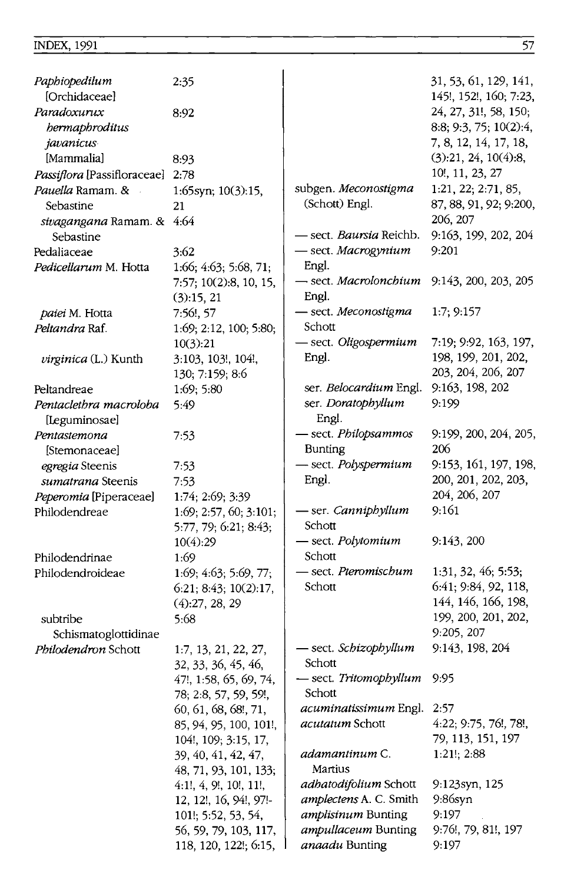| Paphiopedilum<br>[Orchidaceae]         | 2:35                        |                                | 31, 53, 61, 129, 141,<br>145!, 152!, 160; 7:23, |
|----------------------------------------|-----------------------------|--------------------------------|-------------------------------------------------|
| Paradoxurux<br>bermaphroditus          | 8:92                        |                                | 24, 27, 31!, 58, 150;<br>8:8; 9:3, 75; 10(2):4, |
| javanicus<br>[Mammalia]                | 8:93                        |                                | 7, 8, 12, 14, 17, 18,<br>(3):21, 24, 10(4):8,   |
| Passiflora [Passifloraceae] 2:78       |                             |                                | 10!, 11, 23, 27                                 |
|                                        |                             | subgen. Meconostigma           | 1:21, 22; 2:71, 85,                             |
| Pauella Ramam. &<br>Sebastine          | 1:65syn; $10(3):15$ ,<br>21 | (Schott) Engl.                 | 87, 88, 91, 92; 9:200,                          |
|                                        |                             |                                | 206, 207                                        |
| sivagangana Ramam. & 4:64<br>Sebastine |                             | — sect. <i>Baursia</i> Reichb. | 9:163, 199, 202, 204                            |
| Pedaliaceae                            | 3:62                        | - sect. Macrogynium            | 9:201                                           |
| Pedicellarum M. Hotta                  | 1:66; 4:63; 5:68, 71;       | Engl.                          |                                                 |
|                                        | 7:57; 10(2):8, 10, 15,      | — sect. Macrolonchium          | 9:143, 200, 203, 205                            |
|                                        | (3):15, 21                  | Engl.                          |                                                 |
| paiei M. Hotta                         | 7:56!, 57                   | - sect. Meconostigma           | 1:7; 9:157                                      |
| Peltandra Raf.                         | 1:69; 2:12, 100; 5:80;      | Schott                         |                                                 |
|                                        | 10(3):21                    | - sect. Oligospermium          | 7:19; 9:92, 163, 197,                           |
|                                        | 3:103, 103!, 104!,          | Engl.                          | 198, 199, 201, 202,                             |
| <i>virginica</i> (L.) Kunth            | 130; 7:159; 8:6             |                                | 203, 204, 206, 207                              |
| Peltandreae                            | 1:69; 5:80                  | ser. Belocardium Engl.         | 9:163, 198, 202                                 |
| Pentaclethra macroloba                 | 5:49                        | ser. Doratophyllum             | 9:199                                           |
| [Leguminosae]                          |                             | Engl.                          |                                                 |
| Pentastemona                           | 7:53                        | - sect. Philopsammos           | 9:199, 200, 204, 205,                           |
| [Stemonaceae]                          |                             | <b>Bunting</b>                 | 206                                             |
| egregia Steenis                        | 7:53                        | - sect. Polyspermium           | 9:153, 161, 197, 198,                           |
| sumatrana Steenis                      | 7:53                        | Engl.                          | 200, 201, 202, 203,                             |
| Peperomia [Piperaceae]                 | 1:74; 2:69; 3:39            |                                | 204, 206, 207                                   |
| Philodendreae                          | 1:69; 2:57, 60; 3:101;      | - ser. Canniphyllum            | 9:161                                           |
|                                        | 5:77, 79; 6:21; 8:43;       | Schott                         |                                                 |
|                                        | 10(4):29                    | - sect. Polytomium             | 9:143,200                                       |
| Philodendrinae                         | 1:69                        | Schott                         |                                                 |
| Philodendroideae                       | 1:69; 4:63; 5:69, 77;       | - sect. Pteromischum           | 1:31, 32, 46; 5:53;                             |
|                                        | 6:21; 8:43; 10(2):17,       | Schott                         | 6:41; 9:84, 92, 118,                            |
|                                        | (4):27, 28, 29              |                                | 144, 146, 166, 198,                             |
| subtribe                               | 5:68                        |                                | 199, 200, 201, 202,                             |
| Schismatoglottidinae                   |                             |                                | 9:205, 207                                      |
| Philodendron Schott                    | 1:7, 13, 21, 22, 27,        | - sect. Schizophyllum          | 9:143, 198, 204                                 |
|                                        | 32, 33, 36, 45, 46,         | Schott                         |                                                 |
|                                        | 47!, 1:58, 65, 69, 74,      | - sect. Tritomophyllum 9:95    |                                                 |
|                                        | 78; 2:8, 57, 59, 59!,       | Schott                         |                                                 |
|                                        | 60, 61, 68, 68!, 71,        | acuminatissimum Engl.          | 2:57                                            |
|                                        | 85, 94, 95, 100, 101!,      | acutatum Schott                | 4:22; 9:75, 76!, 78!,                           |
|                                        | 104!, 109; 3:15, 17,        |                                | 79, 113, 151, 197                               |
|                                        | 39, 40, 41, 42, 47,         | adamantinum C.                 | $1:21!$ ; 2:88                                  |
|                                        | 48, 71, 93, 101, 133;       | Martius                        |                                                 |
|                                        | 4:1!, 4, 9!, 10!, 11!,      | adhatodifolium Schott          | 9:123syn, 125                                   |
|                                        | 12, 12!, 16, 94!, 97!-      | amplectens A. C. Smith         | $9:86$ syn                                      |
|                                        | 101!; 5:52, 53, 54,         | amplisinum Bunting             | 9:197                                           |
|                                        | 56, 59, 79, 103, 117,       | ampullaceum Bunting            | 9:76!, 79, 81!, 197                             |
|                                        | 118, 120, 122!; 6:15,       | anaadu Bunting                 | 9:197                                           |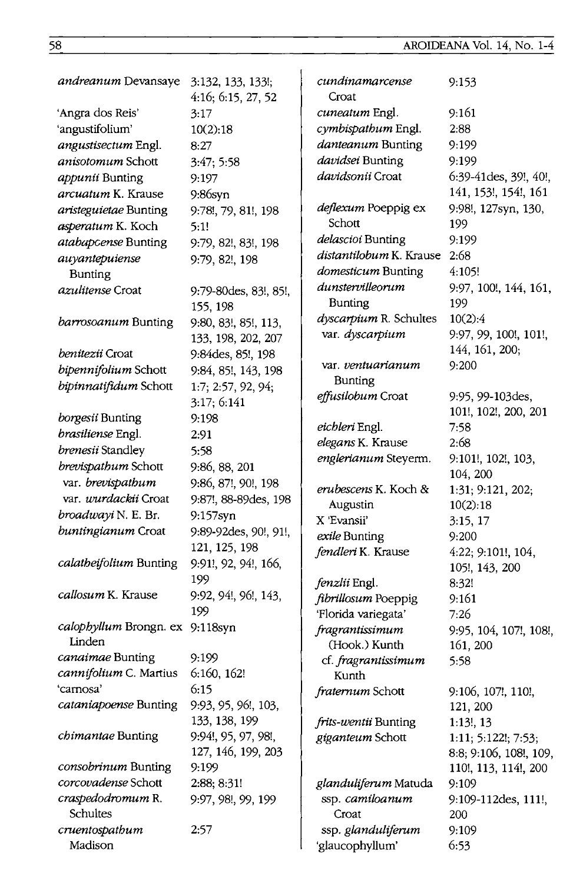AROIDEANA Vol. 14, No. 1-4

| <i>andreanum</i> Devansaye                | 3:132, 133, 133!;<br>4:16; 6:15, 27, 52 | cundinamarcense<br>Croat                     | 9:153                      |
|-------------------------------------------|-----------------------------------------|----------------------------------------------|----------------------------|
| 'Angra dos Reis'                          | 3:17                                    | cuneatum Engl.                               | 9:161                      |
| 'angustifolium'                           | 10(2):18                                | cymbispathum Engl.                           | 2:88                       |
| angustisectum Engl.                       |                                         | danteanum Bunting                            | 9:199                      |
|                                           | 8:27                                    | davidsei Bunting                             | 9:199                      |
| anisotomum Schott                         | 3:47; 5:58                              | <i>davidsonii</i> Croat                      |                            |
| appunii Bunting                           | 9:197                                   |                                              | 6:39-41 des, 39!, 40!,     |
| <i>arcuatum</i> K. Krause                 | 9:86syn                                 |                                              | 141, 153!, 154!, 161       |
| aristeguietae Bunting                     | 9:78!, 79, 81!, 198                     | deflexum Poeppig ex<br>Schott                | 9:98!, 127syn, 130,        |
| asperatum K. Koch                         | 5:1!                                    |                                              | 199                        |
| atabapcense Bunting                       | 9:79, 82!, 83!, 198                     | delascioi Bunting<br>distantilobum K. Krause | 9:199                      |
| auyantepuiense                            | 9:79, 82!, 198                          |                                              | 2:68                       |
| <b>Bunting</b>                            |                                         | domesticum Bunting                           | 4:105!                     |
| <i>azulitense</i> Croat                   | 9:79-80des, 83!, 85!,                   | dunstervilleorum                             | 9:97, 100!, 144, 161,      |
|                                           | 155, 198                                | Bunting                                      | 199                        |
| barrosoanum Bunting                       | 9:80, 83!, 85!, 113,                    | dyscarpium R. Schultes                       | 10(2):4                    |
|                                           | 133, 198, 202, 207                      | var. dyscarpium                              | 9:97, 99, 100!, 101!,      |
| benitezii Croat                           | 9:84 des, 85!, 198                      |                                              | 144, 161, 200;             |
| bipennifolium Schott                      | 9:84, 85!, 143, 198                     | var. <i>ventuarianum</i>                     | 9:200                      |
| bipinnatifidum Schott                     | 1:7; 2:57, 92, 94;                      | Bunting                                      |                            |
|                                           | 3:17; 6:141                             | effusilobum Croat                            | 9:95, 99-103 des,          |
| borgesii Bunting                          | 9:198                                   |                                              | 101!, 102!, 200, 201       |
| brasiliense Engl.                         | 2:91                                    | eichleri Engl.                               | 7:58                       |
| brenesii Standley                         | 5:58                                    | elegans K. Krause                            | 2:68                       |
| brevispathum Schott                       | 9:86, 88, 201                           | englerianum Steyerm.                         | 9:101!, 102!, 103,         |
| var. brevispathum                         | 9:86, 87!, 90!, 198                     |                                              | 104, 200                   |
| var. <i>wurdackii</i> Croat               | 9:87!, 88-89des, 198                    | erubescens K. Koch &                         | 1:31; 9:121, 202;          |
| broadwayi N. E. Br.                       | 9:157syn                                | Augustin                                     | 10(2):18                   |
| buntingianum Croat                        | 9:89-92 des, 90!, 91!,                  | X 'Evansii'                                  | 3:15, 17                   |
|                                           | 121, 125, 198                           | exile Bunting                                | 9:200                      |
| calatheifolium Bunting                    | 9:91!, 92, 94!, 166,                    | fendleri K. Krause                           | 4:22; 9:101!, 104,         |
|                                           | 199                                     |                                              | 105!, 143, 200             |
| <i>callosum</i> K. Krause                 |                                         | fenzlii Engl.                                | 8:32!                      |
|                                           | 9:92, 94!, 96!, 143,                    | fibrillosum Poeppig                          | 9:161                      |
|                                           | 199                                     | 'Florida variegata'                          | 7:26                       |
| calophyllum Brongn. ex 9:118syn<br>Linden |                                         | fragrantissimum                              | 9:95, 104, 107!, 108!,     |
|                                           |                                         | (Hook.) Kunth                                | 161, 200                   |
| canaimae Bunting                          | 9:199                                   | cf. fragrantissimum                          | 5:58                       |
| cannifolium C. Martius 6:160, 162!        |                                         | Kunth                                        |                            |
| 'carnosa'                                 | 6:15                                    | fraternum Schott                             | 9:106, 107!, 110!,         |
| cataniapoense Bunting                     | 9:93, 95, 96!, 103,                     |                                              | 121, 200                   |
|                                           | 133, 138, 199                           | frits-wentii Bunting                         | $1:13!$ , 13               |
| chimantae Bunting                         | 9:94!, 95, 97, 98!,                     | giganteum Schott                             | 1:11; 5:122!; 7:53;        |
|                                           | 127, 146, 199, 203                      |                                              | 8:8; 9:106, 108!, 109,     |
| consobrinum Bunting                       | 9:199                                   |                                              | 110!, 113, 114!, 200       |
| corcovadense Schott                       | 2:88; 8:31!                             | glanduliferum Matuda                         | 9:109                      |
| craspedodromum R.<br>Schultes             | 9:97, 98!, 99, 199                      | ssp. camiloanum<br>Croat                     | 9:109-112des, 111!,<br>200 |
| cruentospathum                            | 2:57                                    |                                              |                            |
| Madison                                   |                                         | ssp. glanduliferum                           | 9:109<br>6:53              |
|                                           |                                         | 'glaucophyllum'                              |                            |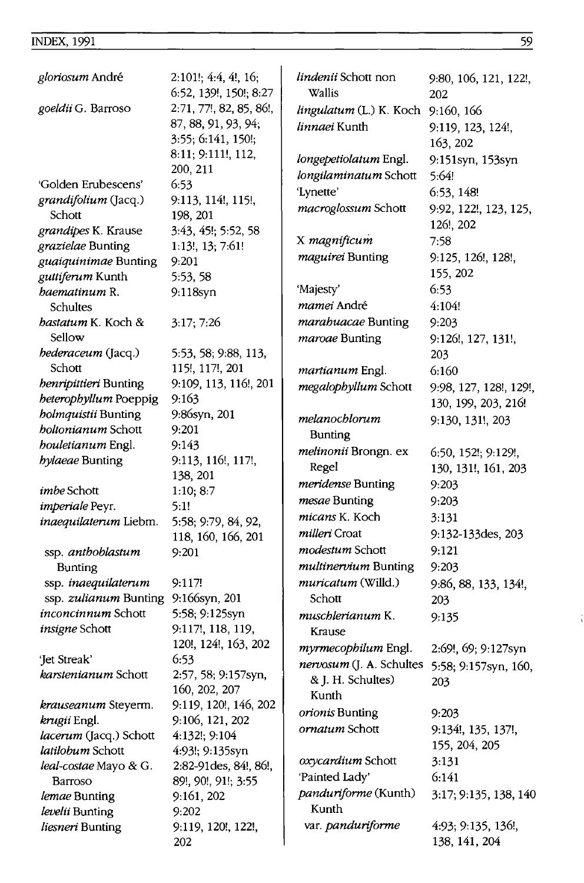| gloriosum André                                    | 2:101!; 4:4, 4!, 16;<br>6:52, 139!, 150!; 8:27 | <i>lindenii</i> Schott non<br>Wallis | 9:80, 106, 121, 122!,<br>202 |
|----------------------------------------------------|------------------------------------------------|--------------------------------------|------------------------------|
| goeldii G. Barroso                                 | 2:71, 77!, 82, 85, 86!,                        | lingulatum (L.) K. Koch 9:160, 166   |                              |
|                                                    | 87, 88, 91, 93, 94;                            | linnaei Kunth                        | 9:119, 123, 124!,            |
|                                                    | 3:55; 6:141, 150!;                             |                                      | 163, 202                     |
|                                                    | 8:11; 9:111!, 112,                             | longepetiolatum Engl.                | 9:151syn, 153syn             |
|                                                    | 200, 211                                       | longilaminatum Schott                | 5:64!                        |
| 'Golden Erubescens'                                | 6:53                                           | 'Lynette'                            | 6:53, 148!                   |
| grandifolium (Jacq.)                               | 9:113, 114!, 115!,                             | macroglossum Schott                  | 9:92, 122!, 123, 125,        |
| Schott                                             | 198, 201                                       |                                      | 126!, 202                    |
| grandipes K. Krause                                | 3:43, 45!; 5:52, 58                            | X magnificum                         | 7:58                         |
| grazielae Bunting                                  | 1:13!, 13; 7:61!<br>9:201                      | maguirei Bunting                     | 9:125, 126!, 128!,           |
| guaiquinimae Bunting<br>guttiferum Kunth           |                                                |                                      | 155, 202                     |
| baematinum R.                                      | 5:53, 58<br>9.118syn                           | 'Majesty'                            | 6:53                         |
| Schultes                                           |                                                | mamei André                          | 4:104!                       |
| bastatum K. Koch &                                 | 3:17;7:26                                      | marahuacae Bunting                   | 9:203                        |
| Sellow                                             |                                                | maroae Bunting                       | 9:126!, 127, 131!,           |
| hederaceum (Jacq.)                                 | 5:53, 58; 9:88, 113,                           |                                      | 203                          |
| Schott                                             | 115!, 117!, 201                                | martianum Engl.                      | 6:160                        |
| benripittieri Bunting                              | 9:109, 113, 116!, 201                          | megalophyllum Schott                 | 9:98, 127, 128!, 129!,       |
| heterophyllum Poeppig                              | 9:163                                          |                                      | 130, 199, 203, 216!          |
| <i>holmquistii</i> Bunting                         | 9:86syn, 201                                   | melanochlorum                        | 9:130, 131!, 203             |
| <i>boltonianum</i> Schott                          | 9:201                                          | <b>Bunting</b>                       |                              |
| <i>houletianum</i> Engl.                           | 9:143                                          | melinonii Brongn. ex                 | 6:50, 152!; 9:129!,          |
| <i>hylaeae</i> Bunting                             | 9:113, 116!, 117!,                             | Regel                                | 130, 131!, 161, 203          |
|                                                    | 138, 201                                       | meridense Bunting                    | 9:203                        |
| <i>imbe</i> Schott                                 | 1:10; 8:7                                      | mesae Bunting                        | 9:203                        |
| imperiale Peyr.                                    | 5:1!                                           | micans K. Koch                       |                              |
| inaequilaterum Liebm.                              | 5:58; 9:79, 84, 92,                            | milleri Croat                        | 3:131                        |
|                                                    | 118, 160, 166, 201                             |                                      | 9:132-133des, 203            |
| ssp. anthoblastum                                  | 9:201                                          | modestum Schott                      | 9:121                        |
| <b>Bunting</b>                                     |                                                | multinervium Bunting                 | 9:203                        |
| ssp. <i>inaequilaterum</i>                         | 9:117!                                         | <i>muricatum</i> (Willd.)            | 9:86, 88, 133, 134!,         |
| ssp. zulianum Bunting                              | 9:166syn, 201                                  | Schott                               | 203                          |
| <i>inconcinnum</i> Schott<br><i>insigne</i> Schott | 5:58; 9:125syn<br>9:117!, 118, 119,            | muschlerianum K.                     | 9:135                        |
|                                                    | 120!, 124!, 163, 202                           | Krause                               |                              |
| 'Jet Streak'                                       | 6:53                                           | myrmecophilum Engl.                  | 2:69!, 69; 9:127syn          |
| <i>karstenianum</i> Schott                         | 2:57, 58; 9:157syn,                            | nervosum (J. A. Schultes             | 5:58; 9:157syn, 160,         |
|                                                    | 160, 202, 207                                  | & J. H. Schultes)                    | 203                          |
| krauseanum Steyerm.                                | 9:119, 120!, 146, 202                          | Kunth                                |                              |
| krugii Engl.                                       | 9:106, 121, 202                                | orionis Bunting                      | 9:203                        |
| lacerum (Jacq.) Schott                             | 4:132!; 9:104                                  | ornatum Schott                       | 9:134!, 135, 137!,           |
| latilobum Schott                                   | 4:93!; 9:135syn                                |                                      | 155, 204, 205                |
| <i>leal-costae</i> Mayo & G.                       | 2:82-91 des, 84!, 86!,                         | oxycardium Schott                    | 3:131                        |
| Barroso                                            | 89!, 90!, 91!; 3:55                            | 'Painted Lady'                       | 6:141                        |
| lemae Bunting                                      | 9:161, 202                                     | panduriforme (Kunth)                 | 3:17; 9:135, 138, 140        |
| levelii Bunting                                    | 9:202                                          | Kunth                                |                              |
| liesneri Bunting                                   | 9:119, 120!, 122!,                             | var. panduriforme                    | 4:93; 9:135, 136!,           |
|                                                    | 202                                            |                                      | 138, 141, 204                |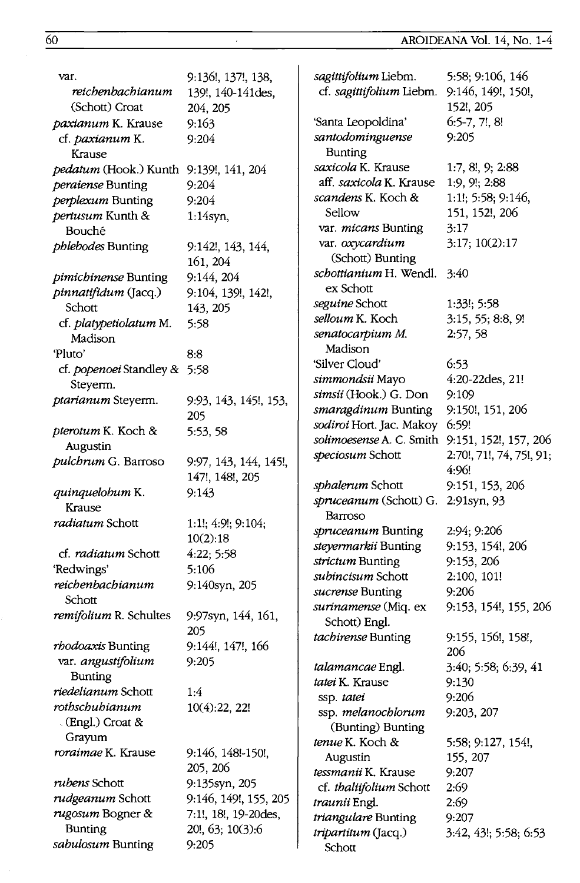| var.                                   | 9:136!, 137!, 138,        | sagittifolium Liebm.                     | 5:58; 9:106, 146               |
|----------------------------------------|---------------------------|------------------------------------------|--------------------------------|
| reichenbachianum                       | 139!, 140-141des,         | cf. sagittifolium Liebm.                 | 9:146, 149!, 150!,             |
| (Schott) Croat                         | 204, 205                  |                                          | 152!, 205                      |
| paxianum K. Krause                     | 9:163                     | 'Santa Leopoldina'                       | $6:5-7, 7!, 8!$                |
| cf. paxianum K.<br>Krause              | 9:204                     | santodominguense<br><b>Bunting</b>       | 9:205                          |
| pedatum (Hook.) Kunth 9:139!, 141, 204 |                           | saxicola K. Krause                       | 1:7, 8!, 9; 2:88               |
| peraiense Bunting                      | 9:204                     | aff. <i>saxicola</i> K. Krause           | 1:9, 9!; 2:88                  |
| perplexum Bunting                      | 9:204                     | <i>scandens</i> K. Koch &                | $1:1!$ ; 5:58; 9:146,          |
| pertusum Kunth &                       | $1:14$ syn,               | Sellow                                   | 151, 152!, 206                 |
| Bouché                                 |                           | var. micans Bunting                      | 3:17                           |
| <i>phlebodes</i> Bunting               | 9:142!, 143, 144,         | var. oxycardium                          | 3:17; 10(2):17                 |
|                                        | 161, 204                  | (Schott) Bunting                         |                                |
| pimichinense Bunting                   | 9:144, 204                | schottianium H. Wendl.                   | 3:40                           |
| pinnatifidum (Jacq.)                   | 9:104, 139!, 142!,        | ex Schott                                |                                |
| Schott                                 | 143, 205                  | seguine Schott                           | 1:33!; 5:58                    |
| cf. platypetiolatum M.                 | 5:58                      | selloum K. Koch                          | 3:15, 55; 8:8, 9!              |
| Madison                                |                           | senatocarpium M.<br>Madison              | 2:57,58                        |
| 'Pluto'                                | 8:8                       |                                          |                                |
| cf. popenoei Standley & 5:58           |                           | 'Silver Cloud'                           | 6:53<br>4:20-22des, 21!        |
| Steyerm.                               |                           | simmondsii Mayo<br>simsii (Hook.) G. Don | 9:109                          |
| ptarianum Steyerm.                     | 9:93, 143, 145!, 153,     | smaragdinum Bunting                      | 9:150!, 151, 206               |
|                                        | 205                       | sodiroi Hort. Jac. Makoy                 | 6:59!                          |
| pterotum K. Koch &                     | 5:53, 58                  | solimoesense A. C. Smith                 | 9:151, 152!, 157, 206          |
| Augustin                               |                           | speciosum Schott                         | 2:70!, 71!, 74, 75!, 91;       |
| pulchrum G. Barroso                    | 9:97, 143, 144, 145!,     |                                          | 4:96!                          |
|                                        | 147!, 148!, 205           | sphalerum Schott                         | 9:151, 153, 206                |
| quinquelobum K.                        | 9:143                     | spruceanum (Schott) G.                   | 2:91syn, 93                    |
| Krause                                 |                           | Barroso                                  |                                |
| radiatum Schott                        | 1:1!; $4:9!$ ; $9:104$ ;  | spruceanum Bunting                       | 2:94; 9:206                    |
|                                        | 10(2):18                  | steyermarkii Bunting                     | 9:153, 154!, 206               |
| cf. radiatum Schott                    | 4:22; 5:58                | strictum Bunting                         | 9:153, 206                     |
| 'Redwings'                             | 5:106                     | subincisum Schott                        | 2:100, 101!                    |
| reichenbachianum<br>Schott             | 9:140syn, 205             | sucrense Bunting                         | 9:206                          |
|                                        |                           | surinamense (Miq. ex                     | 9:153, 154!, 155, 206          |
| remifolium R. Schultes                 | 9:97syn, 144, 161,<br>205 | Schott) Engl.                            |                                |
| rhodoaxis Bunting                      | 9:144!, 147!, 166         | tachirense Bunting                       | 9:155, 156!, 158!,             |
| var. angustifolium                     | 9:205                     |                                          | 206                            |
| <b>Bunting</b>                         |                           | talamancae Engl.                         | 3:40; 5:58; 6:39, 41           |
| riedelianum Schott                     | 1:4                       | tatei K. Krause                          | 9:130                          |
| rothschubianum                         | 10(4):22, 22!             | ssp. tatei                               | 9:206                          |
| $E$ (Engl.) Croat &                    |                           | ssp. melanochlorum                       | 9:203, 207                     |
| Grayum                                 |                           | (Bunting) Bunting                        |                                |
| roraimae K. Krause                     | 9:146, 148!-150!,         | tenue K. Koch &                          | 5:58; 9:127, 154!,<br>155, 207 |
|                                        | 205, 206                  | Augustin<br>tessmanii K. Krause          | 9:207                          |
| <i>rubens</i> Schott                   | 9:135syn, 205             | cf. thaliifolium Schott                  | 2:69                           |
| rudgeanum Schott                       | 9:146, 149!, 155, 205     | traunii Engl.                            | 2:69                           |
| rugosum Bogner &                       | 7:1!, 18!, 19-20des,      | triangulare Bunting                      | 9:207                          |
| <b>Bunting</b>                         | 20!, 63; 10(3):6          | tripartitum (Jacq.)                      | 3:42, 43!; 5:58; 6:53          |
| sabulosum Bunting                      | 9:205                     | Schott                                   |                                |

 $\hat{\boldsymbol{\beta}}$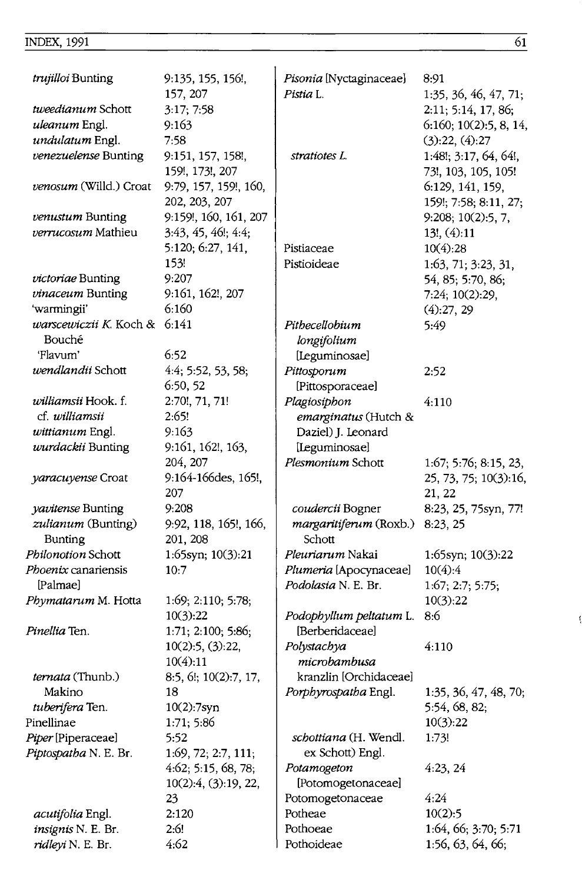| <i>trujilloi</i> Bunting       | 9:135, 155, 156!,<br>157, 207 | Pisonia [Nyctaginaceae]<br>Pistia L. | 8:91<br>1:35, 36, 46, 47, 71; |
|--------------------------------|-------------------------------|--------------------------------------|-------------------------------|
| tweedianum Schott              | 3:17; 7:58                    |                                      | 2:11; 5:14, 17, 86;           |
| uleanum Engl.                  | 9:163                         |                                      | 6:160; 10(2):5, 8, 14,        |
| undulatum Engl.                | 7:58                          |                                      | (3):22, (4):27                |
| venezuelense Bunting           | 9:151, 157, 158!,             | stratiotes L.                        | 1:48!; 3:17, 64, 64!,         |
|                                | 159!, 173!, 207               |                                      | 73!, 103, 105, 105!           |
| venosum (Willd.) Croat         | 9:79, 157, 159!, 160,         |                                      | 6:129, 141, 159,              |
|                                | 202, 203, 207                 |                                      | 159!; 7:58; 8:11, 27;         |
| venustum Bunting               | 9:159!, 160, 161, 207         |                                      | 9:208; 10(2):5, 7,            |
| <i>verrucosum</i> Mathieu      | 3:43, 45, 46!; 4:4;           |                                      | 13!, (4):11                   |
|                                | 5:120; 6:27, 141,             | Pistiaceae                           | 10(4):28                      |
|                                | 153!                          | Pistioideae                          | 1:63, 71; 3:23, 31,           |
| victoriae Bunting              | 9:207                         |                                      | 54, 85; 5:70, 86;             |
| vinaceum Bunting               | 9:161, 162!, 207              |                                      | 7:24; 10(2):29,               |
| 'warmingii'                    | 6:160                         |                                      | (4):27,29                     |
| <i>warscewiczii K</i> . Koch & | 6:141                         | Pithecellobium                       | 5:49                          |
| Bouché                         |                               | longifolium                          |                               |
| 'Flavum'                       | 6:52                          | [Leguminosae]                        |                               |
| wendlandii Schott              | 4:4; 5:52, 53, 58;            | Pittosporum                          | 2:52                          |
|                                | 6:50, 52                      | [Pittosporaceae]                     |                               |
| <i>williamsii</i> Hook. f.     | 2:70!, 71, 71!                | Plagiosiphon                         | 4:110                         |
| cf. williamsii                 | 2:65!                         | emarginatus (Hutch &                 |                               |
| wittianum Engl.                | 9:163                         | Daziel) J. Leonard                   |                               |
| wurdackii Bunting              | 9:161, 162!, 163,             | [Leguminosae]                        |                               |
|                                | 204, 207                      | Plesmonium Schott                    | 1:67; 5:76; 8:15, 23,         |
| yaracuyense Croat              | 9:164-166des, 165!,           |                                      | 25, 73, 75; 10(3):16,         |
|                                | 207                           |                                      | 21, 22                        |
| yavitense Bunting              | 9:208                         | coudercii Bogner                     | 8:23, 25, 75syn, 77!          |
| zulianum (Bunting)             | 9:92, 118, 165!, 166,         | margaritiferum (Roxb.) 8:23, 25      |                               |
| <b>Bunting</b>                 | 201, 208                      | Schott                               |                               |
| Philonotion Schott             | 1:65syn; 10(3):21             | Pleuriarum Nakai                     | 1:65syn; 10(3):22             |
| <i>Phoenix</i> canariensis     | 10:7                          | Plumeria [Apocynaceae]               | 10(4):4                       |
| [Palmae]                       |                               | Podolasia N. E. Br.                  | 1:67; 2:7; 5:75;              |
| Phymatarum M. Hotta            | 1:69; 2:110; 5:78;            |                                      | 10(3):22                      |
|                                | 10(3):22                      | Podophyllum peltatum L.              | 8:6                           |
| <i>Pinellia</i> Ten.           | 1:71; 2:100; 5:86;            | [Berberidaceae]                      |                               |
|                                | $10(2):5$ , $(3):22$ ,        | Polystachya                          | 4:110                         |
|                                | 10(4):11                      | microbambusa                         |                               |
| <i>ternata</i> (Thunb.)        | 8:5, 6!; 10(2):7, 17,         | kranzlin [Orchidaceae]               |                               |
| Makino                         | 18                            | Porphyrospatha Engl.                 | 1:35, 36, 47, 48, 70;         |
| tuberifera Ten.                | 10(2):7syn                    |                                      | 5:54, 68, 82;                 |
| Pinellinae                     | 1:71; 5:86                    |                                      | 10(3):22                      |
| Piper [Piperaceae]             | 5:52                          | <i>schottiana</i> (H. Wendl.         | 1:73!                         |
| Piptospatha N. E. Br.          | 1:69, 72; 2:7, 111;           | ex Schott) Engl.                     |                               |
|                                | 4:62; 5:15, 68, 78;           | Potamogeton                          | 4:23, 24                      |
|                                | 10(2):4, (3):19, 22,          | [Potomogetonaceae]                   |                               |
|                                | 23                            | Potomogetonaceae                     | 4:24                          |
| acutifolia Engl.               | 2:120                         | Potheae                              | 10(2):5                       |
| insignis N. E. Br.             | 2:6!                          | Pothoeae                             | 1:64, 66; 3:70; 5:71          |
| ridleyi N. E. Br.              | 4:62                          | Pothoideae                           | 1:56, 63, 64, 66;             |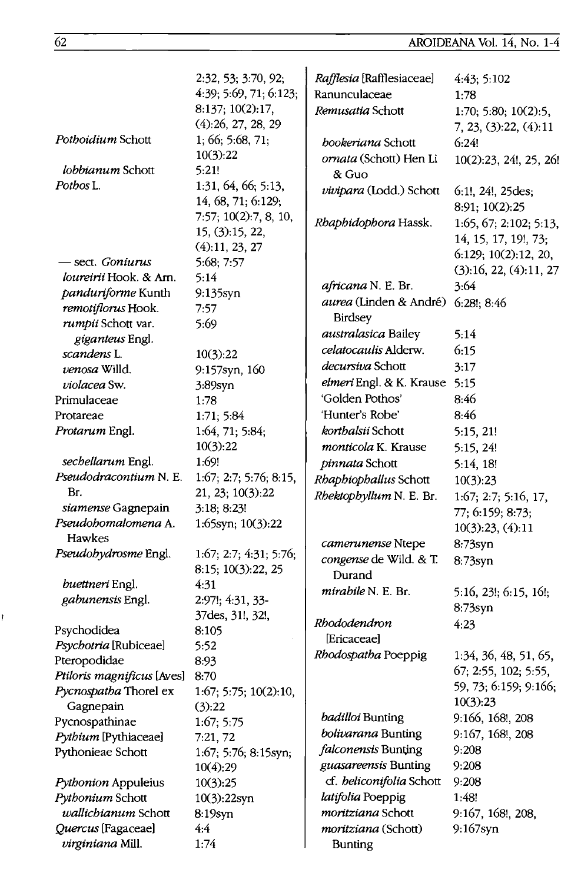# AROIDEANA Vol. 14, No. 1-4

|                                             | 2:32, 53; 3:70, 92;                        | Rafflesia [Rafflesiaceae]     | 4:43; 5:102            |
|---------------------------------------------|--------------------------------------------|-------------------------------|------------------------|
|                                             | 4:39; 5:69, 71; 6:123;                     | Ranunculaceae                 | 1:78                   |
|                                             | 8:137; 10(2):17,                           | Remusatia Schott              | 1:70; 5:80; 10(2):5,   |
|                                             | (4):26, 27, 28, 29                         |                               | 7, 23, (3):22, (4):11  |
| Pothoidium Schott                           | 1, 66; 5:68, 71;                           | bookeriana Schott             | 6:24!                  |
|                                             | 10(3):22                                   | ornata (Schott) Hen Li        | 10(2):23, 24!, 25, 26! |
| lobbianum Schott                            | 5:21!                                      | & Guo                         |                        |
| Potbos L.                                   | 1:31, 64, 66; 5:13,                        | vivipara (Lodd.) Schott       | 6:1!, 24!, 25des;      |
|                                             | 14, 68, 71; 6:129;                         |                               | 8:91; 10(2):25         |
|                                             | 7:57; 10(2):7, 8, 10,                      | Rhaphidophora Hassk.          | 1:65, 67; 2:102; 5:13, |
|                                             | 15, (3):15, 22,                            |                               | 14, 15, 17, 19!, 73;   |
|                                             | (4): 11, 23, 27                            |                               | 6:129; 10(2):12, 20,   |
| sect. Goniurus                              | 5:68; 7:57                                 |                               | (3):16, 22, (4):11, 27 |
| <i>loureirii</i> Hook. & Arn.               | 5:14                                       | africana N. E. Br.            | 3:64                   |
| panduriforme Kunth                          | 9:135syn                                   | <i>aurea</i> (Linden & André) | 6:28!; 8:46            |
| remotiflorus Hook.                          | 7:57                                       | <b>Birdsey</b>                |                        |
| rumpii Schott var.                          | 5:69                                       | australasica Bailey           | 5:14                   |
| giganteus Engl.                             |                                            | celatocaulis Alderw.          | 6:15                   |
| scandens L.                                 | 10(3):22                                   | decursiva Schott              |                        |
| venosa Willd.                               | 9:157syn, 160                              | elmeri Engl. & K. Krause 5:15 | 3:17                   |
| violacea Sw.                                | $3:89$ syn                                 | 'Golden Pothos'               |                        |
| Primulaceae                                 | 1:78                                       | 'Hunter's Robe'               | 8:46                   |
| Protareae                                   | 1:71; 5:84                                 | korthalsii Schott             | 8:46                   |
| Protarum Engl.                              | 1:64, 71; 5:84;                            |                               | 5:15, 21!              |
|                                             | 10(3):22<br>1:69!                          | monticola K. Krause           | 5:15, 24!              |
| sechellarum Engl.<br>Pseudodracontium N. E. |                                            | pinnata Schott                | 5:14, 18!              |
| Br.                                         | 1:67; 2:7; 5:76; 8:15,<br>21, 23; 10(3):22 | Rhaphiophallus Schott         | 10(3):23               |
| siamense Gagnepain                          | 3:18; 8:23!                                | Rhektophyllum N. E. Br.       | 1:67; 2:7; 5:16, 17,   |
| Pseudohomalomena A.                         | 1:65syn; 10(3):22                          |                               | 77; 6:159; 8:73;       |
| Hawkes                                      |                                            |                               | 10(3):23, (4):11       |
| Pseudobydrosme Engl.                        | 1:67; 2:7; 4:31; 5:76;                     | camerunense Ntepe             | 8:73syn                |
|                                             | 8:15; 10(3):22, 25                         | congense de Wild. & T.        | $8:73$ syn             |
| buettneri Engl.                             | 4:31                                       | Durand                        |                        |
| gabunensis Engl.                            | 2:97!; 4:31, 33-                           | mirabile N. E. Br.            | 5:16, 23!; 6:15, 16!;  |
|                                             | 37des, 31!, 32!,                           |                               | 8:73syn                |
| Psychodidea                                 | 8:105                                      | Rhododendron                  | 4:23                   |
| Psychotria [Rubiceae]                       | 5:52                                       | [Ericaceae]                   |                        |
| Pteropodidae                                | 8:93                                       | Rhodospatha Poeppig           | 1:34, 36, 48, 51, 65,  |
| Ptiloris magnificus [Aves] 8:70             |                                            |                               | 67; 2:55, 102; 5:55    |
| Pycnospatha Thorel ex                       | 1:67; 5:75; 10(2):10,                      |                               | 59, 73; 6:159; 9:166;  |
| Gagnepain                                   | (3):22                                     |                               | 10(3):23               |
| Pycnospathinae                              | 1:67; 5:75                                 | <i>badilloi</i> Bunting       | 9:166, 168!, 208       |
| Pythium [Pythiaceae]                        | 7:21, 72                                   | bolivarana Bunting            | 9:167, 168!, 208       |
| Pythonieae Schott                           | $1:67, 5:76, 8:15$ syn;                    | falconensis Bunting           | 9:208                  |
|                                             | 10(4):29                                   | guasareensis Bunting          | 9:208                  |
| Pythonion Appuleius                         | 10(3):25                                   | cf. beliconifolia Schott      | 9:208                  |
| Pythonium Schott                            | 10(3):22syn                                | latifolia Poeppig             | 1:48!                  |
| wallichianum Schott                         | 8:19syn                                    | moritziana Schott             | 9:167, 168!, 208,      |
| Quercus [Fagaceae]                          | 4:4                                        | moritziana (Schott)           | 9:167syn               |
| virginiana Mill.                            | 1:74                                       | <b>Bunting</b>                |                        |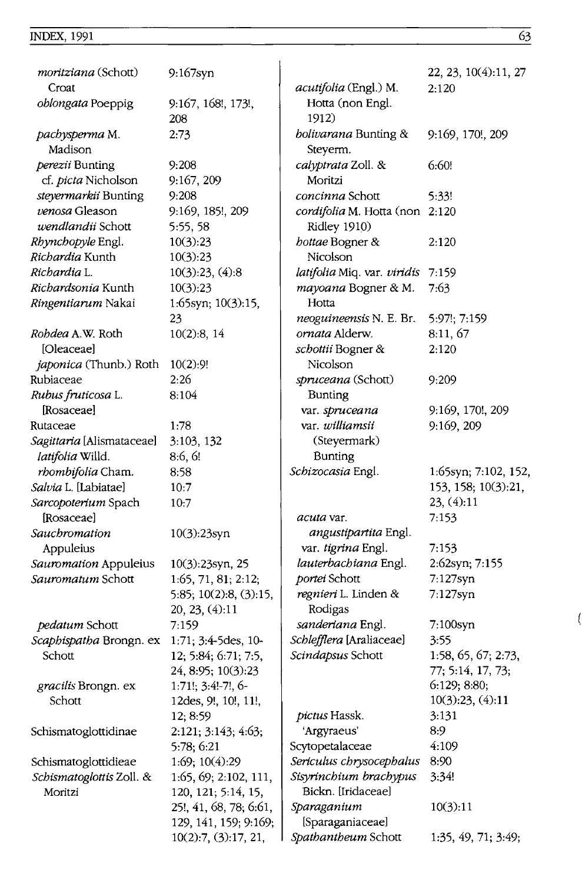# $I<sub>1</sub><sub>1</sub><sub>2</sub><sub>3</sub>$  INDEX, 1991 63

| <i>moritziana</i> (Schott)        | 9:167syn                  |                                  | 22, 23, 10(4):11, 27    |
|-----------------------------------|---------------------------|----------------------------------|-------------------------|
| Croat                             |                           | acutifolia (Engl.) M.            | 2:120                   |
| oblongata Poeppig                 | 9:167, 168!, 173!,<br>208 | Hotta (non Engl.<br>1912)        |                         |
| pachysperma M.<br>Madison         | 2:73                      | bolivarana Bunting &<br>Steyerm. | 9:169, 170!, 209        |
| perezii Bunting                   | 9:208                     | calyptrata Zoll. &               | 6:60!                   |
| cf. picta Nicholson               | 9:167, 209                | Moritzi                          |                         |
| steyermarkii Bunting              | 9:208                     | concinna Schott                  | 5:33!                   |
| venosa Gleason                    | 9:169, 185!, 209          | cordifolia M. Hotta (non 2:120   |                         |
| wendlandii Schott                 | 5:55, 58                  | Ridley 1910)                     |                         |
| Rhynchopyle Engl.                 | 10(3):23                  | bottae Bogner &                  | 2:120                   |
| Richardia Kunth                   | 10(3):23                  | Nicolson                         |                         |
| Richardia L.                      | 10(3):23, (4):8           | latifolia Miq. var. viridis      | 7:159                   |
| <i>Richardsonia</i> Kunth         | 10(3):23                  | mayoana Bogner & M.              | 7:63                    |
| Ringentiarum Nakai                | 1:65syn; $10(3):15$ ,     | Hotta                            |                         |
|                                   | 23                        | neoguineensis N. E. Br.          | 5:97!; 7:159            |
| Robdea A.W. Roth                  | 10(2):8, 14               | ornata Alderw.                   | 8:11,67                 |
| [Oleaceae]                        |                           | schottii Bogner &                | 2:120                   |
| <i>japonica</i> (Thunb.) Roth     | 10(2):9!                  | Nicolson                         |                         |
| Rubiaceae                         | 2:26                      | spruceana (Schott)               | 9:209                   |
| Rubus fruticosa L.                | 8:104                     | Bunting                          |                         |
| [Rosaceae]                        |                           | var. spruceana                   | 9:169, 170!, 209        |
| Rutaceae                          | 1:78                      | var. williamsii                  | 9:169, 209              |
| Sagittaria [Alismataceae]         | 3:103, 132                | (Steyermark)                     |                         |
| <i>latifolia</i> Willd.           | 8:6, 6!                   | <b>Bunting</b>                   |                         |
| rhombifolia Cham.                 | 8:58                      | Schizocasia Engl.                | $1:65$ syn; 7:102, 152, |
| Salvia L. [Labiatae]              | 10:7                      |                                  | 153, 158; 10(3):21,     |
| Sarcopoterium Spach<br>[Rosaceae] | 10:7                      | <i>acuta</i> var.                | 23, (4):11<br>7:153     |
| Sauchromation                     | 10(3):23syn               | angustipartita Engl.             |                         |
| Appuleius                         |                           | var. tigrina Engl.               | 7:153                   |
| Sauromation Appuleius             | 10(3):23syn, 25           | lauterbachiana Engl.             | 2:62syn; 7:155          |
| <i>Sauromatum</i> Schott          | 1:65, 71, 81; 2:12;       | portei Schott                    | 7:127syn                |
|                                   | 5:85; 10(2):8, (3):15,    | <i>regnieri</i> L. Linden &      | 7:127syn                |
|                                   | 20, 23, (4):11            | Rodigas                          |                         |
| pedatum Schott                    | 7:159                     | sanderiana Engl.                 | 7:100syn                |
| Scaphispatha Brongn. ex           | 1:71; 3:4-5des, 10-       | Schlefflera [Araliaceae]         | 3:55                    |
| Schott                            | 12; 5:84; 6:71; 7:5,      | Scindapsus Schott                | 1:58, 65, 67; 2:73,     |
|                                   | 24, 8:95; 10(3):23        |                                  | 77; 5:14, 17, 73;       |
| <i>gracilis</i> Brongn. ex        | $1:71!$ ; $3:4!$ -7!, 6-  |                                  | 6:129; 8:80;            |
| Schott                            | 12des, 9!, 10!, 11!,      |                                  | 10(3):23, (4):11        |
|                                   | 12; 8:59                  | pictus Hassk.                    | 3:131                   |
| Schismatoglottidinae              | 2:121; 3:143; 4:63;       | 'Argyraeus'                      | 8:9                     |
|                                   | 5:78; 6:21                | Scytopetalaceae                  | 4:109                   |
| Schismatoglottidieae              | 1:69; 10(4):29            | Sericulus chrysocephalus         | 8:90                    |
| Schismatoglottis Zoll. &          | 1:65, 69; 2:102, 111,     | Sisyrinchium brachypus           | 3:34!                   |
| Moritzi                           | 120, 121; 5:14, 15,       | Bickn. [Iridaceae]               |                         |
|                                   | 25!, 41, 68, 78; 6:61,    | Sparaganium                      | 10(3):11                |
|                                   | 129, 141, 159; 9:169;     | [Sparaganiaceae]                 |                         |
|                                   | 10(2):7, (3):17, 21,      | Spathantheum Schott              | 1:35, 49, 71, 3:49;     |

l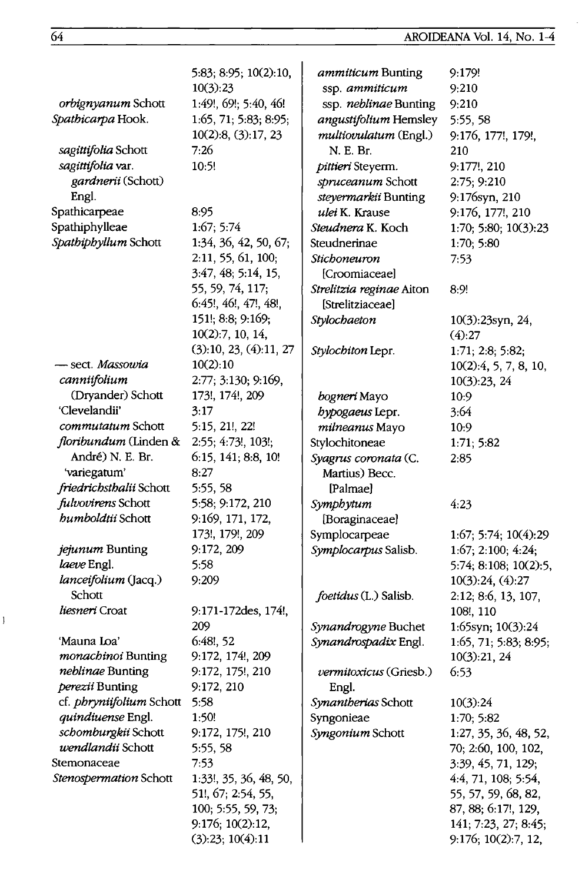|                           | 5:83; 8:95; 10(2):10,  | ammiticum Bunting        | 9:179!                |
|---------------------------|------------------------|--------------------------|-----------------------|
|                           | 10(3):23               | ssp. ammiticum           | 9:210                 |
| <i>orbignyanum</i> Schott | 1:49!, 69!; 5:40, 46!  | ssp. neblinae Bunting    | 9:210                 |
| Spathicarpa Hook.         | 1:65, 71; 5:83; 8:95;  | angustifolium Hemsley    | 5:55,58               |
|                           | 10(2):8, (3):17, 23    | multiovulatum (Engl.)    | 9:176, 177!, 179!,    |
| sagittifolia Schott       | 7:26                   | N. E. Br.                | 210                   |
| sagittifolia var.         | 10:5!                  | pittieri Steyerm.        | 9:177!, 210           |
| gardnerii (Schott)        |                        | spruceanum Schott        | 2:75; 9:210           |
| Engl.                     |                        | steyermarkii Bunting     | 9:176syn, 210         |
| Spathicarpeae             | 8:95                   | ulei K. Krause           | 9:176, 177!, 210      |
| Spathiphylleae            | 1:67; 5:74             | Steudnera K. Koch        | 1:70; 5:80; 10(3):23  |
| Spathiphyllum Schott      | 1:34, 36, 42, 50, 67;  | Steudnerinae             | 1:70; 5:80            |
|                           | 2:11, 55, 61, 100;     | Stichoneuron             | 7:53                  |
|                           | 3:47, 48; 5:14, 15,    | [Croomiaceae]            |                       |
|                           | 55, 59, 74, 117;       | Strelitzia reginae Aiton | 8:9!                  |
|                           | 6:45!, 46!, 47!, 48!,  | <b>[Strelitziaceae]</b>  |                       |
|                           | 151!; 8:8; 9:169;      | Stylochaeton             | 10(3):23syn, 24,      |
|                           | 10(2):7, 10, 14,       |                          | (4):27                |
|                           | (3):10, 23, (4):11, 27 | Stylochiton Lepr.        | 1:71; 2:8; 5:82;      |
| - sect. <i>Massowia</i>   | 10(2):10               |                          | 10(2):4, 5, 7, 8, 10, |
| canniifolium              | 2:77; 3:130; 9:169,    |                          | 10(3):23, 24          |
| (Dryander) Schott         | 173!, 174!, 209        | bogneri Mayo             | 10:9                  |
| 'Clevelandii'             | 3:17                   | bypogaeus Lepr.          | 3:64                  |
| <i>commutatum</i> Schott  | 5:15, 21!, 22!         | milneanus Mayo           | 10:9                  |
| floribundum (Linden &     | 2:55; 4:73!, 103!;     | Stylochitoneae           | 1:71; 5:82            |
| André) N. E. Br.          | 6:15, 141; 8:8, 10!    | Syagrus coronata (C.     | 2:85                  |
| 'variegatum'              | 8:27                   | Martius) Becc.           |                       |
| friedrichsthalii Schott   | 5:55, 58               | [Palmae]                 |                       |
| fulvovirens Schott        | 5:58; 9:172, 210       | Symphytum                | 4.23                  |
| bumboldtii Schott         | 9:169, 171, 172,       | [Boraginaceae]           |                       |
|                           | 173!, 179!, 209        | Symplocarpeae            | 1:67; 5:74; 10(4):29  |
| jejunum Bunting           | 9:172, 209             | Symplocarpus Salisb.     | 1:67; 2:100; 4:24;    |
| laeve Engl.               | 5:58                   |                          | 5:74; 8:108; 10(2):5, |
| lanceifolium (Jacq.)      | 9:209                  |                          | 10(3):24, (4):27      |
| Schott                    |                        | foetidus (L.) Salisb.    | 2:12; 8:6, 13, 107,   |
| liesneri Croat            | 9:171-172des, 174!,    |                          | 108!, 110             |
|                           | 209                    | Synandrogyne Buchet      | 1:65syn; 10(3):24     |
| 'Mauna Loa'               | $6:48!$ , 52           | Synandrospadix Engl.     | 1:65, 71; 5:83; 8:95; |
| monachinoi Bunting        | 9:172, 174!, 209       |                          | 10(3):21, 24          |
| <i>neblinae</i> Bunting   | 9:172, 175!, 210       | vermitoxicus (Griesb.)   | 6:53                  |
| perezii Bunting           | 9:172, 210             | Engl.                    |                       |
| cf. phryniifolium Schott  | 5:58                   | Synantherias Schott      | 10(3):24              |
| quindiuense Engl.         | 1:50!                  | Syngonieae               | 1:70; 5:82            |
| schomburgkii Schott       | 9:172, 175!, 210       | Syngonium Schott         | 1:27, 35, 36, 48, 52, |
| wendlandii Schott         | 5:55, 58               |                          | 70; 2:60, 100, 102,   |
| Stemonaceae               | 7:53                   |                          | 3:39, 45, 71, 129;    |
| Stenospermation Schott    | 1:33!, 35, 36, 48, 50, |                          | 4:4, 71, 108; 5:54,   |
|                           | 51!, 67; 2:54, 55,     |                          | 55, 57, 59, 68, 82,   |
|                           | 100; 5:55, 59, 73;     |                          | 87, 88; 6:17!, 129,   |
|                           | 9:176; 10(2):12,       |                          | 141; 7:23, 27; 8:45;  |
|                           | (3):23; 10(4):11       |                          | 9:176; 10(2):7, 12,   |

 $\mathbf{I}$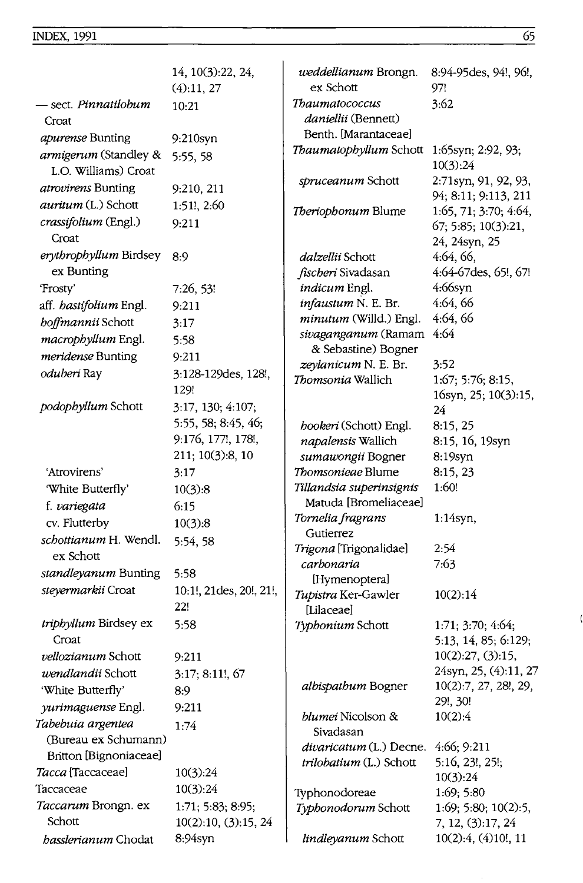|                                               | 14, 10(3):22, 24,<br>(4):11, 27 | weddellianum Brongn.<br>ex Schott                  | 8:94-95 des, 94!, 96!,<br>97!                  |
|-----------------------------------------------|---------------------------------|----------------------------------------------------|------------------------------------------------|
| - sect. <i>Pinnatilobum</i>                   | 10:21                           | Thaumatococcus                                     | 3:62                                           |
| Croat                                         |                                 | <i>daniellii</i> (Bennett)<br>Benth. [Marantaceae] |                                                |
| <i>apurense</i> Bunting                       | 9:210syn                        | Thaumatophyllum Schott                             | $1:65$ syn; $2:92, 93$ ;                       |
| armigerum (Standley &<br>L.O. Williams) Croat | 5:55, 58                        |                                                    | 10(3):24                                       |
| atrovirens Bunting                            | 9:210, 211                      | spruceanum Schott                                  | 2:71syn, 91, 92, 93,                           |
| <i>auritum</i> (L.) Schott                    | 1:51!, 2:60                     | Theriophonum Blume                                 | 94; 8:11; 9:113, 211<br>1:65, 71; 3:70; 4:64,  |
| crassifolium (Engl.)<br>Croat                 | 9:211                           |                                                    | 67; 5:85; 10(3):21,<br>24, 24syn, 25           |
| erythrophyllum Birdsey                        | 8:9                             | <i>dalzellii</i> Schott                            | 4:64, 66,                                      |
| ex Bunting                                    |                                 | fischeri Sivadasan                                 | 4:64-67des, 65!, 67!                           |
| 'Frosty'                                      | 7:26, 53!                       | indicum Engl.                                      | 4:66syn                                        |
| aff. hastifolium Engl.                        | 9:211                           | infaustum N. E. Br.                                | 4:64, 66                                       |
| boffmannii Schott                             | 3:17                            | minutum (Willd.) Engl.                             | 4:64, 66                                       |
| macrophyllum Engl.                            | 5:58                            | sivaganganum (Ramam                                | 4:64                                           |
| meridense Bunting                             | 9:211                           | & Sebastine) Bogner                                |                                                |
| oduberi Ray                                   | 3:128-129des, 128!,             | zeylanicum N. E. Br.<br>Thomsonia Wallich          | 3:52<br>1:67; 5:76; 8:15,                      |
|                                               | 129!                            |                                                    | 16syn, 25; 10(3):15,                           |
| podophyllum Schott                            | 3:17, 130; 4:107;               |                                                    | 24                                             |
|                                               | 5:55, 58; 8:45, 46;             | hookeri (Schott) Engl.                             | 8:15, 25                                       |
|                                               | 9:176, 177!, 178!,              | napalensis Wallich                                 | 8:15, 16, 19syn                                |
|                                               | 211; 10(3):8, 10                | sumawongii Bogner                                  | 8:19syn                                        |
| 'Atrovirens'                                  | 3:17                            | Thomsonieae Blume                                  | 8:15, 23                                       |
| 'White Butterfly'                             | 10(3):8                         | Tillandsia superinsignis                           | 1:60!                                          |
| f. variegata                                  | 6:15                            | Matuda [Bromeliaceae]                              |                                                |
| cv. Flutterby                                 | 10(3):8                         | Tornelia fragrans                                  | $1:14$ syn,                                    |
| schottianum H. Wendl.                         | 5:54, 58                        | Gutierrez                                          |                                                |
| ex Schott                                     |                                 | Trigona [Trigonalidae]                             | 2:54                                           |
| standleyanum Bunting                          | 5:58                            | carbonaria                                         | 7:63                                           |
| steyermarkii Croat                            | 10:1!, 21des, 20!, 21!,         | [Hymenoptera]                                      |                                                |
|                                               | 22!                             | Tupistra Ker-Gawler<br><i><b>ILilaceael</b></i>    | 10(2):14                                       |
| triphyllum Birdsey ex                         | 5:58                            | Typhonium Schott                                   | 1:71; 3:70; 4:64;                              |
| Croat                                         |                                 |                                                    | 5:13, 14, 85; 6:129;                           |
| <i>vellozianum</i> Schott                     | 9:211                           |                                                    | 10(2):27, (3):15,                              |
| <i>wendlandii</i> Schott                      | $3:17; 8:11!$ , 67              | albispathum Bogner                                 | 24syn, 25, (4):11, 27<br>10(2):7, 27, 28!, 29, |
| 'White Butterfly'                             | 8:9                             |                                                    | 29!, 30!                                       |
| <i>yurimaguense</i> Engl.                     | 9:211                           | blumei Nicolson &                                  | 10(2):4                                        |
| Tabebuia argentea                             | 1:74                            | Sivadasan                                          |                                                |
| (Bureau ex Schumann)                          |                                 | divaricatum (L.) Decne.                            | 4:66; 9:211                                    |
| Britton [Bignoniaceae]                        |                                 | trilobatium (L.) Schott                            | 5:16, 23!, 25!;                                |
| Tacca [Taccaceae]                             | 10(3):24                        |                                                    | 10(3):24                                       |
| Taccaceae                                     | 10(3):24                        | Typhonodoreae                                      | 1:69; 5:80                                     |
| Taccarum Brongn. ex                           | 1:71; 5:83; 8:95;               | Typhonodorum Schott                                | 1:69; 5:80; 10(2):5,                           |
| Schott                                        | 10(2):10, (3):15, 24            |                                                    | 7, 12, (3):17, 24                              |
| basslerianum Chodat                           | 8:94syn                         | lindleyanum Schott                                 | 10(2):4, (4)10!, 11                            |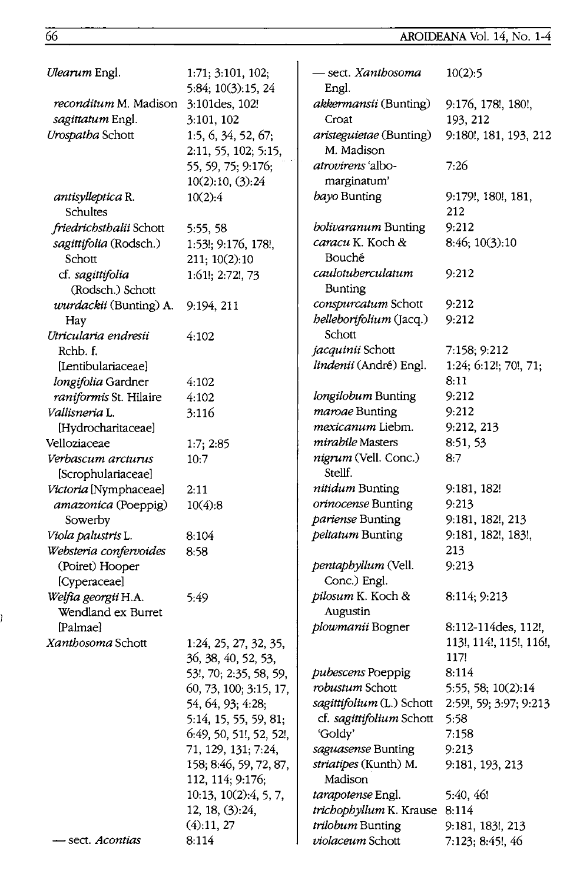| Ulearum Engl.                             | 1:71; 3:101, 102;<br>5:84; 10(3):15, 24     | – sect. <i>Xantbosoma</i><br>Engl.           | 10(2):5                 |
|-------------------------------------------|---------------------------------------------|----------------------------------------------|-------------------------|
| <i>reconditum</i> M. Madison              | 3:101 des, 102!                             | <i>akkermansii</i> (Bunting)                 | 9:176, 178!, 180!,      |
| sagittatum Engl.                          | 3:101, 102                                  | Croat                                        | 193, 212                |
| Urospatha Schott                          | 1:5, 6, 34, 52, 67;<br>2:11, 55, 102; 5:15, | <i>aristeguietae</i> (Bunting)<br>M. Madison | 9:180!, 181, 193, 212   |
|                                           | 55, 59, 75; 9:176;                          | <i>atrovirens</i> 'albo-<br>marginatum'      | 7:26                    |
|                                           | 10(2):10, (3):24                            | bayo Bunting                                 | 9:179!, 180!, 181,      |
| antisylleptica R.<br>Schultes             | 10(2):4                                     |                                              | 212                     |
| friedrichsthalii Schott                   | 5:55, 58                                    | bolivaranum Bunting                          | 9:212                   |
| sagittifolia (Rodsch.)                    | 1:53!; 9:176, 178!,                         | caracu K. Koch &                             | 8:46; 10(3):10          |
| Schott                                    | 211; 10(2):10                               | Bouché                                       |                         |
| cf. sagittifolia<br>(Rodsch.) Schott      | 1:61!; 2:72!, 73                            | caulotuberculatum<br>Bunting                 | 9:212                   |
| wurdackii (Bunting) A.                    | 9:194, 211                                  | conspurcatum Schott                          | 9:212                   |
| Hay                                       |                                             | belleborifolium (Jacq.)                      | 9:212                   |
| Utricularia endresii                      | 4:102                                       | Schott                                       |                         |
| Rchb. f.                                  |                                             | jacquinii Schott                             | 7:158; 9:212            |
| [Lentibulariaceae]                        |                                             | lindenii (André) Engl.                       | 1:24; 6:12!; 70!, 71;   |
| longifolia Gardner                        | 4:102                                       |                                              | 8:11                    |
| raniformis St. Hilaire                    | 4:102                                       | longilobum Bunting                           | 9:212                   |
| Vallisneria L.                            | 3:116                                       | maroae Bunting                               | 9:212                   |
| [Hydrocharitaceae]                        |                                             | mexicanum Liebm.                             | 9:212, 213              |
| Velloziaceae                              | 1:7; 2:85                                   | mirabile Masters                             | 8:51, 53                |
| Verbascum arcturus<br>[Scrophulariaceae]  | 10:7                                        | nigrum (Vell. Conc.)<br>Stellf.              | 8:7                     |
| Victoria [Nymphaceae]                     | 2:11                                        | nitidum Bunting                              | 9:181, 182!             |
| amazonica (Poeppig)                       | 10(4):8                                     | orinocense Bunting                           | 9:213                   |
| Sowerby                                   |                                             | pariense Bunting                             | 9:181, 182!, 213        |
| Viola palustris L.                        | 8:104                                       | peltatum Bunting                             | 9:181, 182!, 183!,      |
| Websteria confervoides                    | 8:58                                        |                                              | 213                     |
| (Poiret) Hooper                           |                                             | pentaphyllum (Vell.                          | 9:213                   |
| [Cyperaceae]                              |                                             | Conc.) Engl.                                 |                         |
| Welfia georgii H.A.<br>Wendland ex Burret | 5:49                                        | pilosum K. Koch &<br>Augustin                | 8:114; 9:213            |
| [Palmae]                                  |                                             | plowmanii Bogner                             | 8:112-114des, 112!,     |
| Xanthosoma Schott                         | 1:24, 25, 27, 32, 35,                       |                                              | 113!, 114!, 115!, 116!, |
|                                           | 36, 38, 40, 52, 53,                         |                                              | 117!                    |
|                                           | 53!, 70; 2:35, 58, 59,                      | pubescens Poeppig                            | 8:114                   |
|                                           | 60, 73, 100; 3:15, 17,                      | robustum Schott                              | 5:55, 58; 10(2):14      |
|                                           | 54, 64, 93; 4:28;                           | sagittifolium (L.) Schott                    | 2:59!, 59; 3:97; 9:213  |
|                                           | 5:14, 15, 55, 59, 81;                       | cf. sagittifolium Schott                     | 5:58                    |
|                                           | 6:49, 50, 51!, 52, 52!,                     | 'Goldv'                                      | 7:158                   |
|                                           | 71, 129, 131; 7:24,                         | saguasense Bunting                           | 9:213                   |
|                                           | 158; 8:46, 59, 72, 87,<br>112, 114; 9:176;  | striatipes (Kunth) M.<br>Madison             | 9:181, 193, 213         |
|                                           | 10:13, 10(2):4, 5, 7,                       | tarapotense Engl.                            | 5:40, 46!               |
|                                           | 12, 18, (3):24,                             | trichophyllum K. Krause 8:114                |                         |
|                                           | (4):11,27                                   | trilobum Bunting                             | 9:181, 183!, 213        |
| sect. Acontias                            | 8:114                                       | violaceum Schott                             | 7:123; 8:45!, 46        |

Ì